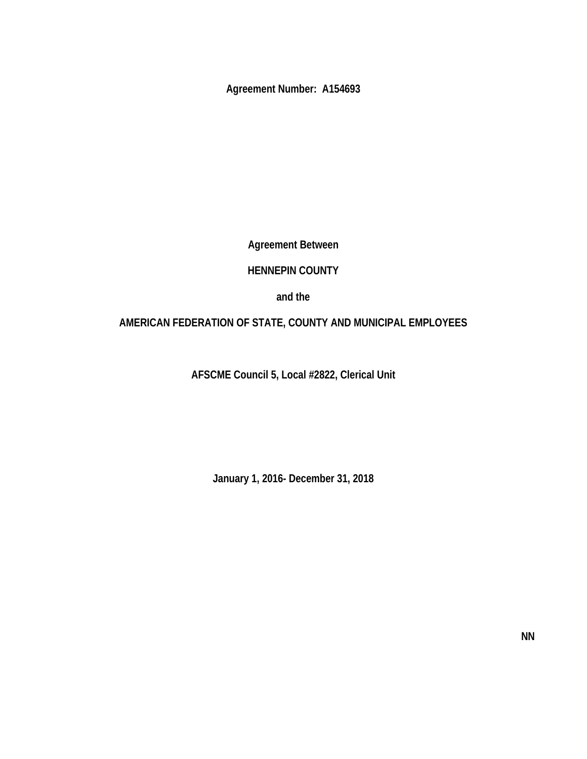**Agreement Number: A154693** 

**Agreement Between** 

# **HENNEPIN COUNTY**

**and the** 

# **AMERICAN FEDERATION OF STATE, COUNTY AND MUNICIPAL EMPLOYEES**

**AFSCME Council 5, Local #2822, Clerical Unit** 

**January 1, 2016- December 31, 2018**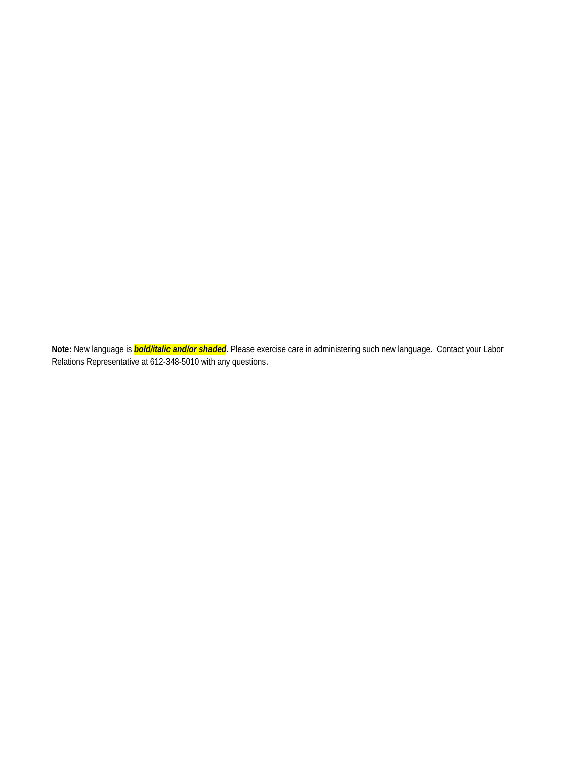**Note:** New language is *bold/italic and/or shaded*. Please exercise care in administering such new language. Contact your Labor Relations Representative at 612-348-5010 with any questions.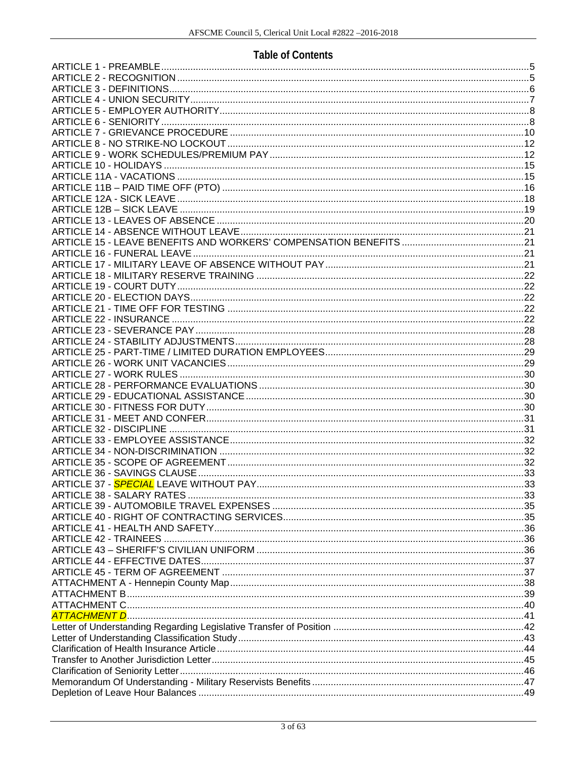# **Table of Contents**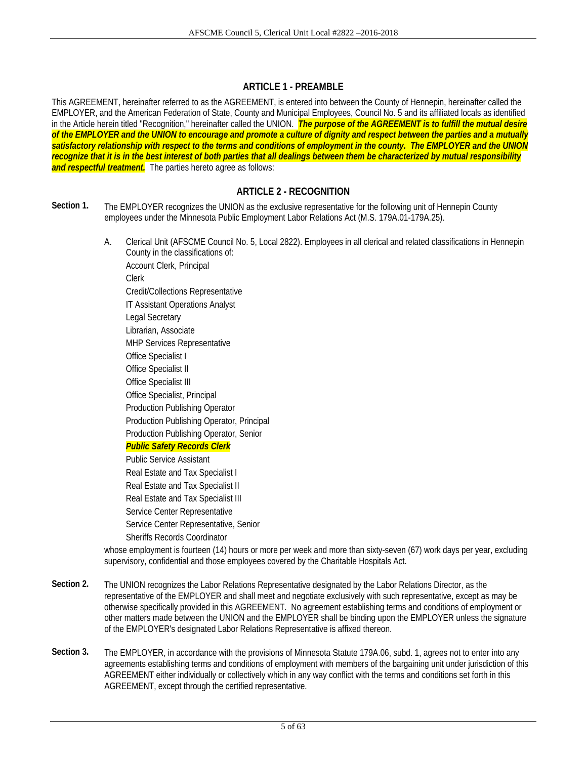## **ARTICLE 1 - PREAMBLE**

This AGREEMENT, hereinafter referred to as the AGREEMENT, is entered into between the County of Hennepin, hereinafter called the EMPLOYER, and the American Federation of State, County and Municipal Employees, Council No. 5 and its affiliated locals as identified in the Article herein titled "Recognition," hereinafter called the UNION. *The purpose of the AGREEMENT is to fulfill the mutual desire of the EMPLOYER and the UNION to encourage and promote a culture of dignity and respect between the parties and a mutually satisfactory relationship with respect to the terms and conditions of employment in the county. The EMPLOYER and the UNION recognize that it is in the best interest of both parties that all dealings between them be characterized by mutual responsibility and respectful treatment.* The parties hereto agree as follows:

## **ARTICLE 2 - RECOGNITION**

- **Section 1.** The EMPLOYER recognizes the UNION as the exclusive representative for the following unit of Hennepin County employees under the Minnesota Public Employment Labor Relations Act (M.S. 179A.01-179A.25).
	- A. Clerical Unit (AFSCME Council No. 5, Local 2822). Employees in all clerical and related classifications in Hennepin County in the classifications of:

 Account Clerk, Principal Clerk Credit/Collections Representative IT Assistant Operations Analyst Legal Secretary Librarian, Associate MHP Services Representative Office Specialist I Office Specialist II Office Specialist III Office Specialist, Principal Production Publishing Operator Production Publishing Operator, Principal Production Publishing Operator, Senior *Public Safety Records Clerk* 

 Public Service Assistant Real Estate and Tax Specialist I Real Estate and Tax Specialist II Real Estate and Tax Specialist III Service Center Representative Service Center Representative, Senior Sheriffs Records Coordinator

 whose employment is fourteen (14) hours or more per week and more than sixty-seven (67) work days per year, excluding supervisory, confidential and those employees covered by the Charitable Hospitals Act.

- **Section 2.** The UNION recognizes the Labor Relations Representative designated by the Labor Relations Director, as the representative of the EMPLOYER and shall meet and negotiate exclusively with such representative, except as may be otherwise specifically provided in this AGREEMENT. No agreement establishing terms and conditions of employment or other matters made between the UNION and the EMPLOYER shall be binding upon the EMPLOYER unless the signature of the EMPLOYER's designated Labor Relations Representative is affixed thereon.
- **Section 3.** The EMPLOYER, in accordance with the provisions of Minnesota Statute 179A.06, subd. 1, agrees not to enter into any agreements establishing terms and conditions of employment with members of the bargaining unit under jurisdiction of this AGREEMENT either individually or collectively which in any way conflict with the terms and conditions set forth in this AGREEMENT, except through the certified representative.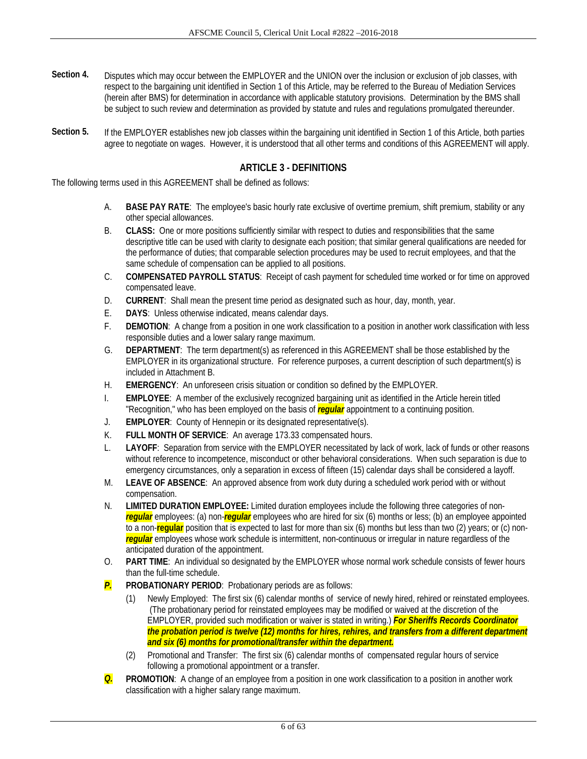- **Section 4.** Disputes which may occur between the EMPLOYER and the UNION over the inclusion or exclusion of job classes, with respect to the bargaining unit identified in Section 1 of this Article, may be referred to the Bureau of Mediation Services (herein after BMS) for determination in accordance with applicable statutory provisions. Determination by the BMS shall be subject to such review and determination as provided by statute and rules and regulations promulgated thereunder.
- Section 5. If the EMPLOYER establishes new job classes within the bargaining unit identified in Section 1 of this Article, both parties agree to negotiate on wages. However, it is understood that all other terms and conditions of this AGREEMENT will apply.

## **ARTICLE 3 - DEFINITIONS**

The following terms used in this AGREEMENT shall be defined as follows:

- A. **BASE PAY RATE**: The employee's basic hourly rate exclusive of overtime premium, shift premium, stability or any other special allowances.
- B. **CLASS:** One or more positions sufficiently similar with respect to duties and responsibilities that the same descriptive title can be used with clarity to designate each position; that similar general qualifications are needed for the performance of duties; that comparable selection procedures may be used to recruit employees, and that the same schedule of compensation can be applied to all positions.
- C. **COMPENSATED PAYROLL STATUS**: Receipt of cash payment for scheduled time worked or for time on approved compensated leave.
- D. **CURRENT**: Shall mean the present time period as designated such as hour, day, month, year.
- E. **DAYS**: Unless otherwise indicated, means calendar days.
- F. **DEMOTION**: A change from a position in one work classification to a position in another work classification with less responsible duties and a lower salary range maximum.
- G. **DEPARTMENT**: The term department(s) as referenced in this AGREEMENT shall be those established by the EMPLOYER in its organizational structure. For reference purposes, a current description of such department(s) is included in Attachment B.
- H. **EMERGENCY**: An unforeseen crisis situation or condition so defined by the EMPLOYER.
- I. **EMPLOYEE**: A member of the exclusively recognized bargaining unit as identified in the Article herein titled "Recognition," who has been employed on the basis of *regular* appointment to a continuing position.
- J. **EMPLOYER**: County of Hennepin or its designated representative(s).
- K. **FULL MONTH OF SERVICE**: An average 173.33 compensated hours.
- L. **LAYOFF**: Separation from service with the EMPLOYER necessitated by lack of work, lack of funds or other reasons without reference to incompetence, misconduct or other behavioral considerations. When such separation is due to emergency circumstances, only a separation in excess of fifteen (15) calendar days shall be considered a layoff.
- M. **LEAVE OF ABSENCE**: An approved absence from work duty during a scheduled work period with or without compensation.
- N. **LIMITED DURATION EMPLOYEE:** Limited duration employees include the following three categories of non*regular* employees: (a) non-*regular* employees who are hired for six (6) months or less; (b) an employee appointed to a non-**regular** position that is expected to last for more than six (6) months but less than two (2) years; or (c) non*regular* employees whose work schedule is intermittent, non-continuous or irregular in nature regardless of the anticipated duration of the appointment.
- O. **PART TIME**: An individual so designated by the EMPLOYER whose normal work schedule consists of fewer hours than the full-time schedule.
- *P.* **PROBATIONARY PERIOD**: Probationary periods are as follows:
	- (1) Newly Employed: The first six (6) calendar months of service of newly hired, rehired or reinstated employees. (The probationary period for reinstated employees may be modified or waived at the discretion of the EMPLOYER, provided such modification or waiver is stated in writing.) *For Sheriffs Records Coordinator the probation period is twelve (12) months for hires, rehires, and transfers from a different department and six (6) months for promotional/transfer within the department.*
	- (2) Promotional and Transfer: The first six (6) calendar months of compensated regular hours of service following a promotional appointment or a transfer.
- *Q.* **PROMOTION**: A change of an employee from a position in one work classification to a position in another work classification with a higher salary range maximum.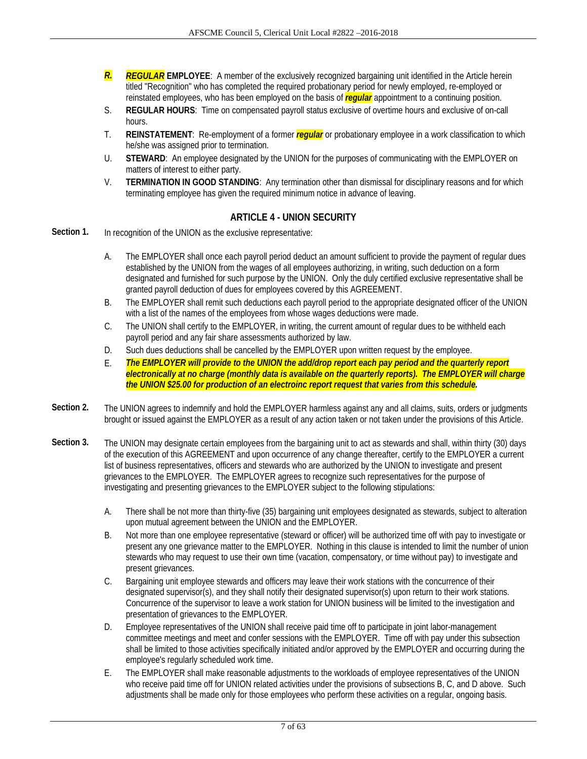- *R. REGULAR* **EMPLOYEE**: A member of the exclusively recognized bargaining unit identified in the Article herein titled "Recognition" who has completed the required probationary period for newly employed, re-employed or reinstated employees, who has been employed on the basis of *regular* appointment to a continuing position.
- S. **REGULAR HOURS**: Time on compensated payroll status exclusive of overtime hours and exclusive of on-call hours.
- T. **REINSTATEMENT**: Re-employment of a former *regular* or probationary employee in a work classification to which he/she was assigned prior to termination.
- U. **STEWARD**: An employee designated by the UNION for the purposes of communicating with the EMPLOYER on matters of interest to either party.
- V. **TERMINATION IN GOOD STANDING**: Any termination other than dismissal for disciplinary reasons and for which terminating employee has given the required minimum notice in advance of leaving.

## **ARTICLE 4 - UNION SECURITY**

- **Section 1.** In recognition of the UNION as the exclusive representative:
	- A. The EMPLOYER shall once each payroll period deduct an amount sufficient to provide the payment of regular dues established by the UNION from the wages of all employees authorizing, in writing, such deduction on a form designated and furnished for such purpose by the UNION. Only the duly certified exclusive representative shall be granted payroll deduction of dues for employees covered by this AGREEMENT.
	- B. The EMPLOYER shall remit such deductions each payroll period to the appropriate designated officer of the UNION with a list of the names of the employees from whose wages deductions were made.
	- C. The UNION shall certify to the EMPLOYER, in writing, the current amount of regular dues to be withheld each payroll period and any fair share assessments authorized by law.
	- D. Such dues deductions shall be cancelled by the EMPLOYER upon written request by the employee.
	- E. *The EMPLOYER will provide to the UNION the add/drop report each pay period and the quarterly report electronically at no charge (monthly data is available on the quarterly reports). The EMPLOYER will charge the UNION \$25.00 for production of an electroinc report request that varies from this schedule.*
- **Section 2.** The UNION agrees to indemnify and hold the EMPLOYER harmless against any and all claims, suits, orders or judgments brought or issued against the EMPLOYER as a result of any action taken or not taken under the provisions of this Article.
- **Section 3.** The UNION may designate certain employees from the bargaining unit to act as stewards and shall, within thirty (30) days of the execution of this AGREEMENT and upon occurrence of any change thereafter, certify to the EMPLOYER a current list of business representatives, officers and stewards who are authorized by the UNION to investigate and present grievances to the EMPLOYER. The EMPLOYER agrees to recognize such representatives for the purpose of investigating and presenting grievances to the EMPLOYER subject to the following stipulations:
	- A. There shall be not more than thirty-five (35) bargaining unit employees designated as stewards, subject to alteration upon mutual agreement between the UNION and the EMPLOYER.
	- B. Not more than one employee representative (steward or officer) will be authorized time off with pay to investigate or present any one grievance matter to the EMPLOYER. Nothing in this clause is intended to limit the number of union stewards who may request to use their own time (vacation, compensatory, or time without pay) to investigate and present grievances.
	- C. Bargaining unit employee stewards and officers may leave their work stations with the concurrence of their designated supervisor(s), and they shall notify their designated supervisor(s) upon return to their work stations. Concurrence of the supervisor to leave a work station for UNION business will be limited to the investigation and presentation of grievances to the EMPLOYER.
	- D. Employee representatives of the UNION shall receive paid time off to participate in joint labor-management committee meetings and meet and confer sessions with the EMPLOYER. Time off with pay under this subsection shall be limited to those activities specifically initiated and/or approved by the EMPLOYER and occurring during the employee's regularly scheduled work time.
	- E. The EMPLOYER shall make reasonable adjustments to the workloads of employee representatives of the UNION who receive paid time off for UNION related activities under the provisions of subsections B, C, and D above. Such adjustments shall be made only for those employees who perform these activities on a regular, ongoing basis.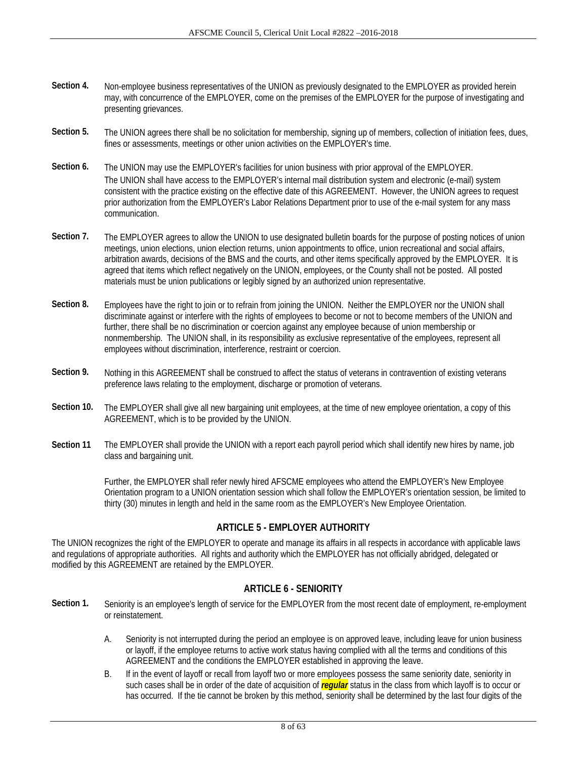- **Section 4.** Non-employee business representatives of the UNION as previously designated to the EMPLOYER as provided herein may, with concurrence of the EMPLOYER, come on the premises of the EMPLOYER for the purpose of investigating and presenting grievances.
- Section 5. The UNION agrees there shall be no solicitation for membership, signing up of members, collection of initiation fees, dues, fines or assessments, meetings or other union activities on the EMPLOYER's time.
- **Section 6.** The UNION may use the EMPLOYER's facilities for union business with prior approval of the EMPLOYER. The UNION shall have access to the EMPLOYER's internal mail distribution system and electronic (e-mail) system consistent with the practice existing on the effective date of this AGREEMENT. However, the UNION agrees to request prior authorization from the EMPLOYER's Labor Relations Department prior to use of the e-mail system for any mass communication.
- Section 7. The EMPLOYER agrees to allow the UNION to use designated bulletin boards for the purpose of posting notices of union meetings, union elections, union election returns, union appointments to office, union recreational and social affairs, arbitration awards, decisions of the BMS and the courts, and other items specifically approved by the EMPLOYER. It is agreed that items which reflect negatively on the UNION, employees, or the County shall not be posted. All posted materials must be union publications or legibly signed by an authorized union representative.
- **Section 8.** Employees have the right to join or to refrain from joining the UNION. Neither the EMPLOYER nor the UNION shall discriminate against or interfere with the rights of employees to become or not to become members of the UNION and further, there shall be no discrimination or coercion against any employee because of union membership or nonmembership. The UNION shall, in its responsibility as exclusive representative of the employees, represent all employees without discrimination, interference, restraint or coercion.
- **Section 9.** Nothing in this AGREEMENT shall be construed to affect the status of veterans in contravention of existing veterans preference laws relating to the employment, discharge or promotion of veterans.
- Section 10. The EMPLOYER shall give all new bargaining unit employees, at the time of new employee orientation, a copy of this AGREEMENT, which is to be provided by the UNION.
- **Section 11** The EMPLOYER shall provide the UNION with a report each payroll period which shall identify new hires by name, job class and bargaining unit.

Further, the EMPLOYER shall refer newly hired AFSCME employees who attend the EMPLOYER's New Employee Orientation program to a UNION orientation session which shall follow the EMPLOYER's orientation session, be limited to thirty (30) minutes in length and held in the same room as the EMPLOYER's New Employee Orientation.

## **ARTICLE 5 - EMPLOYER AUTHORITY**

The UNION recognizes the right of the EMPLOYER to operate and manage its affairs in all respects in accordance with applicable laws and regulations of appropriate authorities. All rights and authority which the EMPLOYER has not officially abridged, delegated or modified by this AGREEMENT are retained by the EMPLOYER.

## **ARTICLE 6 - SENIORITY**

- **Section 1.** Seniority is an employee's length of service for the EMPLOYER from the most recent date of employment, re-employment or reinstatement.
	- A. Seniority is not interrupted during the period an employee is on approved leave, including leave for union business or layoff, if the employee returns to active work status having complied with all the terms and conditions of this AGREEMENT and the conditions the EMPLOYER established in approving the leave.
	- B. If in the event of layoff or recall from layoff two or more employees possess the same seniority date, seniority in such cases shall be in order of the date of acquisition of *regular* status in the class from which layoff is to occur or has occurred. If the tie cannot be broken by this method, seniority shall be determined by the last four digits of the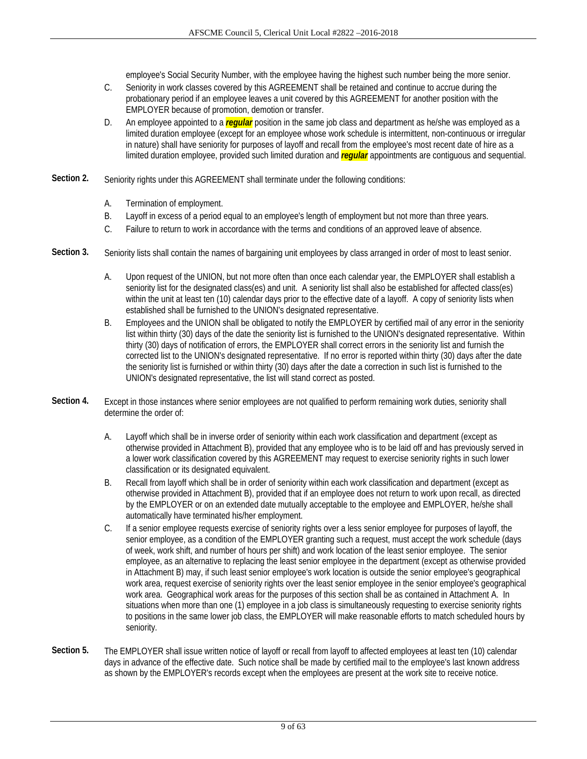employee's Social Security Number, with the employee having the highest such number being the more senior.

- C. Seniority in work classes covered by this AGREEMENT shall be retained and continue to accrue during the probationary period if an employee leaves a unit covered by this AGREEMENT for another position with the EMPLOYER because of promotion, demotion or transfer.
- D. An employee appointed to a *regular* position in the same job class and department as he/she was employed as a limited duration employee (except for an employee whose work schedule is intermittent, non-continuous or irregular in nature) shall have seniority for purposes of layoff and recall from the employee's most recent date of hire as a limited duration employee, provided such limited duration and *regular* appointments are contiguous and sequential.
- **Section 2.** Seniority rights under this AGREEMENT shall terminate under the following conditions:
	- A. Termination of employment.
	- B. Layoff in excess of a period equal to an employee's length of employment but not more than three years.
	- C. Failure to return to work in accordance with the terms and conditions of an approved leave of absence.
- Section 3. Seniority lists shall contain the names of bargaining unit employees by class arranged in order of most to least senior.
	- A. Upon request of the UNION, but not more often than once each calendar year, the EMPLOYER shall establish a seniority list for the designated class(es) and unit. A seniority list shall also be established for affected class(es) within the unit at least ten (10) calendar days prior to the effective date of a layoff. A copy of seniority lists when established shall be furnished to the UNION's designated representative.
	- B. Employees and the UNION shall be obligated to notify the EMPLOYER by certified mail of any error in the seniority list within thirty (30) days of the date the seniority list is furnished to the UNION's designated representative. Within thirty (30) days of notification of errors, the EMPLOYER shall correct errors in the seniority list and furnish the corrected list to the UNION's designated representative. If no error is reported within thirty (30) days after the date the seniority list is furnished or within thirty (30) days after the date a correction in such list is furnished to the UNION's designated representative, the list will stand correct as posted.
- Section 4. Except in those instances where senior employees are not qualified to perform remaining work duties, seniority shall determine the order of:
	- A. Layoff which shall be in inverse order of seniority within each work classification and department (except as otherwise provided in Attachment B), provided that any employee who is to be laid off and has previously served in a lower work classification covered by this AGREEMENT may request to exercise seniority rights in such lower classification or its designated equivalent.
	- B. Recall from layoff which shall be in order of seniority within each work classification and department (except as otherwise provided in Attachment B), provided that if an employee does not return to work upon recall, as directed by the EMPLOYER or on an extended date mutually acceptable to the employee and EMPLOYER, he/she shall automatically have terminated his/her employment.
	- C. If a senior employee requests exercise of seniority rights over a less senior employee for purposes of layoff, the senior employee, as a condition of the EMPLOYER granting such a request, must accept the work schedule (days of week, work shift, and number of hours per shift) and work location of the least senior employee. The senior employee, as an alternative to replacing the least senior employee in the department (except as otherwise provided in Attachment B) may, if such least senior employee's work location is outside the senior employee's geographical work area, request exercise of seniority rights over the least senior employee in the senior employee's geographical work area. Geographical work areas for the purposes of this section shall be as contained in Attachment A. In situations when more than one (1) employee in a job class is simultaneously requesting to exercise seniority rights to positions in the same lower job class, the EMPLOYER will make reasonable efforts to match scheduled hours by seniority.
- **Section 5.** The EMPLOYER shall issue written notice of layoff or recall from layoff to affected employees at least ten (10) calendar days in advance of the effective date. Such notice shall be made by certified mail to the employee's last known address as shown by the EMPLOYER's records except when the employees are present at the work site to receive notice.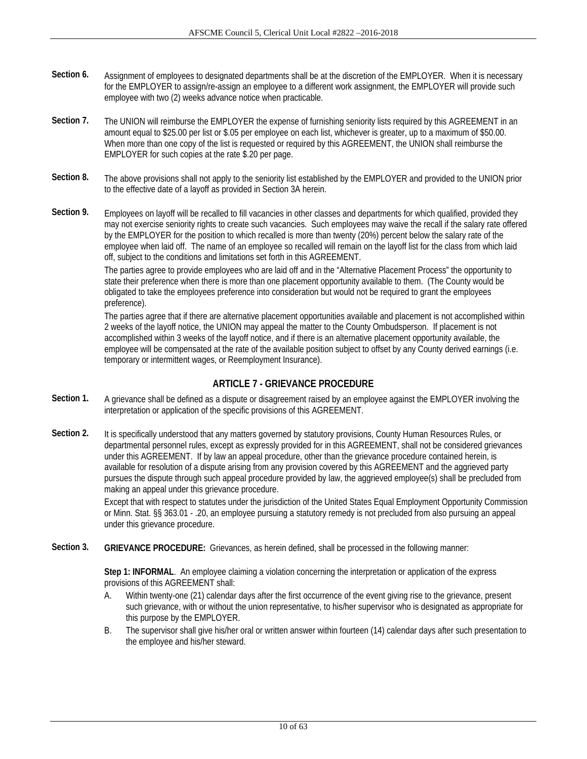- Section 6. Assignment of employees to designated departments shall be at the discretion of the EMPLOYER. When it is necessary for the EMPLOYER to assign/re-assign an employee to a different work assignment, the EMPLOYER will provide such employee with two (2) weeks advance notice when practicable.
- Section 7. The UNION will reimburse the EMPLOYER the expense of furnishing seniority lists required by this AGREEMENT in an amount equal to \$25.00 per list or \$.05 per employee on each list, whichever is greater, up to a maximum of \$50.00. When more than one copy of the list is requested or required by this AGREEMENT, the UNION shall reimburse the EMPLOYER for such copies at the rate \$.20 per page.
- **Section 8.** The above provisions shall not apply to the seniority list established by the EMPLOYER and provided to the UNION prior to the effective date of a layoff as provided in Section 3A herein.
- **Section 9.** Employees on layoff will be recalled to fill vacancies in other classes and departments for which qualified, provided they may not exercise seniority rights to create such vacancies. Such employees may waive the recall if the salary rate offered by the EMPLOYER for the position to which recalled is more than twenty (20%) percent below the salary rate of the employee when laid off. The name of an employee so recalled will remain on the layoff list for the class from which laid off, subject to the conditions and limitations set forth in this AGREEMENT.

 The parties agree to provide employees who are laid off and in the "Alternative Placement Process" the opportunity to state their preference when there is more than one placement opportunity available to them. (The County would be obligated to take the employees preference into consideration but would not be required to grant the employees preference).

 The parties agree that if there are alternative placement opportunities available and placement is not accomplished within 2 weeks of the layoff notice, the UNION may appeal the matter to the County Ombudsperson. If placement is not accomplished within 3 weeks of the layoff notice, and if there is an alternative placement opportunity available, the employee will be compensated at the rate of the available position subject to offset by any County derived earnings (i.e. temporary or intermittent wages, or Reemployment Insurance).

## **ARTICLE 7 - GRIEVANCE PROCEDURE**

- **Section 1.** A grievance shall be defined as a dispute or disagreement raised by an employee against the EMPLOYER involving the interpretation or application of the specific provisions of this AGREEMENT.
- Section 2. It is specifically understood that any matters governed by statutory provisions, County Human Resources Rules, or departmental personnel rules, except as expressly provided for in this AGREEMENT, shall not be considered grievances under this AGREEMENT. If by law an appeal procedure, other than the grievance procedure contained herein, is available for resolution of a dispute arising from any provision covered by this AGREEMENT and the aggrieved party pursues the dispute through such appeal procedure provided by law, the aggrieved employee(s) shall be precluded from making an appeal under this grievance procedure.

Except that with respect to statutes under the jurisdiction of the United States Equal Employment Opportunity Commission or Minn. Stat. §§ 363.01 - .20, an employee pursuing a statutory remedy is not precluded from also pursuing an appeal under this grievance procedure.

**Section 3. GRIEVANCE PROCEDURE:** Grievances, as herein defined, shall be processed in the following manner:

**Step 1: INFORMAL**. An employee claiming a violation concerning the interpretation or application of the express provisions of this AGREEMENT shall:

- A. Within twenty-one (21) calendar days after the first occurrence of the event giving rise to the grievance, present such grievance, with or without the union representative, to his/her supervisor who is designated as appropriate for this purpose by the EMPLOYER.
- B. The supervisor shall give his/her oral or written answer within fourteen (14) calendar days after such presentation to the employee and his/her steward.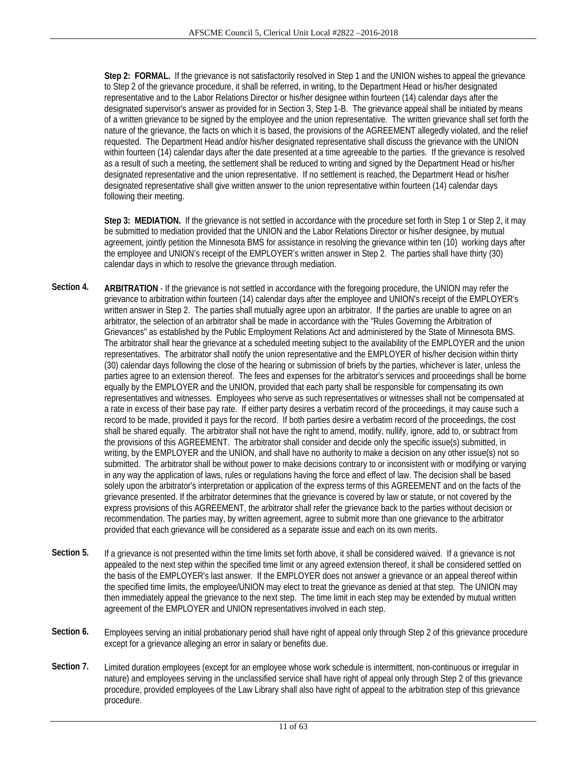**Step 2: FORMAL.** If the grievance is not satisfactorily resolved in Step 1 and the UNION wishes to appeal the grievance to Step 2 of the grievance procedure, it shall be referred, in writing, to the Department Head or his/her designated representative and to the Labor Relations Director or his/her designee within fourteen (14) calendar days after the designated supervisor's answer as provided for in Section 3, Step 1-B. The grievance appeal shall be initiated by means of a written grievance to be signed by the employee and the union representative. The written grievance shall set forth the nature of the grievance, the facts on which it is based, the provisions of the AGREEMENT allegedly violated, and the relief requested. The Department Head and/or his/her designated representative shall discuss the grievance with the UNION within fourteen (14) calendar days after the date presented at a time agreeable to the parties. If the grievance is resolved as a result of such a meeting, the settlement shall be reduced to writing and signed by the Department Head or his/her designated representative and the union representative. If no settlement is reached, the Department Head or his/her designated representative shall give written answer to the union representative within fourteen (14) calendar days following their meeting.

**Step 3: MEDIATION.** If the grievance is not settled in accordance with the procedure set forth in Step 1 or Step 2, it may be submitted to mediation provided that the UNION and the Labor Relations Director or his/her designee, by mutual agreement, jointly petition the Minnesota BMS for assistance in resolving the grievance within ten (10) working days after the employee and UNION's receipt of the EMPLOYER's written answer in Step 2. The parties shall have thirty (30) calendar days in which to resolve the grievance through mediation.

- **Section 4. ARBITRATION** If the grievance is not settled in accordance with the foregoing procedure, the UNION may refer the grievance to arbitration within fourteen (14) calendar days after the employee and UNION's receipt of the EMPLOYER's written answer in Step 2. The parties shall mutually agree upon an arbitrator. If the parties are unable to agree on an arbitrator, the selection of an arbitrator shall be made in accordance with the "Rules Governing the Arbitration of Grievances" as established by the Public Employment Relations Act and administered by the State of Minnesota BMS. The arbitrator shall hear the grievance at a scheduled meeting subject to the availability of the EMPLOYER and the union representatives. The arbitrator shall notify the union representative and the EMPLOYER of his/her decision within thirty (30) calendar days following the close of the hearing or submission of briefs by the parties, whichever is later, unless the parties agree to an extension thereof. The fees and expenses for the arbitrator's services and proceedings shall be borne equally by the EMPLOYER and the UNION, provided that each party shall be responsible for compensating its own representatives and witnesses. Employees who serve as such representatives or witnesses shall not be compensated at a rate in excess of their base pay rate. If either party desires a verbatim record of the proceedings, it may cause such a record to be made, provided it pays for the record. If both parties desire a verbatim record of the proceedings, the cost shall be shared equally. The arbitrator shall not have the right to amend, modify, nullify, ignore, add to, or subtract from the provisions of this AGREEMENT. The arbitrator shall consider and decide only the specific issue(s) submitted, in writing, by the EMPLOYER and the UNION, and shall have no authority to make a decision on any other issue(s) not so submitted. The arbitrator shall be without power to make decisions contrary to or inconsistent with or modifying or varying in any way the application of laws, rules or regulations having the force and effect of law. The decision shall be based solely upon the arbitrator's interpretation or application of the express terms of this AGREEMENT and on the facts of the grievance presented. If the arbitrator determines that the grievance is covered by law or statute, or not covered by the express provisions of this AGREEMENT, the arbitrator shall refer the grievance back to the parties without decision or recommendation. The parties may, by written agreement, agree to submit more than one grievance to the arbitrator provided that each grievance will be considered as a separate issue and each on its own merits.
- **Section 5.** If a grievance is not presented within the time limits set forth above, it shall be considered waived. If a grievance is not appealed to the next step within the specified time limit or any agreed extension thereof, it shall be considered settled on the basis of the EMPLOYER's last answer. If the EMPLOYER does not answer a grievance or an appeal thereof within the specified time limits, the employee/UNION may elect to treat the grievance as denied at that step. The UNION may then immediately appeal the grievance to the next step. The time limit in each step may be extended by mutual written agreement of the EMPLOYER and UNION representatives involved in each step.
- Section 6. Employees serving an initial probationary period shall have right of appeal only through Step 2 of this grievance procedure except for a grievance alleging an error in salary or benefits due.
- **Section 7.** Limited duration employees (except for an employee whose work schedule is intermittent, non-continuous or irregular in nature) and employees serving in the unclassified service shall have right of appeal only through Step 2 of this grievance procedure, provided employees of the Law Library shall also have right of appeal to the arbitration step of this grievance procedure.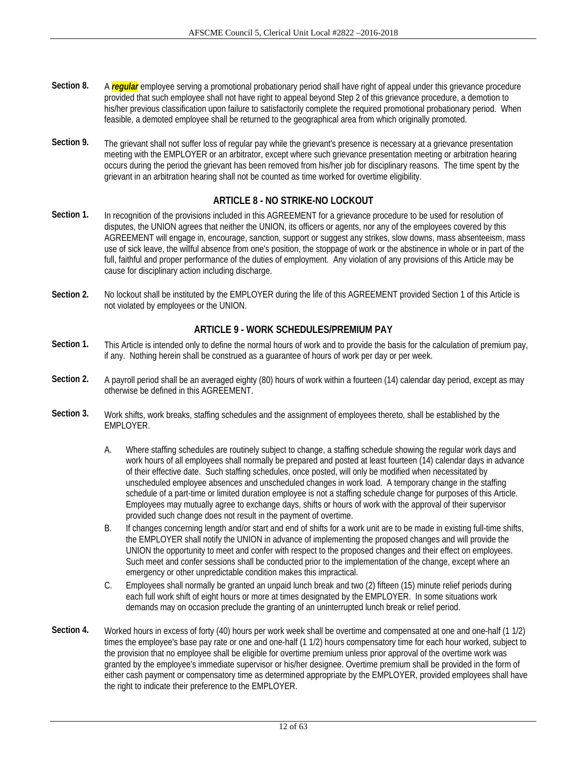- **Section 8.** A *regular* employee serving a promotional probationary period shall have right of appeal under this grievance procedure provided that such employee shall not have right to appeal beyond Step 2 of this grievance procedure, a demotion to his/her previous classification upon failure to satisfactorily complete the required promotional probationary period. When feasible, a demoted employee shall be returned to the geographical area from which originally promoted.
- **Section 9.** The grievant shall not suffer loss of regular pay while the grievant's presence is necessary at a grievance presentation meeting with the EMPLOYER or an arbitrator, except where such grievance presentation meeting or arbitration hearing occurs during the period the grievant has been removed from his/her job for disciplinary reasons. The time spent by the grievant in an arbitration hearing shall not be counted as time worked for overtime eligibility.

## **ARTICLE 8 - NO STRIKE-NO LOCKOUT**

- **Section 1.** In recognition of the provisions included in this AGREEMENT for a grievance procedure to be used for resolution of disputes, the UNION agrees that neither the UNION, its officers or agents, nor any of the employees covered by this AGREEMENT will engage in, encourage, sanction, support or suggest any strikes, slow downs, mass absenteeism, mass use of sick leave, the willful absence from one's position, the stoppage of work or the abstinence in whole or in part of the full, faithful and proper performance of the duties of employment. Any violation of any provisions of this Article may be cause for disciplinary action including discharge.
- **Section 2.** No lockout shall be instituted by the EMPLOYER during the life of this AGREEMENT provided Section 1 of this Article is not violated by employees or the UNION.

## **ARTICLE 9 - WORK SCHEDULES/PREMIUM PAY**

- **Section 1.** This Article is intended only to define the normal hours of work and to provide the basis for the calculation of premium pay, if any. Nothing herein shall be construed as a guarantee of hours of work per day or per week.
- **Section 2.** A payroll period shall be an averaged eighty (80) hours of work within a fourteen (14) calendar day period, except as may otherwise be defined in this AGREEMENT.
- **Section 3.** Work shifts, work breaks, staffing schedules and the assignment of employees thereto, shall be established by the EMPLOYER.
	- A. Where staffing schedules are routinely subject to change, a staffing schedule showing the regular work days and work hours of all employees shall normally be prepared and posted at least fourteen (14) calendar days in advance of their effective date. Such staffing schedules, once posted, will only be modified when necessitated by unscheduled employee absences and unscheduled changes in work load. A temporary change in the staffing schedule of a part-time or limited duration employee is not a staffing schedule change for purposes of this Article. Employees may mutually agree to exchange days, shifts or hours of work with the approval of their supervisor provided such change does not result in the payment of overtime.
	- B. If changes concerning length and/or start and end of shifts for a work unit are to be made in existing full-time shifts, the EMPLOYER shall notify the UNION in advance of implementing the proposed changes and will provide the UNION the opportunity to meet and confer with respect to the proposed changes and their effect on employees. Such meet and confer sessions shall be conducted prior to the implementation of the change, except where an emergency or other unpredictable condition makes this impractical.
	- C. Employees shall normally be granted an unpaid lunch break and two (2) fifteen (15) minute relief periods during each full work shift of eight hours or more at times designated by the EMPLOYER. In some situations work demands may on occasion preclude the granting of an uninterrupted lunch break or relief period.
- **Section 4.** Worked hours in excess of forty (40) hours per work week shall be overtime and compensated at one and one-half (1 1/2) times the employee's base pay rate or one and one-half (1 1/2) hours compensatory time for each hour worked, subject to the provision that no employee shall be eligible for overtime premium unless prior approval of the overtime work was granted by the employee's immediate supervisor or his/her designee. Overtime premium shall be provided in the form of either cash payment or compensatory time as determined appropriate by the EMPLOYER, provided employees shall have the right to indicate their preference to the EMPLOYER.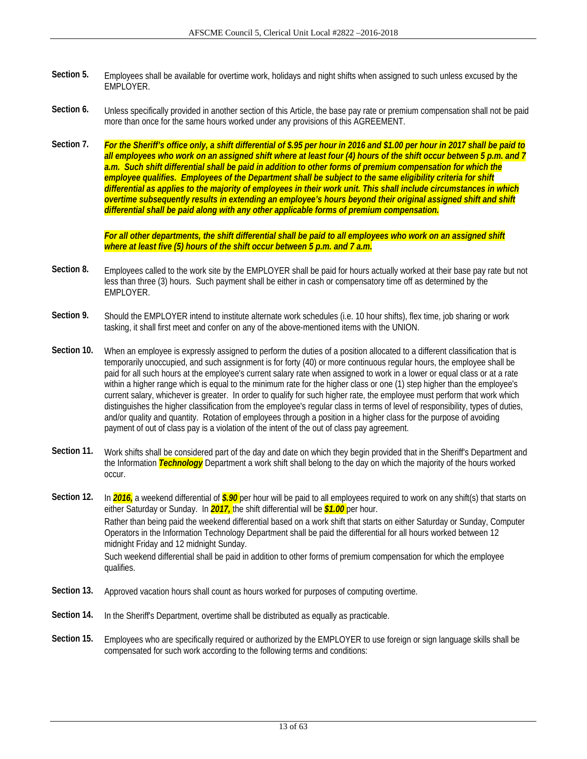- **Section 5.** Employees shall be available for overtime work, holidays and night shifts when assigned to such unless excused by the EMPLOYER.
- Section 6. Unless specifically provided in another section of this Article, the base pay rate or premium compensation shall not be paid more than once for the same hours worked under any provisions of this AGREEMENT.
- **Section 7.** *For the Sheriff's office only, a shift differential of \$.95 per hour in 2016 and \$1.00 per hour in 2017 shall be paid to all employees who work on an assigned shift where at least four (4) hours of the shift occur between 5 p.m. and 7 a.m. Such shift differential shall be paid in addition to other forms of premium compensation for which the employee qualifies. Employees of the Department shall be subject to the same eligibility criteria for shift differential as applies to the majority of employees in their work unit. This shall include circumstances in which overtime subsequently results in extending an employee's hours beyond their original assigned shift and shift differential shall be paid along with any other applicable forms of premium compensation.*

*For all other departments, the shift differential shall be paid to all employees who work on an assigned shift where at least five (5) hours of the shift occur between 5 p.m. and 7 a.m.* 

- **Section 8.** Employees called to the work site by the EMPLOYER shall be paid for hours actually worked at their base pay rate but not less than three (3) hours. Such payment shall be either in cash or compensatory time off as determined by the EMPLOYER.
- Section 9. Should the EMPLOYER intend to institute alternate work schedules (i.e. 10 hour shifts), flex time, job sharing or work tasking, it shall first meet and confer on any of the above-mentioned items with the UNION.
- **Section 10.** When an employee is expressly assigned to perform the duties of a position allocated to a different classification that is temporarily unoccupied, and such assignment is for forty (40) or more continuous regular hours, the employee shall be paid for all such hours at the employee's current salary rate when assigned to work in a lower or equal class or at a rate within a higher range which is equal to the minimum rate for the higher class or one (1) step higher than the employee's current salary, whichever is greater. In order to qualify for such higher rate, the employee must perform that work which distinguishes the higher classification from the employee's regular class in terms of level of responsibility, types of duties, and/or quality and quantity. Rotation of employees through a position in a higher class for the purpose of avoiding payment of out of class pay is a violation of the intent of the out of class pay agreement.
- **Section 11.** Work shifts shall be considered part of the day and date on which they begin provided that in the Sheriff's Department and the Information *Technology* Department a work shift shall belong to the day on which the majority of the hours worked occur.

Section 12. In **2016**, a weekend differential of **\$.90** per hour will be paid to all employees required to work on any shift(s) that starts on either Saturday or Sunday. In *2017,* the shift differential will be *\$1.00* per hour. Rather than being paid the weekend differential based on a work shift that starts on either Saturday or Sunday, Computer Operators in the Information Technology Department shall be paid the differential for all hours worked between 12 midnight Friday and 12 midnight Sunday. Such weekend differential shall be paid in addition to other forms of premium compensation for which the employee qualifies.

- **Section 13.** Approved vacation hours shall count as hours worked for purposes of computing overtime.
- **Section 14.** In the Sheriff's Department, overtime shall be distributed as equally as practicable.
- **Section 15.** Employees who are specifically required or authorized by the EMPLOYER to use foreign or sign language skills shall be compensated for such work according to the following terms and conditions: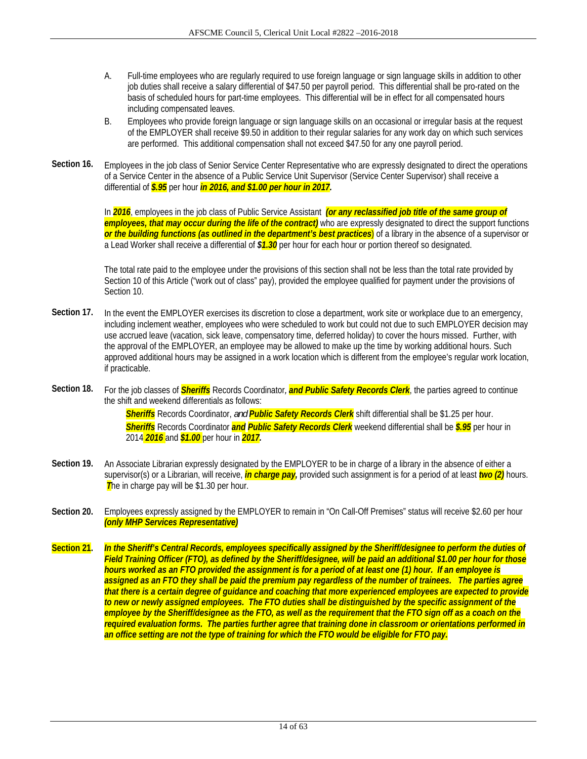- A. Full-time employees who are regularly required to use foreign language or sign language skills in addition to other job duties shall receive a salary differential of \$47.50 per payroll period. This differential shall be pro-rated on the basis of scheduled hours for part-time employees. This differential will be in effect for all compensated hours including compensated leaves.
- B. Employees who provide foreign language or sign language skills on an occasional or irregular basis at the request of the EMPLOYER shall receive \$9.50 in addition to their regular salaries for any work day on which such services are performed. This additional compensation shall not exceed \$47.50 for any one payroll period.
- **Section 16.** Employees in the job class of Senior Service Center Representative who are expressly designated to direct the operations of a Service Center in the absence of a Public Service Unit Supervisor (Service Center Supervisor) shall receive a differential of *\$.95* per hour *in 2016, and \$1.00 per hour in 2017.*

In *2016*, employees in the job class of Public Service Assistant *(or any reclassified job title of the same group of employees, that may occur during the life of the contract)* who are expressly designated to direct the support functions *or the building functions (as outlined in the department's best practices*) of a library in the absence of a supervisor or a Lead Worker shall receive a differential of *\$1.30* per hour for each hour or portion thereof so designated.

 The total rate paid to the employee under the provisions of this section shall not be less than the total rate provided by Section 10 of this Article ("work out of class" pay), provided the employee qualified for payment under the provisions of Section 10.

- **Section 17.** In the event the EMPLOYER exercises its discretion to close a department, work site or workplace due to an emergency, including inclement weather, employees who were scheduled to work but could not due to such EMPLOYER decision may use accrued leave (vacation, sick leave, compensatory time, deferred holiday) to cover the hours missed. Further, with the approval of the EMPLOYER, an employee may be allowed to make up the time by working additional hours. Such approved additional hours may be assigned in a work location which is different from the employee's regular work location, if practicable.
- **Section 18.** For the job classes of *Sheriffs* Records Coordinator*, and Public Safety Records Clerk*, the parties agreed to continue the shift and weekend differentials as follows:

*Sheriffs* Records Coordinator, *and Public Safety Records Clerk* shift differential shall be \$1.25 per hour. *Sheriffs* Records Coordinator *and Public Safety Records Clerk* weekend differential shall be *\$.95* per hour in 2014 *2016* and *\$1.00* per hour in *2017.*

- **Section 19.** An Associate Librarian expressly designated by the EMPLOYER to be in charge of a library in the absence of either a supervisor(s) or a Librarian, will receive, *in charge pay,* provided such assignment is for a period of at least *two (2)* hours. **The in charge pay will be \$1.30 per hour.**
- **Section 20.** Employees expressly assigned by the EMPLOYER to remain in "On Call-Off Premises" status will receive \$2.60 per hour *(only MHP Services Representative)*
- **Section 21.** *In the Sheriff's Central Records, employees specifically assigned by the Sheriff/designee to perform the duties of Field Training Officer (FTO), as defined by the Sheriff/designee, will be paid an additional \$1.00 per hour for those hours worked as an FTO provided the assignment is for a period of at least one (1) hour. If an employee is assigned as an FTO they shall be paid the premium pay regardless of the number of trainees. The parties agree that there is a certain degree of guidance and coaching that more experienced employees are expected to provide to new or newly assigned employees. The FTO duties shall be distinguished by the specific assignment of the employee by the Sheriff/designee as the FTO, as well as the requirement that the FTO sign off as a coach on the required evaluation forms. The parties further agree that training done in classroom or orientations performed in an office setting are not the type of training for which the FTO would be eligible for FTO pay.*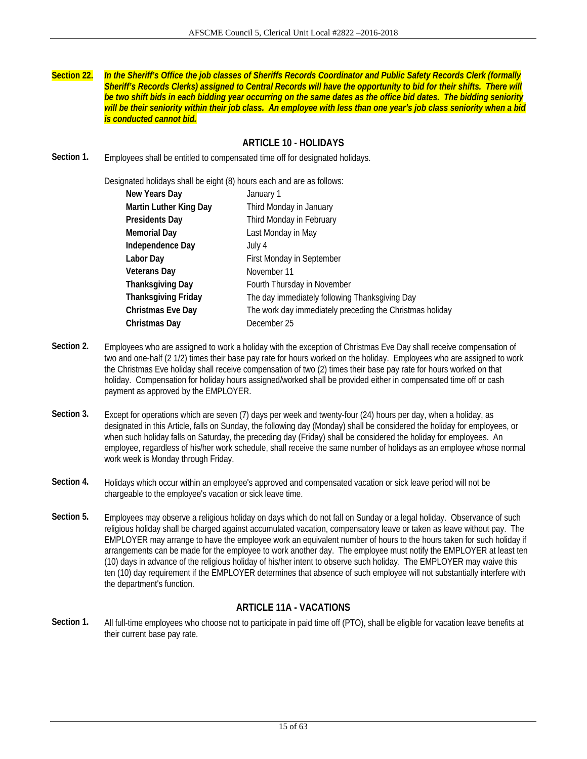**Section 22.** *In the Sheriff's Office the job classes of Sheriffs Records Coordinator and Public Safety Records Clerk (formally Sheriff's Records Clerks) assigned to Central Records will have the opportunity to bid for their shifts. There will be two shift bids in each bidding year occurring on the same dates as the office bid dates. The bidding seniority will be their seniority within their job class. An employee with less than one year's job class seniority when a bid is conducted cannot bid.* 

## **ARTICLE 10 - HOLIDAYS**

**Section 1.** Employees shall be entitled to compensated time off for designated holidays.

Designated holidays shall be eight (8) hours each and are as follows:

| New Years Day              | January 1                                                |
|----------------------------|----------------------------------------------------------|
| Martin Luther King Day     | Third Monday in January                                  |
| <b>Presidents Day</b>      | Third Monday in February                                 |
| <b>Memorial Day</b>        | Last Monday in May                                       |
| Independence Day           | July 4                                                   |
| Labor Day                  | First Monday in September                                |
| <b>Veterans Day</b>        | November 11                                              |
| <b>Thanksgiving Day</b>    | Fourth Thursday in November                              |
| <b>Thanksgiving Friday</b> | The day immediately following Thanksgiving Day           |
| <b>Christmas Eve Day</b>   | The work day immediately preceding the Christmas holiday |
| Christmas Day              | December 25                                              |

- **Section 2.** Employees who are assigned to work a holiday with the exception of Christmas Eve Day shall receive compensation of two and one-half (2 1/2) times their base pay rate for hours worked on the holiday. Employees who are assigned to work the Christmas Eve holiday shall receive compensation of two (2) times their base pay rate for hours worked on that holiday. Compensation for holiday hours assigned/worked shall be provided either in compensated time off or cash payment as approved by the EMPLOYER.
- **Section 3.** Except for operations which are seven (7) days per week and twenty-four (24) hours per day, when a holiday, as designated in this Article, falls on Sunday, the following day (Monday) shall be considered the holiday for employees, or when such holiday falls on Saturday, the preceding day (Friday) shall be considered the holiday for employees. An employee, regardless of his/her work schedule, shall receive the same number of holidays as an employee whose normal work week is Monday through Friday.
- **Section 4.** Holidays which occur within an employee's approved and compensated vacation or sick leave period will not be chargeable to the employee's vacation or sick leave time.
- **Section 5.** Employees may observe a religious holiday on days which do not fall on Sunday or a legal holiday. Observance of such religious holiday shall be charged against accumulated vacation, compensatory leave or taken as leave without pay. The EMPLOYER may arrange to have the employee work an equivalent number of hours to the hours taken for such holiday if arrangements can be made for the employee to work another day. The employee must notify the EMPLOYER at least ten (10) days in advance of the religious holiday of his/her intent to observe such holiday. The EMPLOYER may waive this ten (10) day requirement if the EMPLOYER determines that absence of such employee will not substantially interfere with the department's function.

### **ARTICLE 11A - VACATIONS**

**Section 1.** All full-time employees who choose not to participate in paid time off (PTO), shall be eligible for vacation leave benefits at their current base pay rate.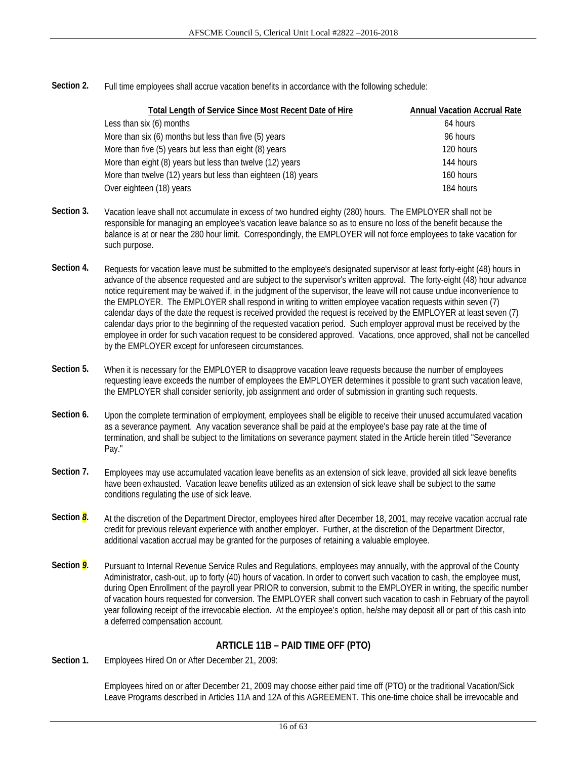**Section 2.** Full time employees shall accrue vacation benefits in accordance with the following schedule:

| Total Length of Service Since Most Recent Date of Hire        | <b>Annual Vacation Accrual Rate</b> |
|---------------------------------------------------------------|-------------------------------------|
| Less than six (6) months                                      | 64 hours                            |
| More than six (6) months but less than five (5) years         | 96 hours                            |
| More than five (5) years but less than eight (8) years        | 120 hours                           |
| More than eight (8) years but less than twelve (12) years     | 144 hours                           |
| More than twelve (12) years but less than eighteen (18) years | 160 hours                           |
| Over eighteen (18) years                                      | 184 hours                           |

- **Section 3.** Vacation leave shall not accumulate in excess of two hundred eighty (280) hours. The EMPLOYER shall not be responsible for managing an employee's vacation leave balance so as to ensure no loss of the benefit because the balance is at or near the 280 hour limit. Correspondingly, the EMPLOYER will not force employees to take vacation for such purpose.
- Section 4. Requests for vacation leave must be submitted to the employee's designated supervisor at least forty-eight (48) hours in advance of the absence requested and are subject to the supervisor's written approval. The forty-eight (48) hour advance notice requirement may be waived if, in the judgment of the supervisor, the leave will not cause undue inconvenience to the EMPLOYER. The EMPLOYER shall respond in writing to written employee vacation requests within seven (7) calendar days of the date the request is received provided the request is received by the EMPLOYER at least seven (7) calendar days prior to the beginning of the requested vacation period. Such employer approval must be received by the employee in order for such vacation request to be considered approved. Vacations, once approved, shall not be cancelled by the EMPLOYER except for unforeseen circumstances.
- **Section 5.** When it is necessary for the EMPLOYER to disapprove vacation leave requests because the number of employees requesting leave exceeds the number of employees the EMPLOYER determines it possible to grant such vacation leave, the EMPLOYER shall consider seniority, job assignment and order of submission in granting such requests.
- Section 6. Upon the complete termination of employment, employees shall be eligible to receive their unused accumulated vacation as a severance payment. Any vacation severance shall be paid at the employee's base pay rate at the time of termination, and shall be subject to the limitations on severance payment stated in the Article herein titled "Severance Pay."
- Section 7. Employees may use accumulated vacation leave benefits as an extension of sick leave, provided all sick leave benefits have been exhausted. Vacation leave benefits utilized as an extension of sick leave shall be subject to the same conditions regulating the use of sick leave.
- **Section** *8*. At the discretion of the Department Director, employees hired after December 18, 2001, may receive vacation accrual rate credit for previous relevant experience with another employer. Further, at the discretion of the Department Director, additional vacation accrual may be granted for the purposes of retaining a valuable employee.
- **Section** *9***.** Pursuant to Internal Revenue Service Rules and Regulations, employees may annually, with the approval of the County Administrator, cash-out, up to forty (40) hours of vacation. In order to convert such vacation to cash, the employee must, during Open Enrollment of the payroll year PRIOR to conversion, submit to the EMPLOYER in writing, the specific number of vacation hours requested for conversion. The EMPLOYER shall convert such vacation to cash in February of the payroll year following receipt of the irrevocable election. At the employee's option, he/she may deposit all or part of this cash into a deferred compensation account.

## **ARTICLE 11B – PAID TIME OFF (PTO)**

**Section 1.** Employees Hired On or After December 21, 2009:

Employees hired on or after December 21, 2009 may choose either paid time off (PTO) or the traditional Vacation/Sick Leave Programs described in Articles 11A and 12A of this AGREEMENT. This one-time choice shall be irrevocable and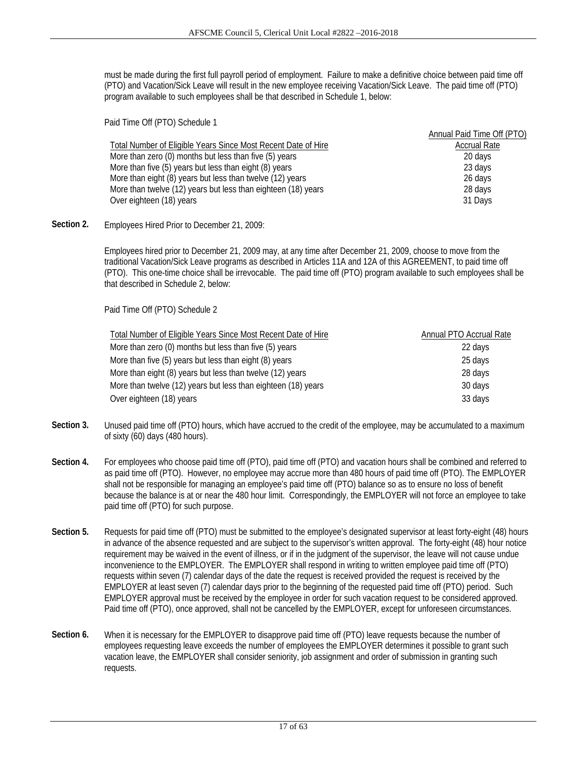must be made during the first full payroll period of employment. Failure to make a definitive choice between paid time off (PTO) and Vacation/Sick Leave will result in the new employee receiving Vacation/Sick Leave. The paid time off (PTO) program available to such employees shall be that described in Schedule 1, below:

Paid Time Off (PTO) Schedule 1 Total Number of Eligible Years Since Most Recent Date of Hire Annual Paid Time Off (PTO) Accrual Rate More than zero (0) months but less than five (5) years 20 days 20 days More than five (5) years but less than eight (8) years 23 days More than eight (8) years but less than twelve (12) years 26 days More than twelve (12) years but less than eighteen (18) years 28 days Over eighteen (18) years 31 Days

**Section 2.** Employees Hired Prior to December 21, 2009:

Employees hired prior to December 21, 2009 may, at any time after December 21, 2009, choose to move from the traditional Vacation/Sick Leave programs as described in Articles 11A and 12A of this AGREEMENT, to paid time off (PTO). This one-time choice shall be irrevocable. The paid time off (PTO) program available to such employees shall be that described in Schedule 2, below:

Paid Time Off (PTO) Schedule 2

| Total Number of Eligible Years Since Most Recent Date of Hire | Annual PTO Accrual Rate |
|---------------------------------------------------------------|-------------------------|
| More than zero (0) months but less than five (5) years        | 22 days                 |
| More than five (5) years but less than eight (8) years        | 25 days                 |
| More than eight (8) years but less than twelve (12) years     | 28 days                 |
| More than twelve (12) years but less than eighteen (18) years | 30 days                 |
| Over eighteen (18) years                                      | 33 days                 |

- **Section 3.** Unused paid time off (PTO) hours, which have accrued to the credit of the employee, may be accumulated to a maximum of sixty (60) days (480 hours).
- **Section 4.** For employees who choose paid time off (PTO), paid time off (PTO) and vacation hours shall be combined and referred to as paid time off (PTO). However, no employee may accrue more than 480 hours of paid time off (PTO). The EMPLOYER shall not be responsible for managing an employee's paid time off (PTO) balance so as to ensure no loss of benefit because the balance is at or near the 480 hour limit. Correspondingly, the EMPLOYER will not force an employee to take paid time off (PTO) for such purpose.
- Section 5. Requests for paid time off (PTO) must be submitted to the employee's designated supervisor at least forty-eight (48) hours in advance of the absence requested and are subject to the supervisor's written approval. The forty-eight (48) hour notice requirement may be waived in the event of illness, or if in the judgment of the supervisor, the leave will not cause undue inconvenience to the EMPLOYER. The EMPLOYER shall respond in writing to written employee paid time off (PTO) requests within seven (7) calendar days of the date the request is received provided the request is received by the EMPLOYER at least seven (7) calendar days prior to the beginning of the requested paid time off (PTO) period. Such EMPLOYER approval must be received by the employee in order for such vacation request to be considered approved. Paid time off (PTO), once approved, shall not be cancelled by the EMPLOYER, except for unforeseen circumstances.
- **Section 6.** When it is necessary for the EMPLOYER to disapprove paid time off (PTO) leave requests because the number of employees requesting leave exceeds the number of employees the EMPLOYER determines it possible to grant such vacation leave, the EMPLOYER shall consider seniority, job assignment and order of submission in granting such requests.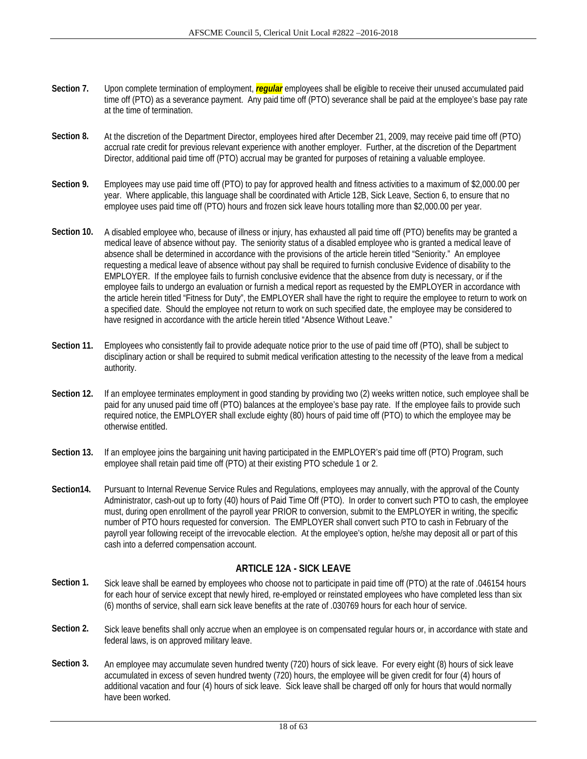- **Section 7.** Upon complete termination of employment, *regular* employees shall be eligible to receive their unused accumulated paid time off (PTO) as a severance payment. Any paid time off (PTO) severance shall be paid at the employee's base pay rate at the time of termination.
- **Section 8.** At the discretion of the Department Director, employees hired after December 21, 2009, may receive paid time off (PTO) accrual rate credit for previous relevant experience with another employer. Further, at the discretion of the Department Director, additional paid time off (PTO) accrual may be granted for purposes of retaining a valuable employee.
- **Section 9.** Employees may use paid time off (PTO) to pay for approved health and fitness activities to a maximum of \$2,000.00 per year. Where applicable, this language shall be coordinated with Article 12B, Sick Leave, Section 6, to ensure that no employee uses paid time off (PTO) hours and frozen sick leave hours totalling more than \$2,000.00 per year.
- **Section 10.** A disabled employee who, because of illness or injury, has exhausted all paid time off (PTO) benefits may be granted a medical leave of absence without pay. The seniority status of a disabled employee who is granted a medical leave of absence shall be determined in accordance with the provisions of the article herein titled "Seniority." An employee requesting a medical leave of absence without pay shall be required to furnish conclusive Evidence of disability to the EMPLOYER. If the employee fails to furnish conclusive evidence that the absence from duty is necessary, or if the employee fails to undergo an evaluation or furnish a medical report as requested by the EMPLOYER in accordance with the article herein titled "Fitness for Duty", the EMPLOYER shall have the right to require the employee to return to work on a specified date. Should the employee not return to work on such specified date, the employee may be considered to have resigned in accordance with the article herein titled "Absence Without Leave."
- **Section 11.** Employees who consistently fail to provide adequate notice prior to the use of paid time off (PTO), shall be subject to disciplinary action or shall be required to submit medical verification attesting to the necessity of the leave from a medical authority.
- **Section 12.** If an employee terminates employment in good standing by providing two (2) weeks written notice, such employee shall be paid for any unused paid time off (PTO) balances at the employee's base pay rate. If the employee fails to provide such required notice, the EMPLOYER shall exclude eighty (80) hours of paid time off (PTO) to which the employee may be otherwise entitled.
- **Section 13.** If an employee joins the bargaining unit having participated in the EMPLOYER's paid time off (PTO) Program, such employee shall retain paid time off (PTO) at their existing PTO schedule 1 or 2.
- **Section14.** Pursuant to Internal Revenue Service Rules and Regulations, employees may annually, with the approval of the County Administrator, cash-out up to forty (40) hours of Paid Time Off (PTO). In order to convert such PTO to cash, the employee must, during open enrollment of the payroll year PRIOR to conversion, submit to the EMPLOYER in writing, the specific number of PTO hours requested for conversion. The EMPLOYER shall convert such PTO to cash in February of the payroll year following receipt of the irrevocable election. At the employee's option, he/she may deposit all or part of this cash into a deferred compensation account.

## **ARTICLE 12A - SICK LEAVE**

- **Section 1.** Sick leave shall be earned by employees who choose not to participate in paid time off (PTO) at the rate of .046154 hours for each hour of service except that newly hired, re-employed or reinstated employees who have completed less than six (6) months of service, shall earn sick leave benefits at the rate of .030769 hours for each hour of service.
- **Section 2.** Sick leave benefits shall only accrue when an employee is on compensated regular hours or, in accordance with state and federal laws, is on approved military leave.
- **Section 3.** An employee may accumulate seven hundred twenty (720) hours of sick leave. For every eight (8) hours of sick leave accumulated in excess of seven hundred twenty (720) hours, the employee will be given credit for four (4) hours of additional vacation and four (4) hours of sick leave. Sick leave shall be charged off only for hours that would normally have been worked.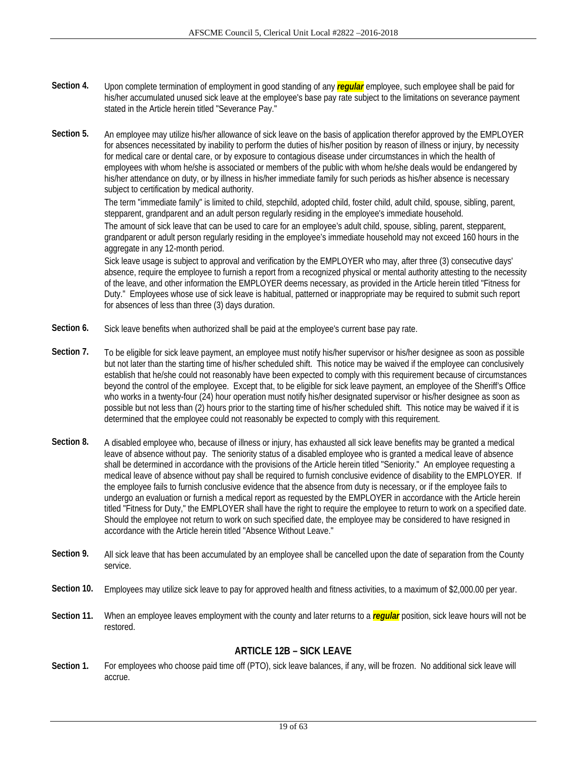- **Section 4.** Upon complete termination of employment in good standing of any *regular* employee, such employee shall be paid for his/her accumulated unused sick leave at the employee's base pay rate subject to the limitations on severance payment stated in the Article herein titled "Severance Pay."
- **Section 5.** An employee may utilize his/her allowance of sick leave on the basis of application therefor approved by the EMPLOYER for absences necessitated by inability to perform the duties of his/her position by reason of illness or injury, by necessity for medical care or dental care, or by exposure to contagious disease under circumstances in which the health of employees with whom he/she is associated or members of the public with whom he/she deals would be endangered by his/her attendance on duty, or by illness in his/her immediate family for such periods as his/her absence is necessary subject to certification by medical authority.

The term "immediate family" is limited to child, stepchild, adopted child, foster child, adult child, spouse, sibling, parent, stepparent, grandparent and an adult person regularly residing in the employee's immediate household.

The amount of sick leave that can be used to care for an employee's adult child, spouse, sibling, parent, stepparent, grandparent or adult person regularly residing in the employee's immediate household may not exceed 160 hours in the aggregate in any 12-month period.

Sick leave usage is subject to approval and verification by the EMPLOYER who may, after three (3) consecutive days' absence, require the employee to furnish a report from a recognized physical or mental authority attesting to the necessity of the leave, and other information the EMPLOYER deems necessary, as provided in the Article herein titled "Fitness for Duty." Employees whose use of sick leave is habitual, patterned or inappropriate may be required to submit such report for absences of less than three (3) days duration.

- **Section 6.** Sick leave benefits when authorized shall be paid at the employee's current base pay rate.
- **Section 7.** To be eligible for sick leave payment, an employee must notify his/her supervisor or his/her designee as soon as possible but not later than the starting time of his/her scheduled shift. This notice may be waived if the employee can conclusively establish that he/she could not reasonably have been expected to comply with this requirement because of circumstances beyond the control of the employee. Except that, to be eligible for sick leave payment, an employee of the Sheriff's Office who works in a twenty-four (24) hour operation must notify his/her designated supervisor or his/her designee as soon as possible but not less than (2) hours prior to the starting time of his/her scheduled shift. This notice may be waived if it is determined that the employee could not reasonably be expected to comply with this requirement.
- **Section 8.** A disabled employee who, because of illness or injury, has exhausted all sick leave benefits may be granted a medical leave of absence without pay. The seniority status of a disabled employee who is granted a medical leave of absence shall be determined in accordance with the provisions of the Article herein titled "Seniority." An employee requesting a medical leave of absence without pay shall be required to furnish conclusive evidence of disability to the EMPLOYER. If the employee fails to furnish conclusive evidence that the absence from duty is necessary, or if the employee fails to undergo an evaluation or furnish a medical report as requested by the EMPLOYER in accordance with the Article herein titled "Fitness for Duty," the EMPLOYER shall have the right to require the employee to return to work on a specified date. Should the employee not return to work on such specified date, the employee may be considered to have resigned in accordance with the Article herein titled "Absence Without Leave."
- **Section 9.** All sick leave that has been accumulated by an employee shall be cancelled upon the date of separation from the County service.
- **Section 10.** Employees may utilize sick leave to pay for approved health and fitness activities, to a maximum of \$2,000.00 per year.
- **Section 11.** When an employee leaves employment with the county and later returns to a *regular* position, sick leave hours will not be restored.

## **ARTICLE 12B – SICK LEAVE**

Section 1. For employees who choose paid time off (PTO), sick leave balances, if any, will be frozen. No additional sick leave will accrue.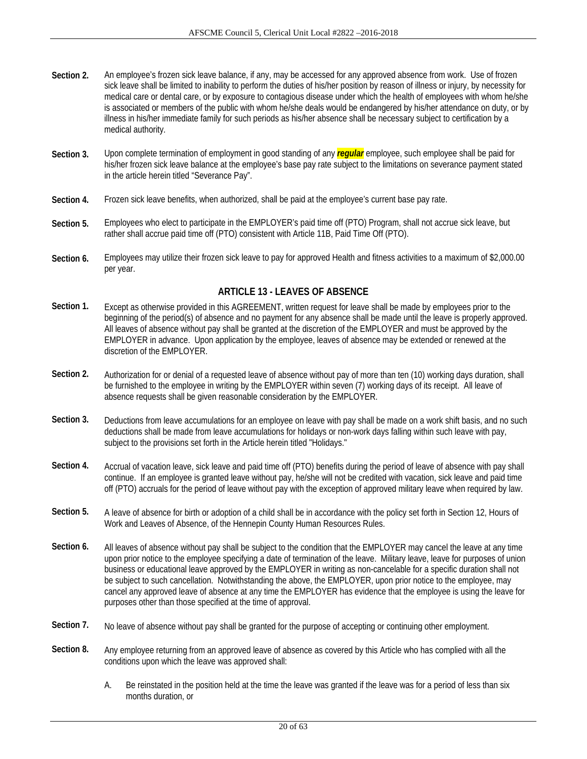- **Section 2.** An employee's frozen sick leave balance, if any, may be accessed for any approved absence from work. Use of frozen sick leave shall be limited to inability to perform the duties of his/her position by reason of illness or injury, by necessity for medical care or dental care, or by exposure to contagious disease under which the health of employees with whom he/she is associated or members of the public with whom he/she deals would be endangered by his/her attendance on duty, or by illness in his/her immediate family for such periods as his/her absence shall be necessary subject to certification by a medical authority.
- **Section 3.** Upon complete termination of employment in good standing of any *regular* employee, such employee shall be paid for his/her frozen sick leave balance at the employee's base pay rate subject to the limitations on severance payment stated in the article herein titled "Severance Pay".
- **Section 4.** Frozen sick leave benefits, when authorized, shall be paid at the employee's current base pay rate.
- **Section 5.** Employees who elect to participate in the EMPLOYER's paid time off (PTO) Program, shall not accrue sick leave, but rather shall accrue paid time off (PTO) consistent with Article 11B, Paid Time Off (PTO).
- **Section 6.** Employees may utilize their frozen sick leave to pay for approved Health and fitness activities to a maximum of \$2,000.00 per year.

## **ARTICLE 13 - LEAVES OF ABSENCE**

- Section 1. Except as otherwise provided in this AGREEMENT, written request for leave shall be made by employees prior to the beginning of the period(s) of absence and no payment for any absence shall be made until the leave is properly approved. All leaves of absence without pay shall be granted at the discretion of the EMPLOYER and must be approved by the EMPLOYER in advance. Upon application by the employee, leaves of absence may be extended or renewed at the discretion of the EMPLOYER.
- **Section 2.** Authorization for or denial of a requested leave of absence without pay of more than ten (10) working days duration, shall be furnished to the employee in writing by the EMPLOYER within seven (7) working days of its receipt. All leave of absence requests shall be given reasonable consideration by the EMPLOYER.
- Section 3. Deductions from leave accumulations for an employee on leave with pay shall be made on a work shift basis, and no such deductions shall be made from leave accumulations for holidays or non-work days falling within such leave with pay, subject to the provisions set forth in the Article herein titled "Holidays."
- Section 4. Accrual of vacation leave, sick leave and paid time off (PTO) benefits during the period of leave of absence with pay shall continue. If an employee is granted leave without pay, he/she will not be credited with vacation, sick leave and paid time off (PTO) accruals for the period of leave without pay with the exception of approved military leave when required by law.
- Section 5. A leave of absence for birth or adoption of a child shall be in accordance with the policy set forth in Section 12, Hours of Work and Leaves of Absence, of the Hennepin County Human Resources Rules.
- Section 6. All leaves of absence without pay shall be subject to the condition that the EMPLOYER may cancel the leave at any time upon prior notice to the employee specifying a date of termination of the leave. Military leave, leave for purposes of union business or educational leave approved by the EMPLOYER in writing as non-cancelable for a specific duration shall not be subject to such cancellation. Notwithstanding the above, the EMPLOYER, upon prior notice to the employee, may cancel any approved leave of absence at any time the EMPLOYER has evidence that the employee is using the leave for purposes other than those specified at the time of approval.
- Section 7. No leave of absence without pay shall be granted for the purpose of accepting or continuing other employment.
- **Section 8.** Any employee returning from an approved leave of absence as covered by this Article who has complied with all the conditions upon which the leave was approved shall:
	- A. Be reinstated in the position held at the time the leave was granted if the leave was for a period of less than six months duration, or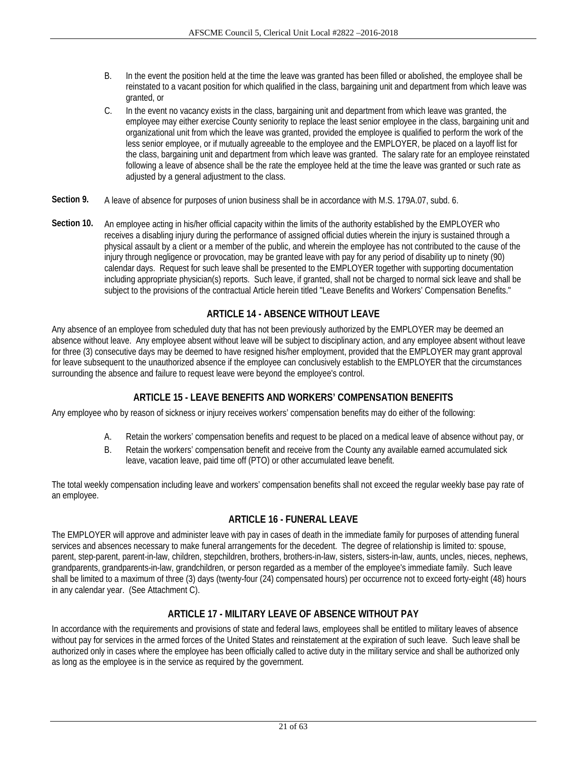- B. In the event the position held at the time the leave was granted has been filled or abolished, the employee shall be reinstated to a vacant position for which qualified in the class, bargaining unit and department from which leave was granted, or
- C. In the event no vacancy exists in the class, bargaining unit and department from which leave was granted, the employee may either exercise County seniority to replace the least senior employee in the class, bargaining unit and organizational unit from which the leave was granted, provided the employee is qualified to perform the work of the less senior employee, or if mutually agreeable to the employee and the EMPLOYER, be placed on a layoff list for the class, bargaining unit and department from which leave was granted. The salary rate for an employee reinstated following a leave of absence shall be the rate the employee held at the time the leave was granted or such rate as adjusted by a general adjustment to the class.
- **Section 9.** A leave of absence for purposes of union business shall be in accordance with M.S. 179A.07, subd. 6.
- **Section 10.** An employee acting in his/her official capacity within the limits of the authority established by the EMPLOYER who receives a disabling injury during the performance of assigned official duties wherein the injury is sustained through a physical assault by a client or a member of the public, and wherein the employee has not contributed to the cause of the injury through negligence or provocation, may be granted leave with pay for any period of disability up to ninety (90) calendar days. Request for such leave shall be presented to the EMPLOYER together with supporting documentation including appropriate physician(s) reports. Such leave, if granted, shall not be charged to normal sick leave and shall be subject to the provisions of the contractual Article herein titled "Leave Benefits and Workers' Compensation Benefits."

## **ARTICLE 14 - ABSENCE WITHOUT LEAVE**

Any absence of an employee from scheduled duty that has not been previously authorized by the EMPLOYER may be deemed an absence without leave. Any employee absent without leave will be subject to disciplinary action, and any employee absent without leave for three (3) consecutive days may be deemed to have resigned his/her employment, provided that the EMPLOYER may grant approval for leave subsequent to the unauthorized absence if the employee can conclusively establish to the EMPLOYER that the circumstances surrounding the absence and failure to request leave were beyond the employee's control.

## **ARTICLE 15 - LEAVE BENEFITS AND WORKERS' COMPENSATION BENEFITS**

Any employee who by reason of sickness or injury receives workers' compensation benefits may do either of the following:

- A. Retain the workers' compensation benefits and request to be placed on a medical leave of absence without pay, or
- B. Retain the workers' compensation benefit and receive from the County any available earned accumulated sick leave, vacation leave, paid time off (PTO) or other accumulated leave benefit.

The total weekly compensation including leave and workers' compensation benefits shall not exceed the regular weekly base pay rate of an employee.

## **ARTICLE 16 - FUNERAL LEAVE**

The EMPLOYER will approve and administer leave with pay in cases of death in the immediate family for purposes of attending funeral services and absences necessary to make funeral arrangements for the decedent. The degree of relationship is limited to: spouse, parent, step-parent, parent-in-law, children, stepchildren, brothers, brothers-in-law, sisters, sisters-in-law, aunts, uncles, nieces, nephews, grandparents, grandparents-in-law, grandchildren, or person regarded as a member of the employee's immediate family. Such leave shall be limited to a maximum of three (3) days (twenty-four (24) compensated hours) per occurrence not to exceed forty-eight (48) hours in any calendar year. (See Attachment C).

## **ARTICLE 17 - MILITARY LEAVE OF ABSENCE WITHOUT PAY**

In accordance with the requirements and provisions of state and federal laws, employees shall be entitled to military leaves of absence without pay for services in the armed forces of the United States and reinstatement at the expiration of such leave. Such leave shall be authorized only in cases where the employee has been officially called to active duty in the military service and shall be authorized only as long as the employee is in the service as required by the government.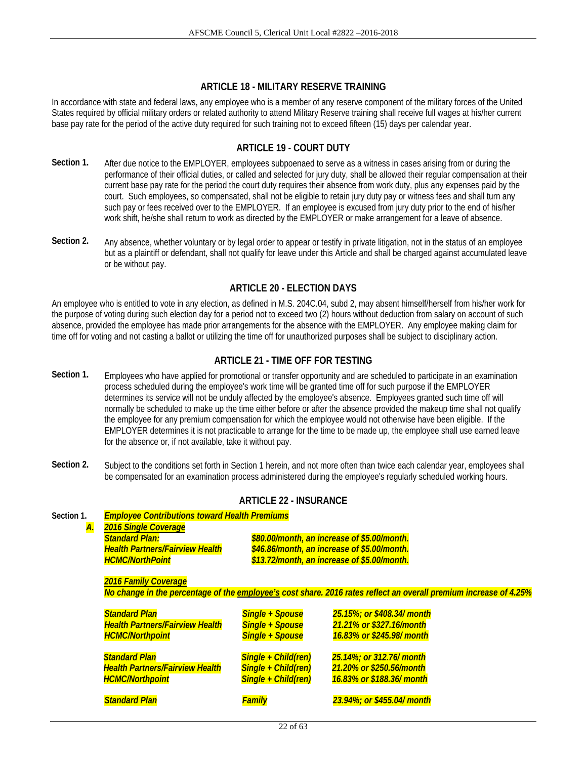## **ARTICLE 18 - MILITARY RESERVE TRAINING**

In accordance with state and federal laws, any employee who is a member of any reserve component of the military forces of the United States required by official military orders or related authority to attend Military Reserve training shall receive full wages at his/her current base pay rate for the period of the active duty required for such training not to exceed fifteen (15) days per calendar year.

## **ARTICLE 19 - COURT DUTY**

- **Section 1.** After due notice to the EMPLOYER, employees subpoenaed to serve as a witness in cases arising from or during the performance of their official duties, or called and selected for jury duty, shall be allowed their regular compensation at their current base pay rate for the period the court duty requires their absence from work duty, plus any expenses paid by the court. Such employees, so compensated, shall not be eligible to retain jury duty pay or witness fees and shall turn any such pay or fees received over to the EMPLOYER. If an employee is excused from jury duty prior to the end of his/her work shift, he/she shall return to work as directed by the EMPLOYER or make arrangement for a leave of absence.
- **Section 2.** Any absence, whether voluntary or by legal order to appear or testify in private litigation, not in the status of an employee but as a plaintiff or defendant, shall not qualify for leave under this Article and shall be charged against accumulated leave or be without pay.

## **ARTICLE 20 - ELECTION DAYS**

An employee who is entitled to vote in any election, as defined in M.S. 204C.04, subd 2, may absent himself/herself from his/her work for the purpose of voting during such election day for a period not to exceed two (2) hours without deduction from salary on account of such absence, provided the employee has made prior arrangements for the absence with the EMPLOYER. Any employee making claim for time off for voting and not casting a ballot or utilizing the time off for unauthorized purposes shall be subject to disciplinary action.

## **ARTICLE 21 - TIME OFF FOR TESTING**

- **Section 1.** Employees who have applied for promotional or transfer opportunity and are scheduled to participate in an examination process scheduled during the employee's work time will be granted time off for such purpose if the EMPLOYER determines its service will not be unduly affected by the employee's absence. Employees granted such time off will normally be scheduled to make up the time either before or after the absence provided the makeup time shall not qualify the employee for any premium compensation for which the employee would not otherwise have been eligible. If the EMPLOYER determines it is not practicable to arrange for the time to be made up, the employee shall use earned leave for the absence or, if not available, take it without pay.
- Section 2. Subject to the conditions set forth in Section 1 herein, and not more often than twice each calendar year, employees shall be compensated for an examination process administered during the employee's regularly scheduled working hours.

| Section 1.<br><b>A.</b> | <b>Employee Contributions toward Health Premiums</b><br><b>2016 Single Coverage</b><br><b>Standard Plan:</b><br><b>Health Partners/Fairview Health</b><br><b>HCMC/NorthPoint</b> |                                                                            | \$80.00/month, an increase of \$5.00/month.<br>\$46.86/month, an increase of \$5.00/month.<br>\$13.72/month, an increase of \$5.00/month. |  |  |  |
|-------------------------|----------------------------------------------------------------------------------------------------------------------------------------------------------------------------------|----------------------------------------------------------------------------|-------------------------------------------------------------------------------------------------------------------------------------------|--|--|--|
|                         | <b>2016 Family Coverage</b><br>No change in the percentage of the employee's cost share. 2016 rates reflect an overall premium increase of 4.25%                                 |                                                                            |                                                                                                                                           |  |  |  |
|                         | <b>Standard Plan</b><br><b>Health Partners/Fairview Health</b><br><b>HCMC/Northpoint</b>                                                                                         | <b>Single + Spouse</b><br><b>Single + Spouse</b><br><b>Single + Spouse</b> | 25.15%; or \$408.34/ month<br>21.21% or \$327.16/month<br>16.83% or \$245.98/ month                                                       |  |  |  |
|                         | <b>Standard Plan</b><br><b>Health Partners/Fairview Health</b><br><b>HCMC/Northpoint</b>                                                                                         | Single + Child(ren)<br>Single + Child(ren)<br>Single + Child(ren)          | 25.14%; or 312.76/ month<br>21.20% or \$250.56/month<br>16.83% or \$188.36/ month                                                         |  |  |  |
|                         | <b>Standard Plan</b>                                                                                                                                                             | Familv                                                                     | 23.94%; or \$455.04/ month                                                                                                                |  |  |  |

## **ARTICLE 22 - INSURANCE**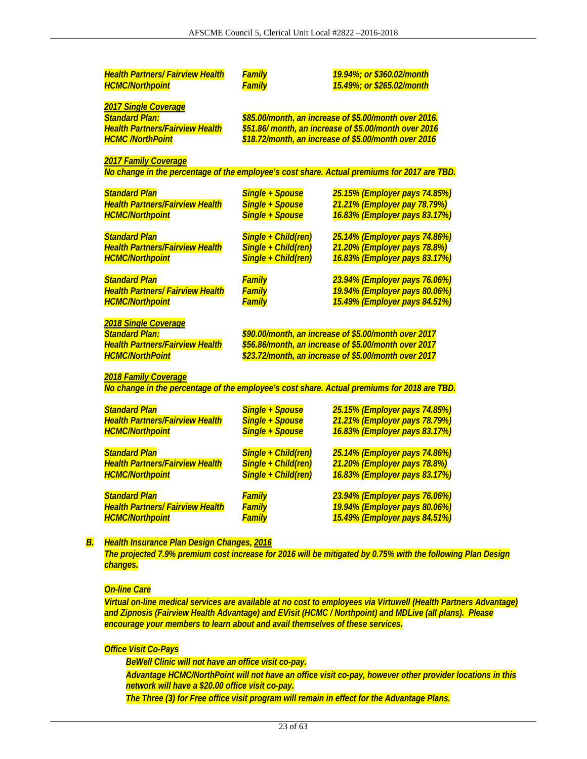| <b>Health Partners/ Fairview Health</b><br><b>HCMC/Northpoint</b> | Family<br><b>Family</b> | 19.94%; or \$360.02/month<br>15.49%; or \$265.02/month                                                        |
|-------------------------------------------------------------------|-------------------------|---------------------------------------------------------------------------------------------------------------|
|                                                                   |                         |                                                                                                               |
| <b>2017 Single Coverage</b><br><b>Standard Plan:</b>              |                         |                                                                                                               |
|                                                                   |                         | \$85.00/month, an increase of \$5.00/month over 2016.                                                         |
| <b>Health Partners/Fairview Health</b><br><b>HCMC /NorthPoint</b> |                         | \$51.86/ month, an increase of \$5.00/month over 2016<br>\$18.72/month, an increase of \$5.00/month over 2016 |
|                                                                   |                         |                                                                                                               |
| <b>2017 Family Coverage</b>                                       |                         |                                                                                                               |
|                                                                   |                         | No change in the percentage of the employee's cost share. Actual premiums for 2017 are TBD.                   |
| <b>Standard Plan</b>                                              | <b>Single + Spouse</b>  | 25.15% (Employer pays 74.85%)                                                                                 |
| <b>Health Partners/Fairview Health</b>                            | <b>Single + Spouse</b>  | 21.21% (Employer pay 78.79%)                                                                                  |
| <b>HCMC/Northpoint</b>                                            | <b>Single + Spouse</b>  | 16.83% (Employer pays 83.17%)                                                                                 |
| <b>Standard Plan</b>                                              | Single + Child(ren)     | 25.14% (Employer pays 74.86%)                                                                                 |
| <b>Health Partners/Fairview Health</b>                            | Single + Child(ren)     | 21.20% (Employer pays 78.8%)                                                                                  |
| <b>HCMC/Northpoint</b>                                            | Single + Child(ren)     | 16.83% (Employer pays 83.17%)                                                                                 |
| <b>Standard Plan</b>                                              | Family                  | 23.94% (Employer pays 76.06%)                                                                                 |
| <b>Health Partners/ Fairview Health</b>                           | <b>Family</b>           | 19.94% (Employer pays 80.06%)                                                                                 |
| <b>HCMC/Northpoint</b>                                            | <b>Family</b>           | 15.49% (Employer pays 84.51%)                                                                                 |
| 2018 Single Coverage                                              |                         |                                                                                                               |
| <b>Standard Plan:</b>                                             |                         | \$90.00/month, an increase of \$5.00/month over 2017                                                          |
| <b>Health Partners/Fairview Health</b>                            |                         | \$56.86/month, an increase of \$5.00/month over 2017                                                          |
| <b>HCMC/NorthPoint</b>                                            |                         | \$23.72/month, an increase of \$5.00/month over 2017                                                          |
| <b>2018 Family Coverage</b>                                       |                         |                                                                                                               |
|                                                                   |                         | No change in the percentage of the employee's cost share. Actual premiums for 2018 are TBD.                   |
| <b>Standard Plan</b>                                              | <b>Single + Spouse</b>  | 25.15% (Employer pays 74.85%)                                                                                 |
| <b>Health Partners/Fairview Health</b>                            | <b>Single + Spouse</b>  | 21.21% (Employer pays 78.79%)                                                                                 |
| <b>HCMC/Northpoint</b>                                            | <b>Single + Spouse</b>  | 16.83% (Employer pays 83.17%)                                                                                 |
| <b>Standard Plan</b>                                              | Single + Child(ren)     | 25.14% (Employer pays 74.86%)                                                                                 |
| <b>Health Partners/Fairview Health</b>                            | Single + Child(ren)     | 21.20% (Employer pays 78.8%)                                                                                  |
| <b>HCMC/Northpoint</b>                                            | Single + Child(ren)     | 16.83% (Employer pays 83.17%)                                                                                 |
| <b>Standard Plan</b>                                              | <b>Family</b>           | 23.94% (Employer pays 76.06%)                                                                                 |
| <b>Health Partners/ Fairview Health</b>                           | <b>Family</b>           | 19.94% (Employer pays 80.06%)                                                                                 |
|                                                                   | <b>Family</b>           | 15.49% (Employer pays 84.51%)                                                                                 |

*The projected 7.9% premium cost increase for 2016 will be mitigated by 0.75% with the following Plan Design changes.* 

#### *On-line Care*

*Virtual on-line medical services are available at no cost to employees via Virtuwell (Health Partners Advantage) and Zipnosis (Fairview Health Advantage) and EVisit (HCMC / Northpoint) and MDLive (all plans). Please encourage your members to learn about and avail themselves of these services.* 

#### *Office Visit Co-Pays*

 *BeWell Clinic will not have an office visit co-pay. Advantage HCMC/NorthPoint will not have an office visit co-pay, however other provider locations in this network will have a \$20.00 office visit co-pay. The Three (3) for Free office visit program will remain in effect for the Advantage Plans.*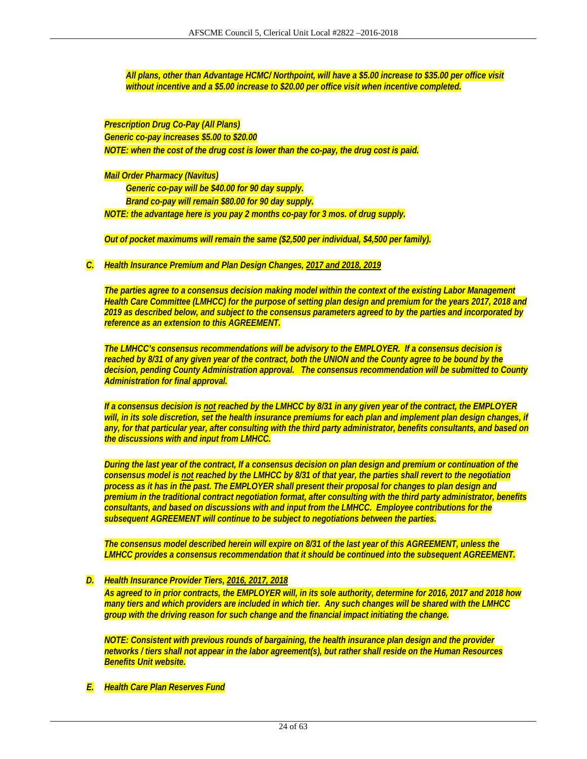*All plans, other than Advantage HCMC/ Northpoint, will have a \$5.00 increase to \$35.00 per office visit without incentive and a \$5.00 increase to \$20.00 per office visit when incentive completed.* 

*Prescription Drug Co-Pay (All Plans) Generic co-pay increases \$5.00 to \$20.00 NOTE: when the cost of the drug cost is lower than the co-pay, the drug cost is paid.* 

*Mail Order Pharmacy (Navitus)* 

 *Generic co-pay will be \$40.00 for 90 day supply. Brand co-pay will remain \$80.00 for 90 day supply. NOTE: the advantage here is you pay 2 months co-pay for 3 mos. of drug supply.* 

*Out of pocket maximums will remain the same (\$2,500 per individual, \$4,500 per family).* 

*C. Health Insurance Premium and Plan Design Changes, 2017 and 2018, 2019* 

*The parties agree to a consensus decision making model within the context of the existing Labor Management Health Care Committee (LMHCC) for the purpose of setting plan design and premium for the years 2017, 2018 and 2019 as described below, and subject to the consensus parameters agreed to by the parties and incorporated by reference as an extension to this AGREEMENT.* 

*The LMHCC's consensus recommendations will be advisory to the EMPLOYER. If a consensus decision is reached by 8/31 of any given year of the contract, both the UNION and the County agree to be bound by the decision, pending County Administration approval. The consensus recommendation will be submitted to County Administration for final approval.* 

*If a consensus decision is not reached by the LMHCC by 8/31 in any given year of the contract, the EMPLOYER will, in its sole discretion, set the health insurance premiums for each plan and implement plan design changes, if any, for that particular year, after consulting with the third party administrator, benefits consultants, and based on the discussions with and input from LMHCC.* 

*During the last year of the contract, If a consensus decision on plan design and premium or continuation of the consensus model is not reached by the LMHCC by 8/31 of that year, the parties shall revert to the negotiation process as it has in the past. The EMPLOYER shall present their proposal for changes to plan design and premium in the traditional contract negotiation format, after consulting with the third party administrator, benefits consultants, and based on discussions with and input from the LMHCC. Employee contributions for the subsequent AGREEMENT will continue to be subject to negotiations between the parties.* 

*The consensus model described herein will expire on 8/31 of the last year of this AGREEMENT, unless the LMHCC provides a consensus recommendation that it should be continued into the subsequent AGREEMENT.* 

#### *D. Health Insurance Provider Tiers, 2016, 2017, 2018*

*As agreed to in prior contracts, the EMPLOYER will, in its sole authority, determine for 2016, 2017 and 2018 how many tiers and which providers are included in which tier. Any such changes will be shared with the LMHCC group with the driving reason for such change and the financial impact initiating the change.* 

*NOTE: Consistent with previous rounds of bargaining, the health insurance plan design and the provider networks / tiers shall not appear in the labor agreement(s), but rather shall reside on the Human Resources Benefits Unit website.* 

*E. Health Care Plan Reserves Fund*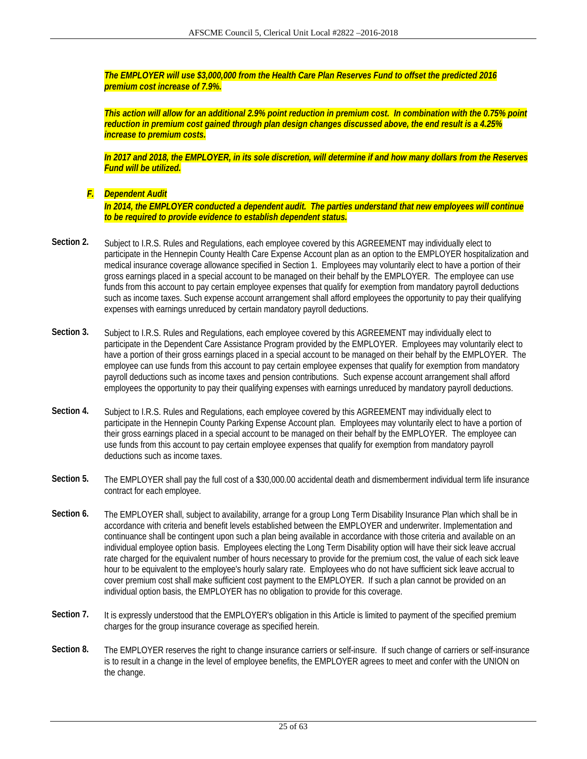*The EMPLOYER will use \$3,000,000 from the Health Care Plan Reserves Fund to offset the predicted 2016 premium cost increase of 7.9%.* 

*This action will allow for an additional 2.9% point reduction in premium cost. In combination with the 0.75% point reduction in premium cost gained through plan design changes discussed above, the end result is a 4.25% increase to premium costs.* 

*In 2017 and 2018, the EMPLOYER, in its sole discretion, will determine if and how many dollars from the Reserves Fund will be utilized.* 

*F. Dependent Audit* 

*In 2014, the EMPLOYER conducted a dependent audit. The parties understand that new employees will continue to be required to provide evidence to establish dependent status.* 

- Section 2. Subject to I.R.S. Rules and Regulations, each employee covered by this AGREEMENT may individually elect to participate in the Hennepin County Health Care Expense Account plan as an option to the EMPLOYER hospitalization and medical insurance coverage allowance specified in Section 1. Employees may voluntarily elect to have a portion of their gross earnings placed in a special account to be managed on their behalf by the EMPLOYER. The employee can use funds from this account to pay certain employee expenses that qualify for exemption from mandatory payroll deductions such as income taxes. Such expense account arrangement shall afford employees the opportunity to pay their qualifying expenses with earnings unreduced by certain mandatory payroll deductions.
- Section 3. Subject to I.R.S. Rules and Regulations, each employee covered by this AGREEMENT may individually elect to participate in the Dependent Care Assistance Program provided by the EMPLOYER. Employees may voluntarily elect to have a portion of their gross earnings placed in a special account to be managed on their behalf by the EMPLOYER. The employee can use funds from this account to pay certain employee expenses that qualify for exemption from mandatory payroll deductions such as income taxes and pension contributions. Such expense account arrangement shall afford employees the opportunity to pay their qualifying expenses with earnings unreduced by mandatory payroll deductions.
- Section 4. Subject to I.R.S. Rules and Regulations, each employee covered by this AGREEMENT may individually elect to participate in the Hennepin County Parking Expense Account plan. Employees may voluntarily elect to have a portion of their gross earnings placed in a special account to be managed on their behalf by the EMPLOYER. The employee can use funds from this account to pay certain employee expenses that qualify for exemption from mandatory payroll deductions such as income taxes.
- **Section 5.** The EMPLOYER shall pay the full cost of a \$30,000.00 accidental death and dismemberment individual term life insurance contract for each employee.
- **Section 6.** The EMPLOYER shall, subject to availability, arrange for a group Long Term Disability Insurance Plan which shall be in accordance with criteria and benefit levels established between the EMPLOYER and underwriter. Implementation and continuance shall be contingent upon such a plan being available in accordance with those criteria and available on an individual employee option basis. Employees electing the Long Term Disability option will have their sick leave accrual rate charged for the equivalent number of hours necessary to provide for the premium cost, the value of each sick leave hour to be equivalent to the employee's hourly salary rate. Employees who do not have sufficient sick leave accrual to cover premium cost shall make sufficient cost payment to the EMPLOYER. If such a plan cannot be provided on an individual option basis, the EMPLOYER has no obligation to provide for this coverage.
- **Section 7.** It is expressly understood that the EMPLOYER's obligation in this Article is limited to payment of the specified premium charges for the group insurance coverage as specified herein.
- **Section 8.** The EMPLOYER reserves the right to change insurance carriers or self-insure. If such change of carriers or self-insurance is to result in a change in the level of employee benefits, the EMPLOYER agrees to meet and confer with the UNION on the change.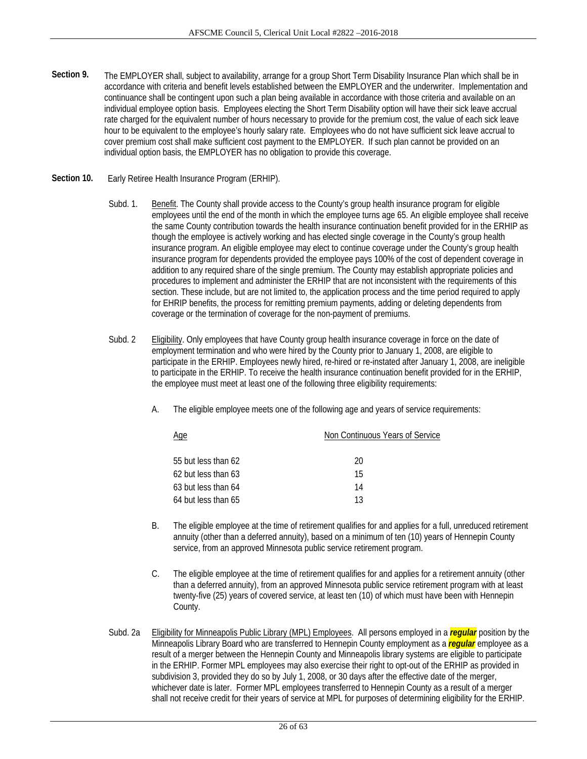- **Section 9.** The EMPLOYER shall, subject to availability, arrange for a group Short Term Disability Insurance Plan which shall be in accordance with criteria and benefit levels established between the EMPLOYER and the underwriter. Implementation and continuance shall be contingent upon such a plan being available in accordance with those criteria and available on an individual employee option basis. Employees electing the Short Term Disability option will have their sick leave accrual rate charged for the equivalent number of hours necessary to provide for the premium cost, the value of each sick leave hour to be equivalent to the employee's hourly salary rate. Employees who do not have sufficient sick leave accrual to cover premium cost shall make sufficient cost payment to the EMPLOYER. If such plan cannot be provided on an individual option basis, the EMPLOYER has no obligation to provide this coverage.
- **Section 10.** Early Retiree Health Insurance Program (ERHIP).
	- Subd. 1. Benefit. The County shall provide access to the County's group health insurance program for eligible employees until the end of the month in which the employee turns age 65. An eligible employee shall receive the same County contribution towards the health insurance continuation benefit provided for in the ERHIP as though the employee is actively working and has elected single coverage in the County's group health insurance program. An eligible employee may elect to continue coverage under the County's group health insurance program for dependents provided the employee pays 100% of the cost of dependent coverage in addition to any required share of the single premium. The County may establish appropriate policies and procedures to implement and administer the ERHIP that are not inconsistent with the requirements of this section. These include, but are not limited to, the application process and the time period required to apply for EHRIP benefits, the process for remitting premium payments, adding or deleting dependents from coverage or the termination of coverage for the non-payment of premiums.
	- Subd. 2 Eligibility. Only employees that have County group health insurance coverage in force on the date of employment termination and who were hired by the County prior to January 1, 2008, are eligible to participate in the ERHIP. Employees newly hired, re-hired or re-instated after January 1, 2008, are ineligible to participate in the ERHIP. To receive the health insurance continuation benefit provided for in the ERHIP, the employee must meet at least one of the following three eligibility requirements:

| The eligible employee meets one of the following age and years of service requirements: |  |  |  |  |
|-----------------------------------------------------------------------------------------|--|--|--|--|
|                                                                                         |  |  |  |  |

| <u>Age</u>          | Non Continuous Years of Service |
|---------------------|---------------------------------|
| 55 but less than 62 | 20                              |
| 62 but less than 63 | 15                              |
| 63 but less than 64 | 14                              |
| 64 but less than 65 | 13                              |

- B. The eligible employee at the time of retirement qualifies for and applies for a full, unreduced retirement annuity (other than a deferred annuity), based on a minimum of ten (10) years of Hennepin County service, from an approved Minnesota public service retirement program.
- C. The eligible employee at the time of retirement qualifies for and applies for a retirement annuity (other than a deferred annuity), from an approved Minnesota public service retirement program with at least twenty-five (25) years of covered service, at least ten (10) of which must have been with Hennepin County.
- Subd. 2a Eligibility for Minneapolis Public Library (MPL) Employees. All persons employed in a *regular* position by the Minneapolis Library Board who are transferred to Hennepin County employment as a *regular* employee as a result of a merger between the Hennepin County and Minneapolis library systems are eligible to participate in the ERHIP. Former MPL employees may also exercise their right to opt-out of the ERHIP as provided in subdivision 3, provided they do so by July 1, 2008, or 30 days after the effective date of the merger, whichever date is later. Former MPL employees transferred to Hennepin County as a result of a merger shall not receive credit for their years of service at MPL for purposes of determining eligibility for the ERHIP.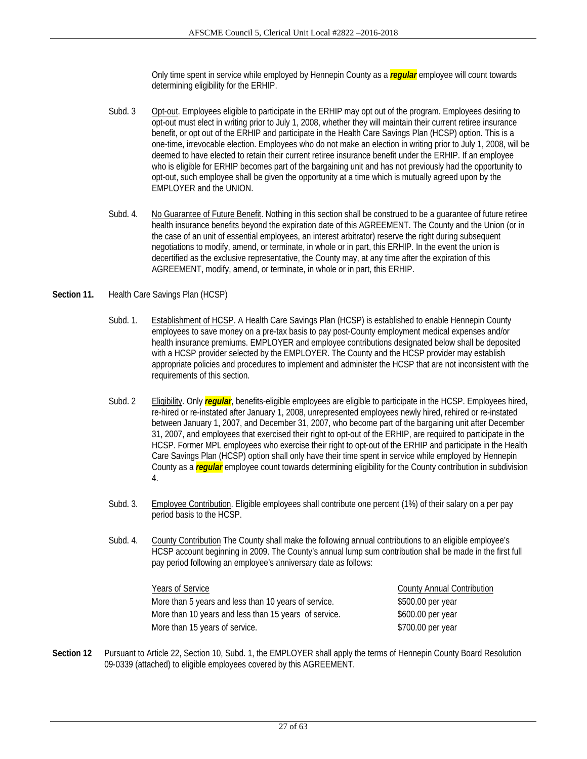Only time spent in service while employed by Hennepin County as a *regular* employee will count towards determining eligibility for the ERHIP.

- Subd. 3 Opt-out. Employees eligible to participate in the ERHIP may opt out of the program. Employees desiring to opt-out must elect in writing prior to July 1, 2008, whether they will maintain their current retiree insurance benefit, or opt out of the ERHIP and participate in the Health Care Savings Plan (HCSP) option. This is a one-time, irrevocable election. Employees who do not make an election in writing prior to July 1, 2008, will be deemed to have elected to retain their current retiree insurance benefit under the ERHIP. If an employee who is eligible for ERHIP becomes part of the bargaining unit and has not previously had the opportunity to opt-out, such employee shall be given the opportunity at a time which is mutually agreed upon by the EMPLOYER and the UNION.
- Subd. 4. No Guarantee of Future Benefit. Nothing in this section shall be construed to be a guarantee of future retiree health insurance benefits beyond the expiration date of this AGREEMENT. The County and the Union (or in the case of an unit of essential employees, an interest arbitrator) reserve the right during subsequent negotiations to modify, amend, or terminate, in whole or in part, this ERHIP. In the event the union is decertified as the exclusive representative, the County may, at any time after the expiration of this AGREEMENT, modify, amend, or terminate, in whole or in part, this ERHIP.

#### **Section 11.** Health Care Savings Plan (HCSP)

- Subd. 1. Establishment of HCSP. A Health Care Savings Plan (HCSP) is established to enable Hennepin County employees to save money on a pre-tax basis to pay post-County employment medical expenses and/or health insurance premiums. EMPLOYER and employee contributions designated below shall be deposited with a HCSP provider selected by the EMPLOYER. The County and the HCSP provider may establish appropriate policies and procedures to implement and administer the HCSP that are not inconsistent with the requirements of this section.
- Subd. 2 Eligibility. Only *regular*, benefits-eligible employees are eligible to participate in the HCSP. Employees hired, re-hired or re-instated after January 1, 2008, unrepresented employees newly hired, rehired or re-instated between January 1, 2007, and December 31, 2007, who become part of the bargaining unit after December 31, 2007, and employees that exercised their right to opt-out of the ERHIP, are required to participate in the HCSP. Former MPL employees who exercise their right to opt-out of the ERHIP and participate in the Health Care Savings Plan (HCSP) option shall only have their time spent in service while employed by Hennepin County as a *regular* employee count towards determining eligibility for the County contribution in subdivision 4.
- Subd. 3. Employee Contribution. Eligible employees shall contribute one percent (1%) of their salary on a per pay period basis to the HCSP.
- Subd. 4. County Contribution The County shall make the following annual contributions to an eligible employee's HCSP account beginning in 2009. The County's annual lump sum contribution shall be made in the first full pay period following an employee's anniversary date as follows:

| Years of Service                                      | <b>County Annual Contribution</b> |
|-------------------------------------------------------|-----------------------------------|
| More than 5 years and less than 10 years of service.  | \$500.00 per year                 |
| More than 10 years and less than 15 years of service. | \$600.00 per year                 |
| More than 15 years of service.                        | \$700.00 per year                 |

**Section 12** Pursuant to Article 22, Section 10, Subd. 1, the EMPLOYER shall apply the terms of Hennepin County Board Resolution 09-0339 (attached) to eligible employees covered by this AGREEMENT.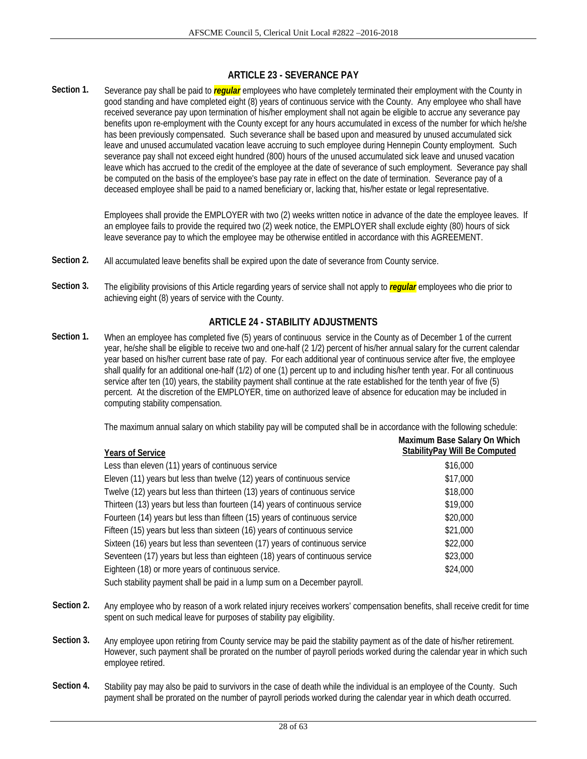## **ARTICLE 23 - SEVERANCE PAY**

**Section 1.** Severance pay shall be paid to *regular* employees who have completely terminated their employment with the County in good standing and have completed eight (8) years of continuous service with the County. Any employee who shall have received severance pay upon termination of his/her employment shall not again be eligible to accrue any severance pay benefits upon re-employment with the County except for any hours accumulated in excess of the number for which he/she has been previously compensated. Such severance shall be based upon and measured by unused accumulated sick leave and unused accumulated vacation leave accruing to such employee during Hennepin County employment. Such severance pay shall not exceed eight hundred (800) hours of the unused accumulated sick leave and unused vacation leave which has accrued to the credit of the employee at the date of severance of such employment. Severance pay shall be computed on the basis of the employee's base pay rate in effect on the date of termination. Severance pay of a deceased employee shall be paid to a named beneficiary or, lacking that, his/her estate or legal representative.

> Employees shall provide the EMPLOYER with two (2) weeks written notice in advance of the date the employee leaves. If an employee fails to provide the required two (2) week notice, the EMPLOYER shall exclude eighty (80) hours of sick leave severance pay to which the employee may be otherwise entitled in accordance with this AGREEMENT.

- **Section 2.** All accumulated leave benefits shall be expired upon the date of severance from County service.
- Section 3. <sup>The eligibility provisions of this Article regarding years of service shall not apply to **regular** employees who die prior to</sup> achieving eight (8) years of service with the County.

### **ARTICLE 24 - STABILITY ADJUSTMENTS**

**Section 1.** When an employee has completed five (5) years of continuous service in the County as of December 1 of the current year, he/she shall be eligible to receive two and one-half (2 1/2) percent of his/her annual salary for the current calendar year based on his/her current base rate of pay. For each additional year of continuous service after five, the employee shall qualify for an additional one-half (1/2) of one (1) percent up to and including his/her tenth year. For all continuous service after ten (10) years, the stability payment shall continue at the rate established for the tenth year of five (5) percent. At the discretion of the EMPLOYER, time on authorized leave of absence for education may be included in computing stability compensation.

The maximum annual salary on which stability pay will be computed shall be in accordance with the following schedule:

| <b>Years of Service</b>                                                      | Maximum Base Salary On Which<br>StabilityPay Will Be Computed |
|------------------------------------------------------------------------------|---------------------------------------------------------------|
| Less than eleven (11) years of continuous service                            | \$16,000                                                      |
| Eleven (11) years but less than twelve (12) years of continuous service      | \$17,000                                                      |
| Twelve (12) years but less than thirteen (13) years of continuous service    | \$18,000                                                      |
| Thirteen (13) years but less than fourteen (14) years of continuous service  | \$19,000                                                      |
| Fourteen (14) years but less than fifteen (15) years of continuous service   | \$20,000                                                      |
| Fifteen (15) years but less than sixteen (16) years of continuous service    | \$21,000                                                      |
| Sixteen (16) years but less than seventeen (17) years of continuous service  | \$22,000                                                      |
| Seventeen (17) years but less than eighteen (18) years of continuous service | \$23,000                                                      |
| Eighteen (18) or more years of continuous service.                           | \$24,000                                                      |
| Such stability payment shall be paid in a lump sum on a December payroll.    |                                                               |

- **Section 2.** Any employee who by reason of a work related injury receives workers' compensation benefits, shall receive credit for time spent on such medical leave for purposes of stability pay eligibility.
- **Section 3.** Any employee upon retiring from County service may be paid the stability payment as of the date of his/her retirement. However, such payment shall be prorated on the number of payroll periods worked during the calendar year in which such employee retired.
- **Section 4.** Stability pay may also be paid to survivors in the case of death while the individual is an employee of the County. Such payment shall be prorated on the number of payroll periods worked during the calendar year in which death occurred.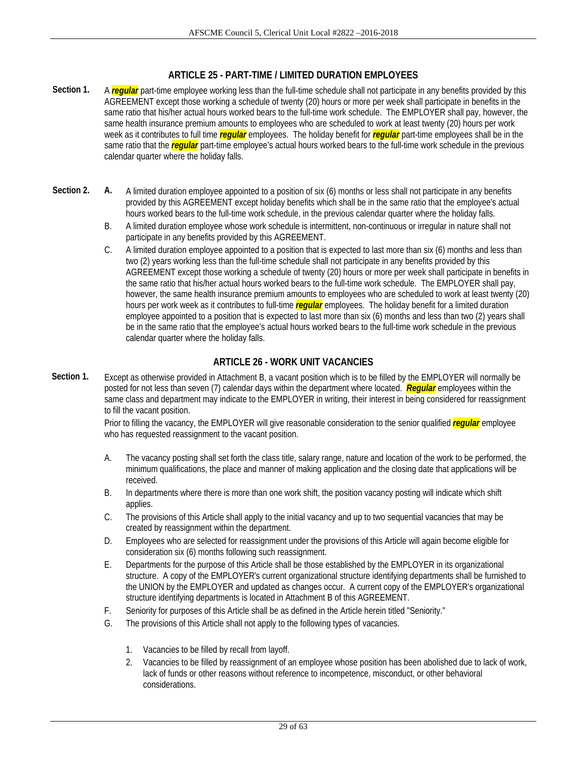## **ARTICLE 25 - PART-TIME / LIMITED DURATION EMPLOYEES**

- Section 1. A **regular** part-time employee working less than the full-time schedule shall not participate in any benefits provided by this AGREEMENT except those working a schedule of twenty (20) hours or more per week shall participate in benefits in the same ratio that his/her actual hours worked bears to the full-time work schedule. The EMPLOYER shall pay, however, the same health insurance premium amounts to employees who are scheduled to work at least twenty (20) hours per work week as it contributes to full time *regular* employees. The holiday benefit for *regular* part-time employees shall be in the same ratio that the *regular* part-time employee's actual hours worked bears to the full-time work schedule in the previous calendar quarter where the holiday falls.
- Section 2. A. A limited duration employee appointed to a position of six (6) months or less shall not participate in any benefits provided by this AGREEMENT except holiday benefits which shall be in the same ratio that the employee's actual hours worked bears to the full-time work schedule, in the previous calendar quarter where the holiday falls.
	- B. A limited duration employee whose work schedule is intermittent, non-continuous or irregular in nature shall not participate in any benefits provided by this AGREEMENT.
	- C. A limited duration employee appointed to a position that is expected to last more than six (6) months and less than two (2) years working less than the full-time schedule shall not participate in any benefits provided by this AGREEMENT except those working a schedule of twenty (20) hours or more per week shall participate in benefits in the same ratio that his/her actual hours worked bears to the full-time work schedule. The EMPLOYER shall pay, however, the same health insurance premium amounts to employees who are scheduled to work at least twenty (20) hours per work week as it contributes to full-time *regular* employees. The holiday benefit for a limited duration employee appointed to a position that is expected to last more than six (6) months and less than two (2) years shall be in the same ratio that the employee's actual hours worked bears to the full-time work schedule in the previous calendar quarter where the holiday falls.

## **ARTICLE 26 - WORK UNIT VACANCIES**

**Section 1.** Except as otherwise provided in Attachment B, a vacant position which is to be filled by the EMPLOYER will normally be posted for not less than seven (7) calendar days within the department where located. *Regular* employees within the same class and department may indicate to the EMPLOYER in writing, their interest in being considered for reassignment to fill the vacant position.

> Prior to filling the vacancy, the EMPLOYER will give reasonable consideration to the senior qualified *regular* employee who has requested reassignment to the vacant position.

- A. The vacancy posting shall set forth the class title, salary range, nature and location of the work to be performed, the minimum qualifications, the place and manner of making application and the closing date that applications will be received.
- B. In departments where there is more than one work shift, the position vacancy posting will indicate which shift applies.
- C. The provisions of this Article shall apply to the initial vacancy and up to two sequential vacancies that may be created by reassignment within the department.
- D. Employees who are selected for reassignment under the provisions of this Article will again become eligible for consideration six (6) months following such reassignment.
- E. Departments for the purpose of this Article shall be those established by the EMPLOYER in its organizational structure. A copy of the EMPLOYER's current organizational structure identifying departments shall be furnished to the UNION by the EMPLOYER and updated as changes occur. A current copy of the EMPLOYER's organizational structure identifying departments is located in Attachment B of this AGREEMENT.
- F. Seniority for purposes of this Article shall be as defined in the Article herein titled "Seniority."
- G. The provisions of this Article shall not apply to the following types of vacancies.
	- 1. Vacancies to be filled by recall from layoff.
	- 2. Vacancies to be filled by reassignment of an employee whose position has been abolished due to lack of work, lack of funds or other reasons without reference to incompetence, misconduct, or other behavioral considerations.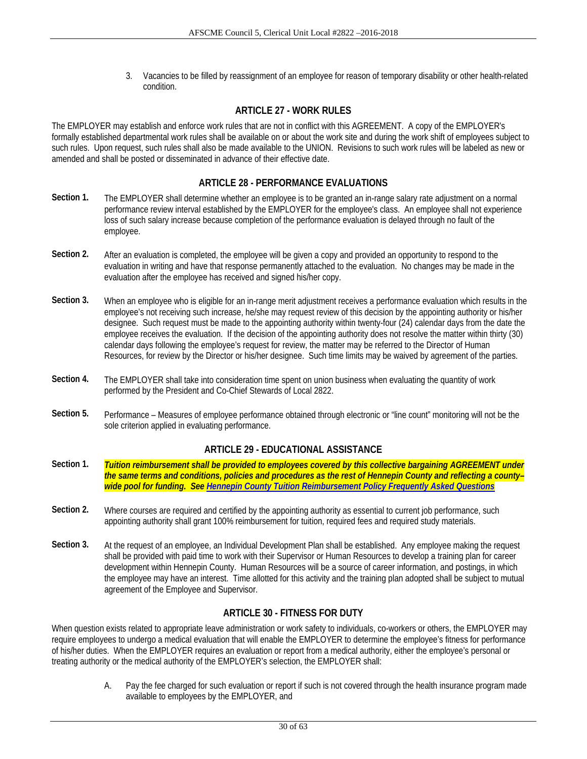3. Vacancies to be filled by reassignment of an employee for reason of temporary disability or other health-related condition.

## **ARTICLE 27 - WORK RULES**

The EMPLOYER may establish and enforce work rules that are not in conflict with this AGREEMENT. A copy of the EMPLOYER's formally established departmental work rules shall be available on or about the work site and during the work shift of employees subject to such rules. Upon request, such rules shall also be made available to the UNION. Revisions to such work rules will be labeled as new or amended and shall be posted or disseminated in advance of their effective date.

## **ARTICLE 28 - PERFORMANCE EVALUATIONS**

- **Section 1.** The EMPLOYER shall determine whether an employee is to be granted an in-range salary rate adjustment on a normal performance review interval established by the EMPLOYER for the employee's class. An employee shall not experience loss of such salary increase because completion of the performance evaluation is delayed through no fault of the employee.
- **Section 2.** After an evaluation is completed, the employee will be given a copy and provided an opportunity to respond to the evaluation in writing and have that response permanently attached to the evaluation. No changes may be made in the evaluation after the employee has received and signed his/her copy.
- **Section 3.** When an employee who is eligible for an in-range merit adjustment receives a performance evaluation which results in the employee's not receiving such increase, he/she may request review of this decision by the appointing authority or his/her designee. Such request must be made to the appointing authority within twenty-four (24) calendar days from the date the employee receives the evaluation. If the decision of the appointing authority does not resolve the matter within thirty (30) calendar days following the employee's request for review, the matter may be referred to the Director of Human Resources, for review by the Director or his/her designee. Such time limits may be waived by agreement of the parties.
- **Section 4.** The EMPLOYER shall take into consideration time spent on union business when evaluating the quantity of work performed by the President and Co-Chief Stewards of Local 2822.
- Section 5. Performance Measures of employee performance obtained through electronic or "line count" monitoring will not be the sole criterion applied in evaluating performance.

## **ARTICLE 29 - EDUCATIONAL ASSISTANCE**

- **Section 1.** *Tuition reimbursement shall be provided to employees covered by this collective bargaining AGREEMENT under the same terms and conditions, policies and procedures as the rest of Hennepin County and reflecting a county– wide pool for funding. See Hennepin County Tuition Reimbursement Policy Frequently Asked Questions*
- Section 2. Where courses are required and certified by the appointing authority as essential to current job performance, such appointing authority shall grant 100% reimbursement for tuition, required fees and required study materials.
- **Section 3.** At the request of an employee, an Individual Development Plan shall be established. Any employee making the request shall be provided with paid time to work with their Supervisor or Human Resources to develop a training plan for career development within Hennepin County. Human Resources will be a source of career information, and postings, in which the employee may have an interest. Time allotted for this activity and the training plan adopted shall be subject to mutual agreement of the Employee and Supervisor.

## **ARTICLE 30 - FITNESS FOR DUTY**

When question exists related to appropriate leave administration or work safety to individuals, co-workers or others, the EMPLOYER may require employees to undergo a medical evaluation that will enable the EMPLOYER to determine the employee's fitness for performance of his/her duties. When the EMPLOYER requires an evaluation or report from a medical authority, either the employee's personal or treating authority or the medical authority of the EMPLOYER's selection, the EMPLOYER shall:

> A. Pay the fee charged for such evaluation or report if such is not covered through the health insurance program made available to employees by the EMPLOYER, and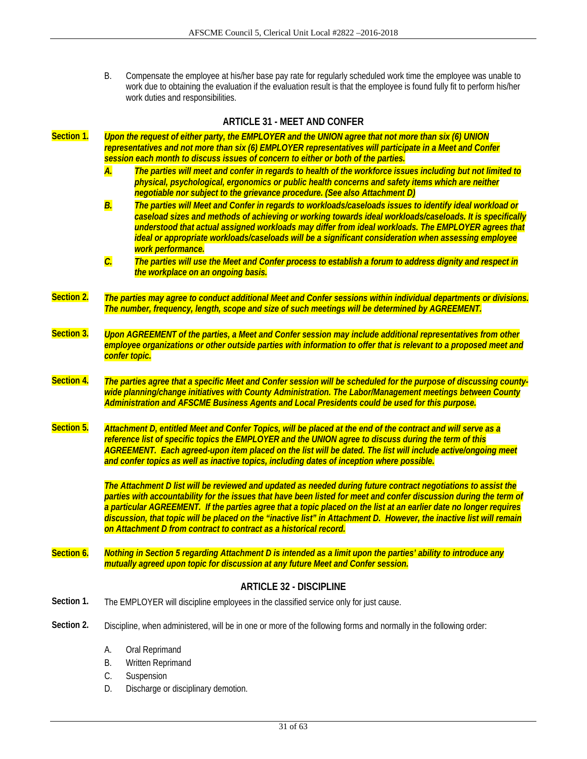B. Compensate the employee at his/her base pay rate for regularly scheduled work time the employee was unable to work due to obtaining the evaluation if the evaluation result is that the employee is found fully fit to perform his/her work duties and responsibilities.

|            |                                                                                                                                                                                                                                                  | <b>ARTICLE 31 - MEET AND CONFER</b>                                                                                                                                                                                                                                                                                                                                                                                                                                                                                                                     |  |  |  |  |
|------------|--------------------------------------------------------------------------------------------------------------------------------------------------------------------------------------------------------------------------------------------------|---------------------------------------------------------------------------------------------------------------------------------------------------------------------------------------------------------------------------------------------------------------------------------------------------------------------------------------------------------------------------------------------------------------------------------------------------------------------------------------------------------------------------------------------------------|--|--|--|--|
| Section 1. |                                                                                                                                                                                                                                                  | Upon the request of either party, the EMPLOYER and the UNION agree that not more than six (6) UNION<br>representatives and not more than six (6) EMPLOYER representatives will participate in a Meet and Confer<br>session each month to discuss issues of concern to either or both of the parties.                                                                                                                                                                                                                                                    |  |  |  |  |
|            | A.                                                                                                                                                                                                                                               | The parties will meet and confer in regards to health of the workforce issues including but not limited to<br>physical, psychological, ergonomics or public health concerns and safety items which are neither<br>negotiable nor subject to the grievance procedure. (See also Attachment D)                                                                                                                                                                                                                                                            |  |  |  |  |
|            | $\overline{B}$ .                                                                                                                                                                                                                                 | The parties will Meet and Confer in regards to workloads/caseloads issues to identify ideal workload or<br>caseload sizes and methods of achieving or working towards ideal workloads/caseloads. It is specifically<br>understood that actual assigned workloads may differ from ideal workloads. The EMPLOYER agrees that<br>ideal or appropriate workloads/caseloads will be a significant consideration when assessing employee<br>work performance.                                                                                                 |  |  |  |  |
|            | $\overline{\mathcal{C}}$                                                                                                                                                                                                                         | The parties will use the Meet and Confer process to establish a forum to address dignity and respect in<br>the workplace on an ongoing basis.                                                                                                                                                                                                                                                                                                                                                                                                           |  |  |  |  |
| Section 2. |                                                                                                                                                                                                                                                  | The parties may agree to conduct additional Meet and Confer sessions within individual departments or divisions.<br>The number, frequency, length, scope and size of such meetings will be determined by AGREEMENT.                                                                                                                                                                                                                                                                                                                                     |  |  |  |  |
| Section 3. | Upon AGREEMENT of the parties, a Meet and Confer session may include additional representatives from other<br>employee organizations or other outside parties with information to offer that is relevant to a proposed meet and<br>confer topic. |                                                                                                                                                                                                                                                                                                                                                                                                                                                                                                                                                         |  |  |  |  |
| Section 4. |                                                                                                                                                                                                                                                  | The parties agree that a specific Meet and Confer session will be scheduled for the purpose of discussing county-<br>wide planning/change initiatives with County Administration. The Labor/Management meetings between County<br>Administration and AFSCME Business Agents and Local Presidents could be used for this purpose.                                                                                                                                                                                                                        |  |  |  |  |
| Section 5. |                                                                                                                                                                                                                                                  | Attachment D, entitled Meet and Confer Topics, will be placed at the end of the contract and will serve as a<br>reference list of specific topics the EMPLOYER and the UNION agree to discuss during the term of this<br>AGREEMENT. Each agreed-upon item placed on the list will be dated. The list will include active/ongoing meet<br>and confer topics as well as inactive topics, including dates of inception where possible.                                                                                                                     |  |  |  |  |
|            |                                                                                                                                                                                                                                                  | The Attachment D list will be reviewed and updated as needed during future contract negotiations to assist the<br>parties with accountability for the issues that have been listed for meet and confer discussion during the term of<br>a particular AGREEMENT. If the parties agree that a topic placed on the list at an earlier date no longer requires<br>discussion, that topic will be placed on the "inactive list" in Attachment D. However, the inactive list will remain<br>on Attachment D from contract to contract as a historical record. |  |  |  |  |
| Section 6. |                                                                                                                                                                                                                                                  | Nothing in Section 5 regarding Attachment D is intended as a limit upon the parties' ability to introduce any<br>mutually agreed upon topic for discussion at any future Meet and Confer session.                                                                                                                                                                                                                                                                                                                                                       |  |  |  |  |
|            |                                                                                                                                                                                                                                                  | <b>ARTICLE 32 - DISCIPLINE</b>                                                                                                                                                                                                                                                                                                                                                                                                                                                                                                                          |  |  |  |  |

- Section 1. The EMPLOYER will discipline employees in the classified service only for just cause.
- **Section 2.** Discipline, when administered, will be in one or more of the following forms and normally in the following order:
	- A. Oral Reprimand
	- B. Written Reprimand
	- C. Suspension
	- D. Discharge or disciplinary demotion.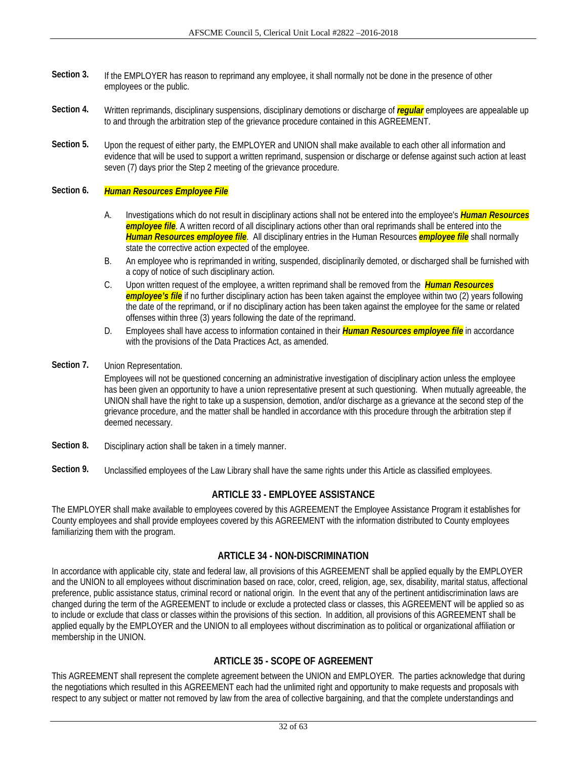- **Section 3.** If the EMPLOYER has reason to reprimand any employee, it shall normally not be done in the presence of other employees or the public.
- **Section 4.** Written reprimands, disciplinary suspensions, disciplinary demotions or discharge of *regular* employees are appealable up to and through the arbitration step of the grievance procedure contained in this AGREEMENT.
- **Section 5.** Upon the request of either party, the EMPLOYER and UNION shall make available to each other all information and evidence that will be used to support a written reprimand, suspension or discharge or defense against such action at least seven (7) days prior the Step 2 meeting of the grievance procedure.

## **Section 6.** *Human Resources Employee File*

- A. Investigations which do not result in disciplinary actions shall not be entered into the employee's *Human Resources employee file*. A written record of all disciplinary actions other than oral reprimands shall be entered into the *Human Resources employee file*. All disciplinary entries in the Human Resources *employee file* shall normally state the corrective action expected of the employee.
- B. An employee who is reprimanded in writing, suspended, disciplinarily demoted, or discharged shall be furnished with a copy of notice of such disciplinary action.
- C. Upon written request of the employee, a written reprimand shall be removed from the *Human Resources employee's file* if no further disciplinary action has been taken against the employee within two (2) years following the date of the reprimand, or if no disciplinary action has been taken against the employee for the same or related offenses within three (3) years following the date of the reprimand.
- D. Employees shall have access to information contained in their *Human Resources employee file* in accordance with the provisions of the Data Practices Act, as amended.
- **Section 7.** Union Representation.

Employees will not be questioned concerning an administrative investigation of disciplinary action unless the employee has been given an opportunity to have a union representative present at such questioning. When mutually agreeable, the UNION shall have the right to take up a suspension, demotion, and/or discharge as a grievance at the second step of the grievance procedure, and the matter shall be handled in accordance with this procedure through the arbitration step if deemed necessary.

- **Section 8.** Disciplinary action shall be taken in a timely manner.
- **Section 9.** Unclassified employees of the Law Library shall have the same rights under this Article as classified employees.

### **ARTICLE 33 - EMPLOYEE ASSISTANCE**

The EMPLOYER shall make available to employees covered by this AGREEMENT the Employee Assistance Program it establishes for County employees and shall provide employees covered by this AGREEMENT with the information distributed to County employees familiarizing them with the program.

## **ARTICLE 34 - NON-DISCRIMINATION**

In accordance with applicable city, state and federal law, all provisions of this AGREEMENT shall be applied equally by the EMPLOYER and the UNION to all employees without discrimination based on race, color, creed, religion, age, sex, disability, marital status, affectional preference, public assistance status, criminal record or national origin. In the event that any of the pertinent antidiscrimination laws are changed during the term of the AGREEMENT to include or exclude a protected class or classes, this AGREEMENT will be applied so as to include or exclude that class or classes within the provisions of this section. In addition, all provisions of this AGREEMENT shall be applied equally by the EMPLOYER and the UNION to all employees without discrimination as to political or organizational affiliation or membership in the UNION.

## **ARTICLE 35 - SCOPE OF AGREEMENT**

This AGREEMENT shall represent the complete agreement between the UNION and EMPLOYER. The parties acknowledge that during the negotiations which resulted in this AGREEMENT each had the unlimited right and opportunity to make requests and proposals with respect to any subject or matter not removed by law from the area of collective bargaining, and that the complete understandings and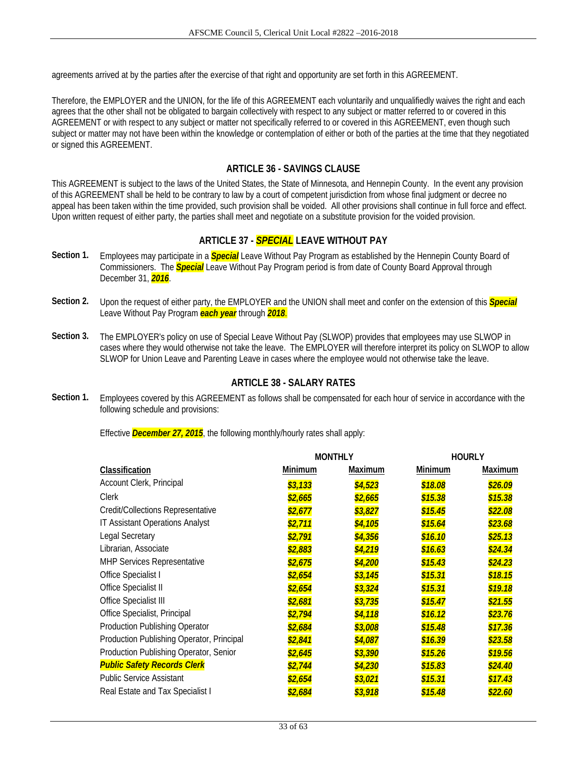agreements arrived at by the parties after the exercise of that right and opportunity are set forth in this AGREEMENT.

Therefore, the EMPLOYER and the UNION, for the life of this AGREEMENT each voluntarily and unqualifiedly waives the right and each agrees that the other shall not be obligated to bargain collectively with respect to any subject or matter referred to or covered in this AGREEMENT or with respect to any subject or matter not specifically referred to or covered in this AGREEMENT, even though such subject or matter may not have been within the knowledge or contemplation of either or both of the parties at the time that they negotiated or signed this AGREEMENT.

## **ARTICLE 36 - SAVINGS CLAUSE**

This AGREEMENT is subject to the laws of the United States, the State of Minnesota, and Hennepin County. In the event any provision of this AGREEMENT shall be held to be contrary to law by a court of competent jurisdiction from whose final judgment or decree no appeal has been taken within the time provided, such provision shall be voided. All other provisions shall continue in full force and effect. Upon written request of either party, the parties shall meet and negotiate on a substitute provision for the voided provision.

## **ARTICLE 37 -** *SPECIAL* **LEAVE WITHOUT PAY**

- **Section 1.** Employees may participate in a *Special* Leave Without Pay Program as established by the Hennepin County Board of Commissioners. The *Special* Leave Without Pay Program period is from date of County Board Approval through December 31, *2016*.
- **Section 2.** Upon the request of either party, the EMPLOYER and the UNION shall meet and confer on the extension of this *Special* Leave Without Pay Program *each year* through *2018*.
- **Section 3.** The EMPLOYER's policy on use of Special Leave Without Pay (SLWOP) provides that employees may use SLWOP in cases where they would otherwise not take the leave. The EMPLOYER will therefore interpret its policy on SLWOP to allow SLWOP for Union Leave and Parenting Leave in cases where the employee would not otherwise take the leave.

## **ARTICLE 38 - SALARY RATES**

**Section 1.** Employees covered by this AGREEMENT as follows shall be compensated for each hour of service in accordance with the following schedule and provisions:

Effective *December 27, 2015*, the following monthly/hourly rates shall apply:

| Classification<br>Minimum<br>Maximum<br>Minimum<br>Maximum<br>Account Clerk, Principal<br>\$3,133<br>\$4,523<br>\$18.08<br>\$26.09<br><b>Clerk</b><br>\$2,665<br>\$15.38<br>\$2,665<br>\$15.38<br>Credit/Collections Representative<br>\$15.45<br>\$2,677<br>\$3,827<br>\$22.08<br><b>IT Assistant Operations Analyst</b><br>\$2,711<br>\$15.64<br>\$4,105<br>\$23.68<br><b>Legal Secretary</b><br>\$16.10<br>\$2,791<br>\$4,356<br>\$25.13<br>Librarian, Associate<br>\$4,219<br>\$16.63<br>\$2,883<br>\$24.34<br><b>MHP Services Representative</b><br>\$15.43<br>\$2,675<br>\$4,200<br>\$24.23<br>Office Specialist I<br>\$3,145<br>\$15.31<br>\$2,654<br>\$18.15<br>Office Specialist II<br>\$15.31<br>\$2,654<br>\$3,324<br>\$19.18<br>Office Specialist III<br>\$3,735<br>\$15.47<br>\$2,681<br>\$21.55<br>Office Specialist, Principal<br>\$2,794<br>\$16.12<br>\$4,118<br>\$23.76<br><b>Production Publishing Operator</b><br>\$2,684<br>\$15.48<br>\$3,008<br>\$17.36<br>Production Publishing Operator, Principal<br>\$16.39<br>\$2,841<br>\$4,087<br>\$23.58<br>Production Publishing Operator, Senior<br>\$15.26<br>\$3,390<br>\$2,645<br>\$19.56<br><b>Public Safety Records Clerk</b><br>\$4,230<br>\$15.83<br>\$2,744<br>\$24.40<br><b>Public Service Assistant</b><br>\$2,654<br>\$3,021<br>\$15.31<br>\$17.43<br>Real Estate and Tax Specialist I<br>\$3,918<br>\$15.48<br>\$22.60<br><u>\$2,684</u> |  | <b>MONTHLY</b> | <b>HOURLY</b> |
|-----------------------------------------------------------------------------------------------------------------------------------------------------------------------------------------------------------------------------------------------------------------------------------------------------------------------------------------------------------------------------------------------------------------------------------------------------------------------------------------------------------------------------------------------------------------------------------------------------------------------------------------------------------------------------------------------------------------------------------------------------------------------------------------------------------------------------------------------------------------------------------------------------------------------------------------------------------------------------------------------------------------------------------------------------------------------------------------------------------------------------------------------------------------------------------------------------------------------------------------------------------------------------------------------------------------------------------------------------------------------------------------------------------------------|--|----------------|---------------|
|                                                                                                                                                                                                                                                                                                                                                                                                                                                                                                                                                                                                                                                                                                                                                                                                                                                                                                                                                                                                                                                                                                                                                                                                                                                                                                                                                                                                                       |  |                |               |
|                                                                                                                                                                                                                                                                                                                                                                                                                                                                                                                                                                                                                                                                                                                                                                                                                                                                                                                                                                                                                                                                                                                                                                                                                                                                                                                                                                                                                       |  |                |               |
|                                                                                                                                                                                                                                                                                                                                                                                                                                                                                                                                                                                                                                                                                                                                                                                                                                                                                                                                                                                                                                                                                                                                                                                                                                                                                                                                                                                                                       |  |                |               |
|                                                                                                                                                                                                                                                                                                                                                                                                                                                                                                                                                                                                                                                                                                                                                                                                                                                                                                                                                                                                                                                                                                                                                                                                                                                                                                                                                                                                                       |  |                |               |
|                                                                                                                                                                                                                                                                                                                                                                                                                                                                                                                                                                                                                                                                                                                                                                                                                                                                                                                                                                                                                                                                                                                                                                                                                                                                                                                                                                                                                       |  |                |               |
|                                                                                                                                                                                                                                                                                                                                                                                                                                                                                                                                                                                                                                                                                                                                                                                                                                                                                                                                                                                                                                                                                                                                                                                                                                                                                                                                                                                                                       |  |                |               |
|                                                                                                                                                                                                                                                                                                                                                                                                                                                                                                                                                                                                                                                                                                                                                                                                                                                                                                                                                                                                                                                                                                                                                                                                                                                                                                                                                                                                                       |  |                |               |
|                                                                                                                                                                                                                                                                                                                                                                                                                                                                                                                                                                                                                                                                                                                                                                                                                                                                                                                                                                                                                                                                                                                                                                                                                                                                                                                                                                                                                       |  |                |               |
|                                                                                                                                                                                                                                                                                                                                                                                                                                                                                                                                                                                                                                                                                                                                                                                                                                                                                                                                                                                                                                                                                                                                                                                                                                                                                                                                                                                                                       |  |                |               |
|                                                                                                                                                                                                                                                                                                                                                                                                                                                                                                                                                                                                                                                                                                                                                                                                                                                                                                                                                                                                                                                                                                                                                                                                                                                                                                                                                                                                                       |  |                |               |
|                                                                                                                                                                                                                                                                                                                                                                                                                                                                                                                                                                                                                                                                                                                                                                                                                                                                                                                                                                                                                                                                                                                                                                                                                                                                                                                                                                                                                       |  |                |               |
|                                                                                                                                                                                                                                                                                                                                                                                                                                                                                                                                                                                                                                                                                                                                                                                                                                                                                                                                                                                                                                                                                                                                                                                                                                                                                                                                                                                                                       |  |                |               |
|                                                                                                                                                                                                                                                                                                                                                                                                                                                                                                                                                                                                                                                                                                                                                                                                                                                                                                                                                                                                                                                                                                                                                                                                                                                                                                                                                                                                                       |  |                |               |
|                                                                                                                                                                                                                                                                                                                                                                                                                                                                                                                                                                                                                                                                                                                                                                                                                                                                                                                                                                                                                                                                                                                                                                                                                                                                                                                                                                                                                       |  |                |               |
|                                                                                                                                                                                                                                                                                                                                                                                                                                                                                                                                                                                                                                                                                                                                                                                                                                                                                                                                                                                                                                                                                                                                                                                                                                                                                                                                                                                                                       |  |                |               |
|                                                                                                                                                                                                                                                                                                                                                                                                                                                                                                                                                                                                                                                                                                                                                                                                                                                                                                                                                                                                                                                                                                                                                                                                                                                                                                                                                                                                                       |  |                |               |
|                                                                                                                                                                                                                                                                                                                                                                                                                                                                                                                                                                                                                                                                                                                                                                                                                                                                                                                                                                                                                                                                                                                                                                                                                                                                                                                                                                                                                       |  |                |               |
|                                                                                                                                                                                                                                                                                                                                                                                                                                                                                                                                                                                                                                                                                                                                                                                                                                                                                                                                                                                                                                                                                                                                                                                                                                                                                                                                                                                                                       |  |                |               |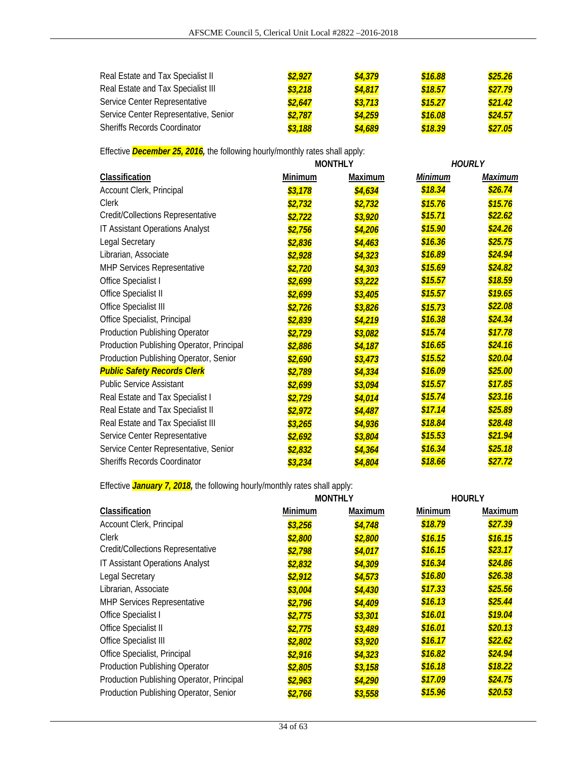| Real Estate and Tax Specialist II     | \$2,927 | \$4,379 | \$16.88 | \$25.26 |
|---------------------------------------|---------|---------|---------|---------|
| Real Estate and Tax Specialist III    | \$3,218 | \$4,817 | \$18.57 | \$27.79 |
| Service Center Representative         | \$2,647 | \$3,713 | \$15.27 | \$21.42 |
| Service Center Representative, Senior | \$2,787 | \$4,259 | \$16.08 | \$24.57 |
| <b>Sheriffs Records Coordinator</b>   | \$3,188 | \$4,689 | \$18.39 | \$27.05 |

Effective *December 25, 2016,* the following hourly/monthly rates shall apply:

|                                           |                | <b>MONTHLY</b> |         | <b>HOURLY</b>  |
|-------------------------------------------|----------------|----------------|---------|----------------|
| <b>Classification</b>                     | <b>Minimum</b> | <b>Maximum</b> | Minimum | <b>Maximum</b> |
| Account Clerk, Principal                  | \$3,178        | \$4,634        | \$18.34 | \$26.74        |
| <b>Clerk</b>                              | \$2,732        | \$2,732        | \$15.76 | \$15.76        |
| Credit/Collections Representative         | \$2,722        | \$3,920        | \$15.71 | \$22.62        |
| IT Assistant Operations Analyst           | \$2,756        | \$4,206        | \$15.90 | \$24.26        |
| <b>Legal Secretary</b>                    | \$2,836        | \$4,463        | \$16.36 | \$25.75        |
| Librarian, Associate                      | \$2,928        | \$4,323        | \$16.89 | \$24.94        |
| MHP Services Representative               | \$2,720        | \$4,303        | \$15.69 | \$24.82        |
| Office Specialist I                       | \$2,699        | \$3,222        | \$15.57 | \$18.59        |
| Office Specialist II                      | \$2,699        | \$3,405        | \$15.57 | \$19.65        |
| Office Specialist III                     | \$2,726        | \$3,826        | \$15.73 | \$22.08        |
| Office Specialist, Principal              | \$2,839        | \$4,219        | \$16.38 | \$24.34        |
| <b>Production Publishing Operator</b>     | \$2,729        | \$3,082        | \$15.74 | \$17.78        |
| Production Publishing Operator, Principal | \$2,886        | \$4,187        | \$16.65 | \$24.16        |
| Production Publishing Operator, Senior    | \$2,690        | \$3,473        | \$15.52 | \$20.04        |
| <b>Public Safety Records Clerk</b>        | \$2,789        | \$4,334        | \$16.09 | \$25.00        |
| <b>Public Service Assistant</b>           | \$2,699        | \$3,094        | \$15.57 | \$17.85        |
| Real Estate and Tax Specialist I          | \$2,729        | \$4,014        | \$15.74 | \$23.16        |
| Real Estate and Tax Specialist II         | \$2,972        | \$4,487        | \$17.14 | \$25.89        |
| Real Estate and Tax Specialist III        | \$3,265        | \$4,936        | \$18.84 | \$28.48        |
| Service Center Representative             | \$2,692        | \$3,804        | \$15.53 | \$21.94        |
| Service Center Representative, Senior     | \$2,832        | \$4,364        | \$16.34 | \$25.18        |
| Sheriffs Records Coordinator              | \$3,234        | \$4,804        | \$18.66 | \$27.72        |

Effective *January 7, 2018,* the following hourly/monthly rates shall apply:

|                                           |         | <b>MONTHLY</b> |         | <b>HOURLY</b>  |
|-------------------------------------------|---------|----------------|---------|----------------|
| Classification                            | Minimum | Maximum        | Minimum | <b>Maximum</b> |
| Account Clerk, Principal                  | \$3,256 | \$4,748        | \$18.79 | \$27.39        |
| <b>Clerk</b>                              | \$2,800 | \$2,800        | \$16.15 | \$16.15        |
| Credit/Collections Representative         | \$2,798 | \$4,017        | \$16.15 | \$23.17        |
| IT Assistant Operations Analyst           | \$2,832 | \$4,309        | \$16.34 | \$24.86        |
| <b>Legal Secretary</b>                    | \$2,912 | \$4,573        | \$16.80 | \$26.38        |
| Librarian, Associate                      | \$3,004 | \$4,430        | \$17.33 | \$25.56        |
| <b>MHP Services Representative</b>        | \$2,796 | \$4,409        | \$16.13 | \$25.44        |
| Office Specialist I                       | \$2,775 | \$3,301        | \$16.01 | \$19.04        |
| Office Specialist II                      | \$2,775 | \$3,489        | \$16.01 | \$20.13        |
| Office Specialist III                     | \$2,802 | \$3,920        | \$16.17 | \$22.62        |
| Office Specialist, Principal              | \$2,916 | \$4,323        | \$16.82 | \$24.94        |
| Production Publishing Operator            | \$2,805 | \$3,158        | \$16.18 | \$18.22        |
| Production Publishing Operator, Principal | \$2,963 | \$4,290        | \$17.09 | \$24.75        |
| Production Publishing Operator, Senior    | \$2,766 | \$3,558        | \$15.96 | \$20.53        |
|                                           |         |                |         |                |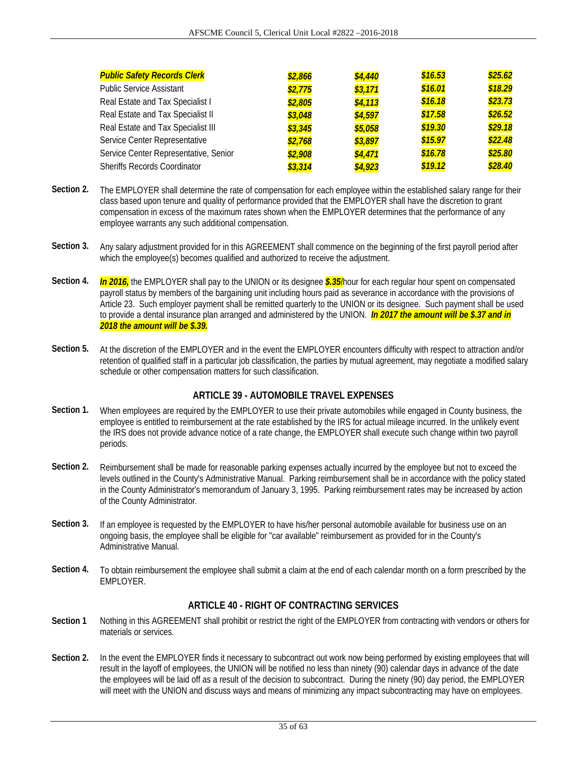| <b>Public Safety Records Clerk</b>    | \$2,866 | \$4,440 | \$16.53 | \$25.62 |
|---------------------------------------|---------|---------|---------|---------|
| <b>Public Service Assistant</b>       | \$2,775 | \$3,171 | \$16.01 | \$18.29 |
| Real Estate and Tax Specialist I      | \$2,805 | \$4,113 | \$16.18 | \$23.73 |
| Real Estate and Tax Specialist II     | \$3,048 | \$4,597 | \$17.58 | \$26.52 |
| Real Estate and Tax Specialist III    | \$3,345 | \$5,058 | \$19.30 | \$29.18 |
| Service Center Representative         | \$2,768 | \$3,897 | \$15.97 | \$22.48 |
| Service Center Representative, Senior | \$2,908 | \$4,471 | \$16.78 | \$25.80 |
| <b>Sheriffs Records Coordinator</b>   | \$3,314 | \$4,923 | \$19.12 | \$28.40 |

- **Section 2.** The EMPLOYER shall determine the rate of compensation for each employee within the established salary range for their class based upon tenure and quality of performance provided that the EMPLOYER shall have the discretion to grant compensation in excess of the maximum rates shown when the EMPLOYER determines that the performance of any employee warrants any such additional compensation.
- **Section 3.** Any salary adjustment provided for in this AGREEMENT shall commence on the beginning of the first payroll period after which the employee(s) becomes qualified and authorized to receive the adjustment.
- **Section 4.** *In 2016,* the EMPLOYER shall pay to the UNION or its designee *\$.35*/hour for each regular hour spent on compensated payroll status by members of the bargaining unit including hours paid as severance in accordance with the provisions of Article 23. Such employer payment shall be remitted quarterly to the UNION or its designee. Such payment shall be used to provide a dental insurance plan arranged and administered by the UNION. *In 2017 the amount will be \$.37 and in 2018 the amount will be \$.39.*
- **Section 5.** At the discretion of the EMPLOYER and in the event the EMPLOYER encounters difficulty with respect to attraction and/or retention of qualified staff in a particular job classification, the parties by mutual agreement, may negotiate a modified salary schedule or other compensation matters for such classification.

## **ARTICLE 39 - AUTOMOBILE TRAVEL EXPENSES**

- **Section 1.** When employees are required by the EMPLOYER to use their private automobiles while engaged in County business, the employee is entitled to reimbursement at the rate established by the IRS for actual mileage incurred. In the unlikely event the IRS does not provide advance notice of a rate change, the EMPLOYER shall execute such change within two payroll periods.
- **Section 2.** Reimbursement shall be made for reasonable parking expenses actually incurred by the employee but not to exceed the levels outlined in the County's Administrative Manual. Parking reimbursement shall be in accordance with the policy stated in the County Administrator's memorandum of January 3, 1995. Parking reimbursement rates may be increased by action of the County Administrator.
- **Section 3.** If an employee is requested by the EMPLOYER to have his/her personal automobile available for business use on an ongoing basis, the employee shall be eligible for "car available" reimbursement as provided for in the County's Administrative Manual.
- **Section 4.** To obtain reimbursement the employee shall submit a claim at the end of each calendar month on a form prescribed by the EMPLOYER.

## **ARTICLE 40 - RIGHT OF CONTRACTING SERVICES**

- **Section 1** Nothing in this AGREEMENT shall prohibit or restrict the right of the EMPLOYER from contracting with vendors or others for materials or services.
- **Section 2.** In the event the EMPLOYER finds it necessary to subcontract out work now being performed by existing employees that will result in the layoff of employees, the UNION will be notified no less than ninety (90) calendar days in advance of the date the employees will be laid off as a result of the decision to subcontract. During the ninety (90) day period, the EMPLOYER will meet with the UNION and discuss ways and means of minimizing any impact subcontracting may have on employees.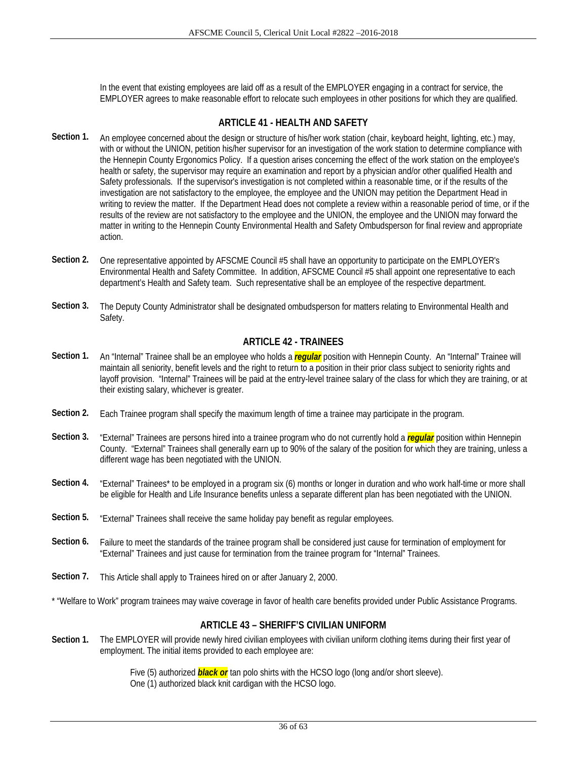In the event that existing employees are laid off as a result of the EMPLOYER engaging in a contract for service, the EMPLOYER agrees to make reasonable effort to relocate such employees in other positions for which they are qualified.

## **ARTICLE 41 - HEALTH AND SAFETY**

- Section 1. An employee concerned about the design or structure of his/her work station (chair, keyboard height, lighting, etc.) may, with or without the UNION, petition his/her supervisor for an investigation of the work station to determine compliance with the Hennepin County Ergonomics Policy. If a question arises concerning the effect of the work station on the employee's health or safety, the supervisor may require an examination and report by a physician and/or other qualified Health and Safety professionals. If the supervisor's investigation is not completed within a reasonable time, or if the results of the investigation are not satisfactory to the employee, the employee and the UNION may petition the Department Head in writing to review the matter. If the Department Head does not complete a review within a reasonable period of time, or if the results of the review are not satisfactory to the employee and the UNION, the employee and the UNION may forward the matter in writing to the Hennepin County Environmental Health and Safety Ombudsperson for final review and appropriate action.
- **Section 2.** One representative appointed by AFSCME Council #5 shall have an opportunity to participate on the EMPLOYER's Environmental Health and Safety Committee. In addition, AFSCME Council #5 shall appoint one representative to each department's Health and Safety team. Such representative shall be an employee of the respective department.
- **Section 3.** The Deputy County Administrator shall be designated ombudsperson for matters relating to Environmental Health and Safety.

## **ARTICLE 42 - TRAINEES**

- **Section 1.** An "Internal" Trainee shall be an employee who holds a *regular* position with Hennepin County. An "Internal" Trainee will maintain all seniority, benefit levels and the right to return to a position in their prior class subject to seniority rights and layoff provision. "Internal" Trainees will be paid at the entry-level trainee salary of the class for which they are training, or at their existing salary, whichever is greater.
- **Section 2.** Each Trainee program shall specify the maximum length of time a trainee may participate in the program.
- **Section 3.** "External" Trainees are persons hired into a trainee program who do not currently hold a *regular* position within Hennepin County. "External" Trainees shall generally earn up to 90% of the salary of the position for which they are training, unless a different wage has been negotiated with the UNION.
- **Section 4.** "External" Trainees\* to be employed in a program six (6) months or longer in duration and who work half-time or more shall be eligible for Health and Life Insurance benefits unless a separate different plan has been negotiated with the UNION.
- **Section 5.** "External" Trainees shall receive the same holiday pay benefit as regular employees.
- **Section 6.** Failure to meet the standards of the trainee program shall be considered just cause for termination of employment for "External" Trainees and just cause for termination from the trainee program for "Internal" Trainees.
- **Section 7.** This Article shall apply to Trainees hired on or after January 2, 2000.

\* "Welfare to Work" program trainees may waive coverage in favor of health care benefits provided under Public Assistance Programs.

### **ARTICLE 43 – SHERIFF'S CIVILIAN UNIFORM**

**Section 1.** The EMPLOYER will provide newly hired civilian employees with civilian uniform clothing items during their first year of employment. The initial items provided to each employee are:

> Five (5) authorized *black or* tan polo shirts with the HCSO logo (long and/or short sleeve). One (1) authorized black knit cardigan with the HCSO logo.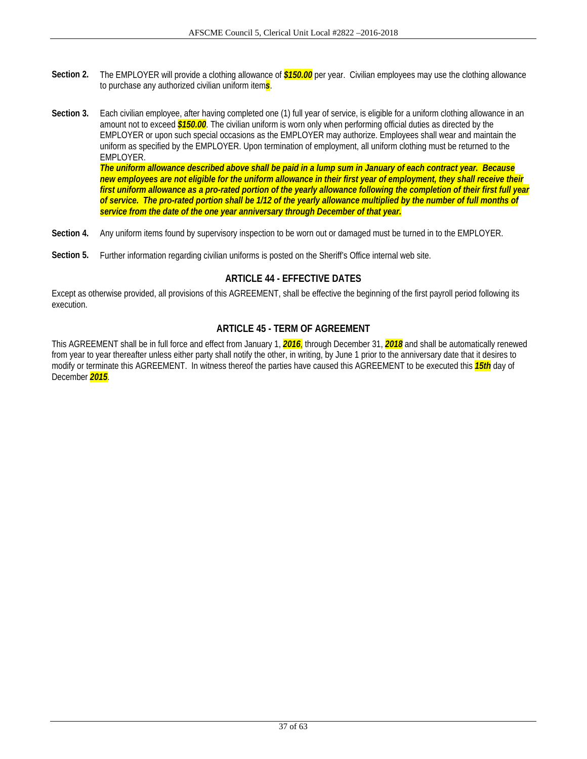- Section 2. The EMPLOYER will provide a clothing allowance of **\$150.00** per year. Civilian employees may use the clothing allowance to purchase any authorized civilian uniform item*s*.
- **Section 3.** Each civilian employee, after having completed one (1) full year of service, is eligible for a uniform clothing allowance in an amount not to exceed *\$150.00*. The civilian uniform is worn only when performing official duties as directed by the EMPLOYER or upon such special occasions as the EMPLOYER may authorize. Employees shall wear and maintain the uniform as specified by the EMPLOYER. Upon termination of employment, all uniform clothing must be returned to the EMPLOYER.

*The uniform allowance described above shall be paid in a lump sum in January of each contract year. Because new employees are not eligible for the uniform allowance in their first year of employment, they shall receive their first uniform allowance as a pro-rated portion of the yearly allowance following the completion of their first full year of service. The pro-rated portion shall be 1/12 of the yearly allowance multiplied by the number of full months of service from the date of the one year anniversary through December of that year.* 

- **Section 4.** Any uniform items found by supervisory inspection to be worn out or damaged must be turned in to the EMPLOYER.
- **Section 5.** Further information regarding civilian uniforms is posted on the Sheriff's Office internal web site.

## **ARTICLE 44 - EFFECTIVE DATES**

Except as otherwise provided, all provisions of this AGREEMENT, shall be effective the beginning of the first payroll period following its execution.

## **ARTICLE 45 - TERM OF AGREEMENT**

This AGREEMENT shall be in full force and effect from January 1, *2016*, through December 31, *2018* and shall be automatically renewed from year to year thereafter unless either party shall notify the other, in writing, by June 1 prior to the anniversary date that it desires to modify or terminate this AGREEMENT. In witness thereof the parties have caused this AGREEMENT to be executed this *15th* day of December *2015*.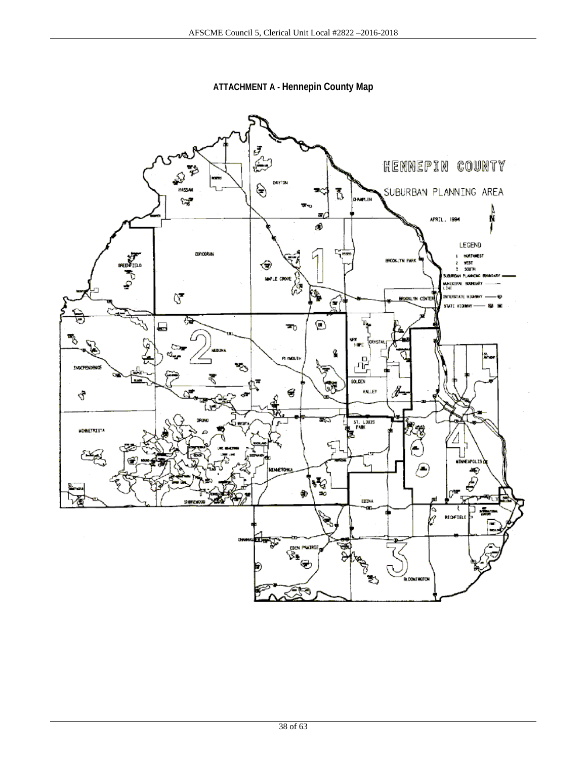**ATTACHMENT A - Hennepin County Map** 

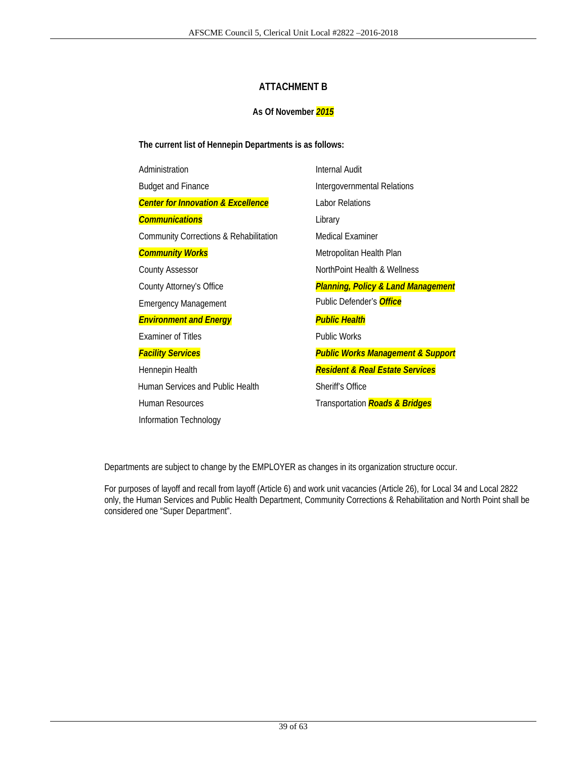## **ATTACHMENT B**

## **As Of November** *2015*

**The current list of Hennepin Departments is as follows:** 

| Administration                                    | <b>Internal Audit</b>   |
|---------------------------------------------------|-------------------------|
| <b>Budget and Finance</b>                         | Intergovernm            |
| <b>Center for Innovation &amp; Excellence</b>     | Labor Relatio           |
| <b>Communications</b>                             | Library                 |
| <b>Community Corrections &amp; Rehabilitation</b> | Medical Exan            |
| <b>Community Works</b>                            | Metropolitan            |
| <b>County Assessor</b>                            | NorthPoint He           |
| County Attorney's Office                          | <b>Planning, Po</b>     |
| <b>Emergency Management</b>                       | Public Defen            |
| <b>Environment and Energy</b>                     | <b>Public Healt</b>     |
| <b>Examiner of Titles</b>                         | <b>Public Works</b>     |
| <b>Facility Services</b>                          | <b>Public Work</b>      |
| Hennepin Health                                   | <b>Resident &amp; l</b> |
| Human Services and Public Health                  | Sheriff's Offic         |
| Human Resources                                   | Transportatio           |
| Information Technology                            |                         |

governmental Relations **Dr Relations** ical Examiner **Copolitan Health Plan** hPoint Health & Wellness County Attorney's Office *Planning, Policy & Land Management* lic Defender's *Office Puic Health* lic Works *Facility Services Public Works Management & Support*  Hennepin Health *Resident & Real Estate Services*  riff's Office Human Resources Transportation *Roads & Bridges* 

Departments are subject to change by the EMPLOYER as changes in its organization structure occur.

For purposes of layoff and recall from layoff (Article 6) and work unit vacancies (Article 26), for Local 34 and Local 2822 only, the Human Services and Public Health Department, Community Corrections & Rehabilitation and North Point shall be considered one "Super Department".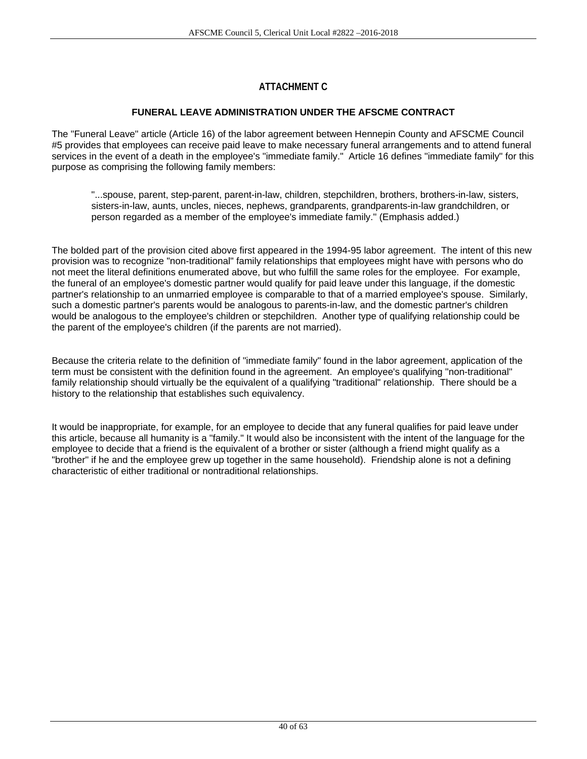# **ATTACHMENT C**

## **FUNERAL LEAVE ADMINISTRATION UNDER THE AFSCME CONTRACT**

The "Funeral Leave" article (Article 16) of the labor agreement between Hennepin County and AFSCME Council #5 provides that employees can receive paid leave to make necessary funeral arrangements and to attend funeral services in the event of a death in the employee's "immediate family." Article 16 defines "immediate family" for this purpose as comprising the following family members:

 "...spouse, parent, step-parent, parent-in-law, children, stepchildren, brothers, brothers-in-law, sisters, sisters-in-law, aunts, uncles, nieces, nephews, grandparents, grandparents-in-law grandchildren, or person regarded as a member of the employee's immediate family.'' (Emphasis added.)

The bolded part of the provision cited above first appeared in the 1994-95 labor agreement. The intent of this new provision was to recognize "non-traditional" family relationships that employees might have with persons who do not meet the literal definitions enumerated above, but who fulfill the same roles for the employee. For example, the funeral of an employee's domestic partner would qualify for paid leave under this language, if the domestic partner's relationship to an unmarried employee is comparable to that of a married employee's spouse. Similarly, such a domestic partner's parents would be analogous to parents-in-law, and the domestic partner's children would be analogous to the employee's children or stepchildren. Another type of qualifying relationship could be the parent of the employee's children (if the parents are not married).

Because the criteria relate to the definition of "immediate family" found in the labor agreement, application of the term must be consistent with the definition found in the agreement. An employee's qualifying "non-traditional" family relationship should virtually be the equivalent of a qualifying "traditional" relationship. There should be a history to the relationship that establishes such equivalency.

It would be inappropriate, for example, for an employee to decide that any funeral qualifies for paid leave under this article, because all humanity is a "family." It would also be inconsistent with the intent of the language for the employee to decide that a friend is the equivalent of a brother or sister (although a friend might qualify as a "brother" if he and the employee grew up together in the same household). Friendship alone is not a defining characteristic of either traditional or nontraditional relationships.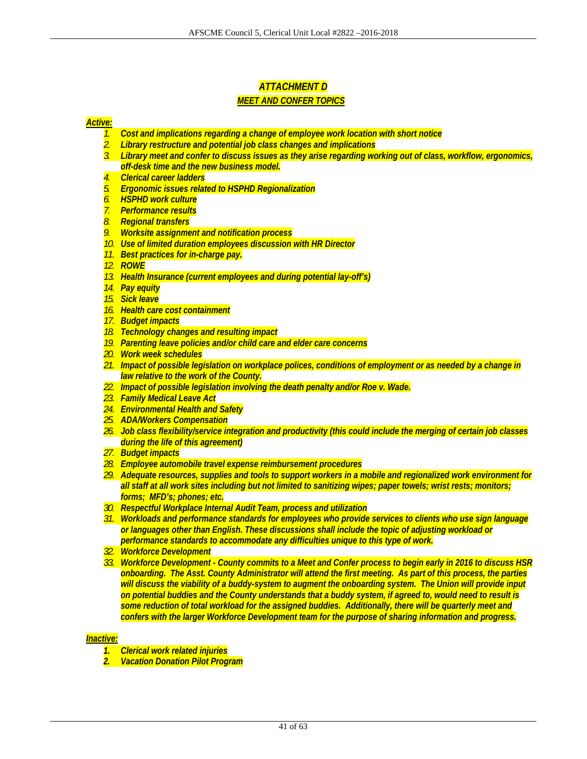# *ATTACHMENT D*

## *MEET AND CONFER TOPICS*

#### *Active:*

- *1. Cost and implications regarding a change of employee work location with short notice*
- *2. Library restructure and potential job class changes and implications*
- *3. Library meet and confer to discuss issues as they arise regarding working out of class, workflow, ergonomics, off-desk time and the new business model.*
- *4. Clerical career ladders*
- *5. Ergonomic issues related to HSPHD Regionalization*
- *6. HSPHD work culture*
- *7. Performance results*
- *8. Regional transfers*
- *9. Worksite assignment and notification process*
- *10. Use of limited duration employees discussion with HR Director*
- *11. Best practices for in-charge pay.*
- *12. ROWE*
- *13. Health Insurance (current employees and during potential lay-off's)*
- *14. Pay equity*
- *15. Sick leave*
- *16. Health care cost containment*
- *17. Budget impacts*
- *18. Technology changes and resulting impact*
- *19. Parenting leave policies and/or child care and elder care concerns*
- *20. Work week schedules*
- *21. Impact of possible legislation on workplace polices, conditions of employment or as needed by a change in law relative to the work of the County.*
- *22. Impact of possible legislation involving the death penalty and/or Roe v. Wade.*
- *23. Family Medical Leave Act*
- *24. Environmental Health and Safety*
- *25. ADA/Workers Compensation*
- *26. Job class flexibility/service integration and productivity (this could include the merging of certain job classes during the life of this agreement)*
- *27. Budget impacts*
- *28. Employee automobile travel expense reimbursement procedures*
- *29. Adequate resources, supplies and tools to support workers in a mobile and regionalized work environment for all staff at all work sites including but not limited to sanitizing wipes; paper towels; wrist rests; monitors; forms; MFD's; phones; etc.*
- *30. Respectful Workplace Internal Audit Team, process and utilization*
- *31. Workloads and performance standards for employees who provide services to clients who use sign language or languages other than English. These discussions shall include the topic of adjusting workload or performance standards to accommodate any difficulties unique to this type of work.*
- *32. Workforce Development*
- *33. Workforce Development County commits to a Meet and Confer process to begin early in 2016 to discuss HSR onboarding. The Asst. County Administrator will attend the first meeting. As part of this process, the parties will discuss the viability of a buddy-system to augment the onboarding system. The Union will provide input on potential buddies and the County understands that a buddy system, if agreed to, would need to result is some reduction of total workload for the assigned buddies. Additionally, there will be quarterly meet and confers with the larger Workforce Development team for the purpose of sharing information and progress.*

#### *Inactive:*

- *1. Clerical work related injuries*
- *2. Vacation Donation Pilot Program*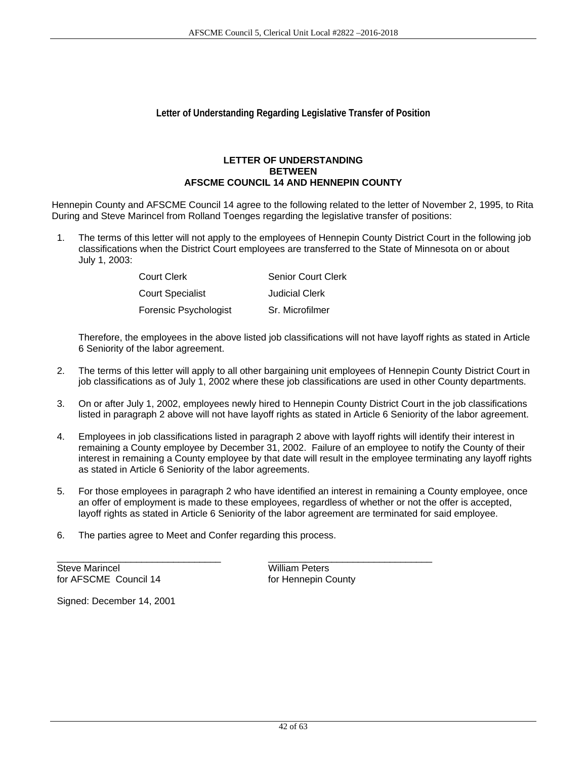## **Letter of Understanding Regarding Legislative Transfer of Position**

#### **LETTER OF UNDERSTANDING BETWEEN AFSCME COUNCIL 14 AND HENNEPIN COUNTY**

Hennepin County and AFSCME Council 14 agree to the following related to the letter of November 2, 1995, to Rita During and Steve Marincel from Rolland Toenges regarding the legislative transfer of positions:

1. The terms of this letter will not apply to the employees of Hennepin County District Court in the following job classifications when the District Court employees are transferred to the State of Minnesota on or about July 1, 2003:

| Court Clerk             | <b>Senior Court Clerk</b> |
|-------------------------|---------------------------|
| <b>Court Specialist</b> | Judicial Clerk            |
| Forensic Psychologist   | Sr. Microfilmer           |

 Therefore, the employees in the above listed job classifications will not have layoff rights as stated in Article 6 Seniority of the labor agreement.

- 2. The terms of this letter will apply to all other bargaining unit employees of Hennepin County District Court in job classifications as of July 1, 2002 where these job classifications are used in other County departments.
- 3. On or after July 1, 2002, employees newly hired to Hennepin County District Court in the job classifications listed in paragraph 2 above will not have layoff rights as stated in Article 6 Seniority of the labor agreement.
- 4. Employees in job classifications listed in paragraph 2 above with layoff rights will identify their interest in remaining a County employee by December 31, 2002. Failure of an employee to notify the County of their interest in remaining a County employee by that date will result in the employee terminating any layoff rights as stated in Article 6 Seniority of the labor agreements.
- 5. For those employees in paragraph 2 who have identified an interest in remaining a County employee, once an offer of employment is made to these employees, regardless of whether or not the offer is accepted, layoff rights as stated in Article 6 Seniority of the labor agreement are terminated for said employee.
- 6. The parties agree to Meet and Confer regarding this process.

\_\_\_\_\_\_\_\_\_\_\_\_\_\_\_\_\_\_\_\_\_\_\_\_\_\_\_\_\_\_\_ \_\_\_\_\_\_\_\_\_\_\_\_\_\_\_\_\_\_\_\_\_\_\_\_\_\_\_\_\_\_\_

Steve Marincel **Milliam Peters** for AFSCME Council 14 for Hennepin County

Signed: December 14, 2001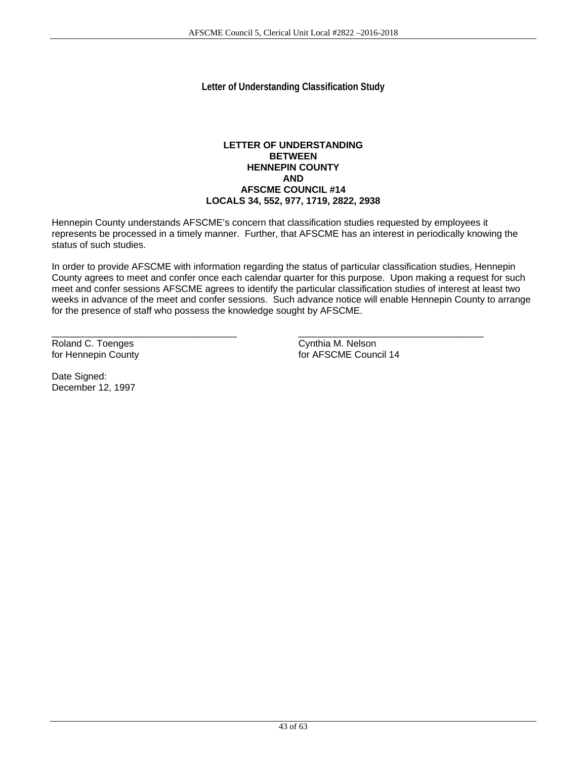**Letter of Understanding Classification Study** 

#### **LETTER OF UNDERSTANDING BETWEEN HENNEPIN COUNTY AND AFSCME COUNCIL #14 LOCALS 34, 552, 977, 1719, 2822, 2938**

Hennepin County understands AFSCME's concern that classification studies requested by employees it represents be processed in a timely manner. Further, that AFSCME has an interest in periodically knowing the status of such studies.

In order to provide AFSCME with information regarding the status of particular classification studies, Hennepin County agrees to meet and confer once each calendar quarter for this purpose. Upon making a request for such meet and confer sessions AFSCME agrees to identify the particular classification studies of interest at least two weeks in advance of the meet and confer sessions. Such advance notice will enable Hennepin County to arrange for the presence of staff who possess the knowledge sought by AFSCME.

\_\_\_\_\_\_\_\_\_\_\_\_\_\_\_\_\_\_\_\_\_\_\_\_\_\_\_\_\_\_\_\_\_\_\_ \_\_\_\_\_\_\_\_\_\_\_\_\_\_\_\_\_\_\_\_\_\_\_\_\_\_\_\_\_\_\_\_\_\_\_

Roland C. Toenges Cynthia M. Nelson

for Hennepin County and the state of the for AFSCME Council 14

Date Signed: December 12, 1997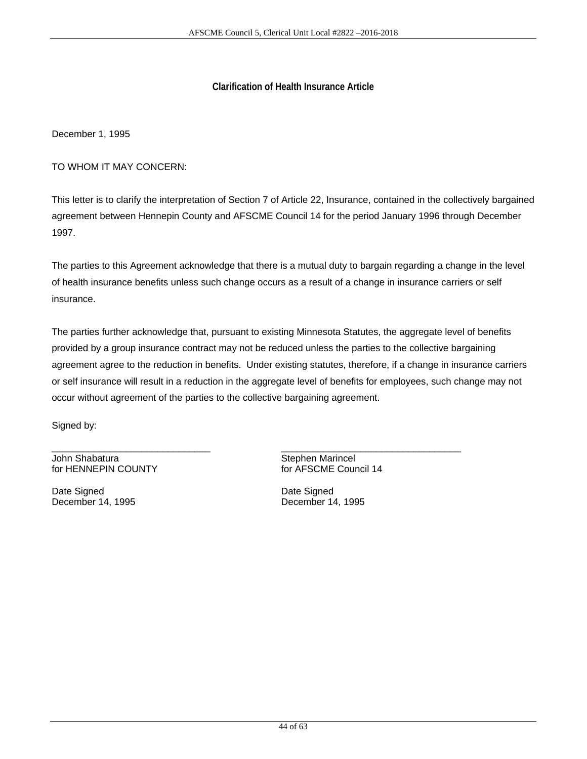## **Clarification of Health Insurance Article**

December 1, 1995

TO WHOM IT MAY CONCERN:

This letter is to clarify the interpretation of Section 7 of Article 22, Insurance, contained in the collectively bargained agreement between Hennepin County and AFSCME Council 14 for the period January 1996 through December 1997.

The parties to this Agreement acknowledge that there is a mutual duty to bargain regarding a change in the level of health insurance benefits unless such change occurs as a result of a change in insurance carriers or self insurance.

The parties further acknowledge that, pursuant to existing Minnesota Statutes, the aggregate level of benefits provided by a group insurance contract may not be reduced unless the parties to the collective bargaining agreement agree to the reduction in benefits. Under existing statutes, therefore, if a change in insurance carriers or self insurance will result in a reduction in the aggregate level of benefits for employees, such change may not occur without agreement of the parties to the collective bargaining agreement.

\_\_\_\_\_\_\_\_\_\_\_\_\_\_\_\_\_\_\_\_\_\_\_\_\_\_\_\_\_\_ \_\_\_\_\_\_\_\_\_\_\_\_\_\_\_\_\_\_\_\_\_\_\_\_\_\_\_\_\_\_\_\_\_\_

Signed by:

John Shabatura **Stephen Marincel**<br>
Stephen Marincel<br>
for HENNEPIN COUNTY 
Stephen Marincel<br>
Stephen Marincel for HENNEPIN COUNTY

Date Signed **Date Signed** Date Signed December 14, 1995 December 14, 1995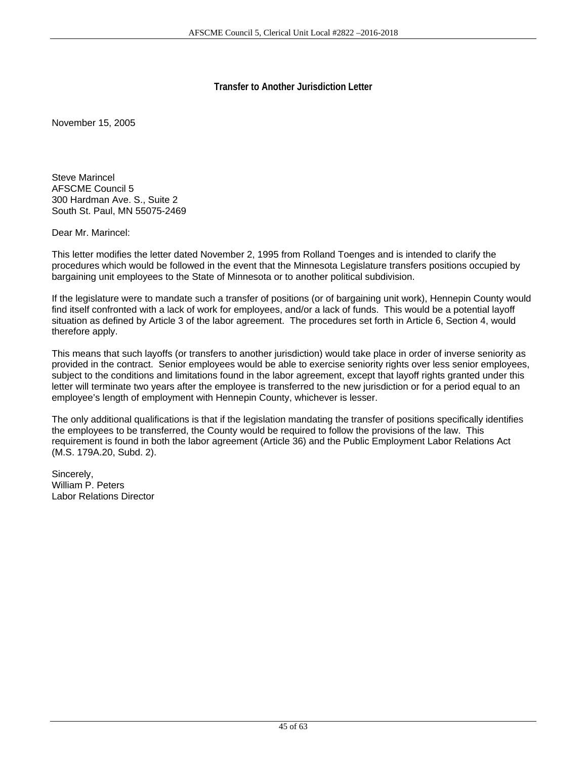## **Transfer to Another Jurisdiction Letter**

November 15, 2005

Steve Marincel AFSCME Council 5 300 Hardman Ave. S., Suite 2 South St. Paul, MN 55075-2469

Dear Mr. Marincel:

This letter modifies the letter dated November 2, 1995 from Rolland Toenges and is intended to clarify the procedures which would be followed in the event that the Minnesota Legislature transfers positions occupied by bargaining unit employees to the State of Minnesota or to another political subdivision.

If the legislature were to mandate such a transfer of positions (or of bargaining unit work), Hennepin County would find itself confronted with a lack of work for employees, and/or a lack of funds. This would be a potential layoff situation as defined by Article 3 of the labor agreement. The procedures set forth in Article 6, Section 4, would therefore apply.

This means that such layoffs (or transfers to another jurisdiction) would take place in order of inverse seniority as provided in the contract. Senior employees would be able to exercise seniority rights over less senior employees, subject to the conditions and limitations found in the labor agreement, except that layoff rights granted under this letter will terminate two years after the employee is transferred to the new jurisdiction or for a period equal to an employee's length of employment with Hennepin County, whichever is lesser.

The only additional qualifications is that if the legislation mandating the transfer of positions specifically identifies the employees to be transferred, the County would be required to follow the provisions of the law. This requirement is found in both the labor agreement (Article 36) and the Public Employment Labor Relations Act (M.S. 179A.20, Subd. 2).

Sincerely, William P. Peters Labor Relations Director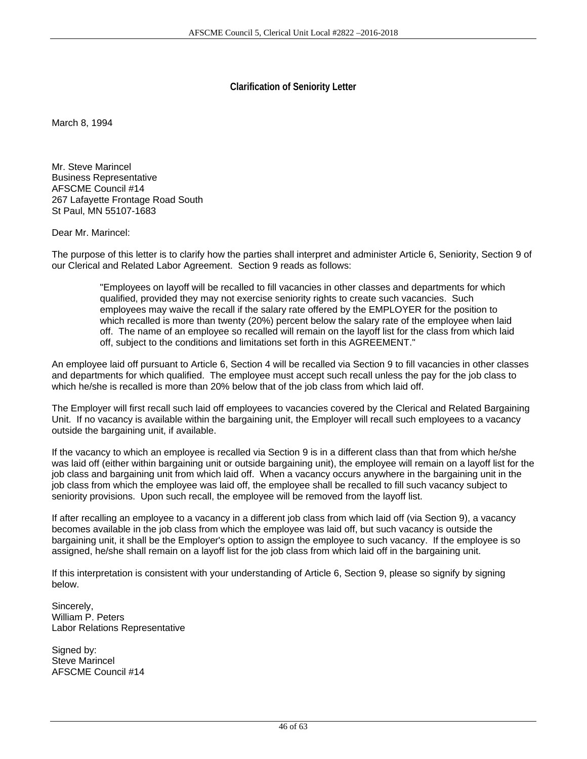## **Clarification of Seniority Letter**

March 8, 1994

Mr. Steve Marincel Business Representative AFSCME Council #14 267 Lafayette Frontage Road South St Paul, MN 55107-1683

Dear Mr. Marincel:

The purpose of this letter is to clarify how the parties shall interpret and administer Article 6, Seniority, Section 9 of our Clerical and Related Labor Agreement. Section 9 reads as follows:

> "Employees on layoff will be recalled to fill vacancies in other classes and departments for which qualified, provided they may not exercise seniority rights to create such vacancies. Such employees may waive the recall if the salary rate offered by the EMPLOYER for the position to which recalled is more than twenty (20%) percent below the salary rate of the employee when laid off. The name of an employee so recalled will remain on the layoff list for the class from which laid off, subject to the conditions and limitations set forth in this AGREEMENT."

An employee laid off pursuant to Article 6, Section 4 will be recalled via Section 9 to fill vacancies in other classes and departments for which qualified. The employee must accept such recall unless the pay for the job class to which he/she is recalled is more than 20% below that of the job class from which laid off.

The Employer will first recall such laid off employees to vacancies covered by the Clerical and Related Bargaining Unit. If no vacancy is available within the bargaining unit, the Employer will recall such employees to a vacancy outside the bargaining unit, if available.

If the vacancy to which an employee is recalled via Section 9 is in a different class than that from which he/she was laid off (either within bargaining unit or outside bargaining unit), the employee will remain on a layoff list for the job class and bargaining unit from which laid off. When a vacancy occurs anywhere in the bargaining unit in the job class from which the employee was laid off, the employee shall be recalled to fill such vacancy subject to seniority provisions. Upon such recall, the employee will be removed from the layoff list.

If after recalling an employee to a vacancy in a different job class from which laid off (via Section 9), a vacancy becomes available in the job class from which the employee was laid off, but such vacancy is outside the bargaining unit, it shall be the Employer's option to assign the employee to such vacancy. If the employee is so assigned, he/she shall remain on a layoff list for the job class from which laid off in the bargaining unit.

If this interpretation is consistent with your understanding of Article 6, Section 9, please so signify by signing below.

Sincerely, William P. Peters Labor Relations Representative

Signed by: Steve Marincel AFSCME Council #14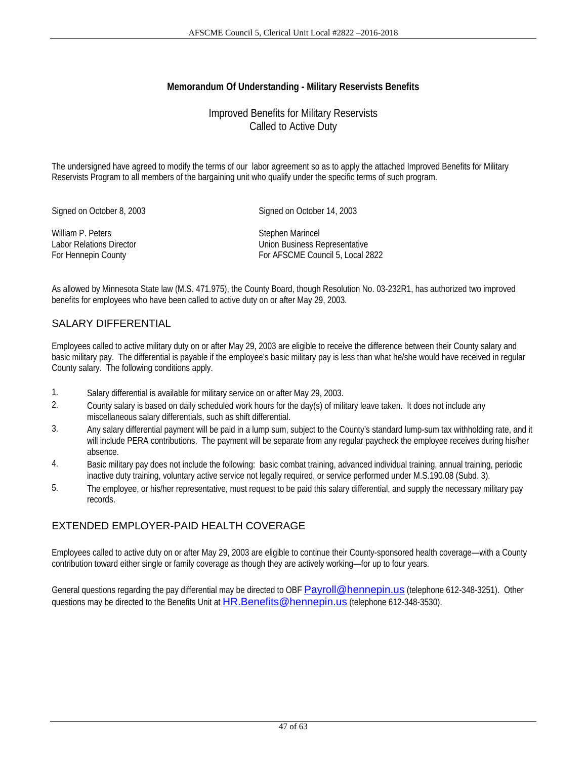## **Memorandum Of Understanding - Military Reservists Benefits**

## Improved Benefits for Military Reservists Called to Active Duty

The undersigned have agreed to modify the terms of our labor agreement so as to apply the attached Improved Benefits for Military Reservists Program to all members of the bargaining unit who qualify under the specific terms of such program.

Signed on October 8, 2003 Signed on October 14, 2003

William P. Peters Stephen Marincel

Labor Relations Director Union Business Representative For Hennepin County **For AFSCME Council 5, Local 2822** 

As allowed by Minnesota State law (M.S. 471.975), the County Board, though Resolution No. 03-232R1, has authorized two improved benefits for employees who have been called to active duty on or after May 29, 2003.

## SALARY DIFFERENTIAL

Employees called to active military duty on or after May 29, 2003 are eligible to receive the difference between their County salary and basic military pay. The differential is payable if the employee's basic military pay is less than what he/she would have received in regular County salary. The following conditions apply.

- 1. Salary differential is available for military service on or after May 29, 2003.
- 2. County salary is based on daily scheduled work hours for the day(s) of military leave taken. It does not include any miscellaneous salary differentials, such as shift differential.
- 3. Any salary differential payment will be paid in a lump sum, subject to the County's standard lump-sum tax withholding rate, and it will include PERA contributions. The payment will be separate from any regular paycheck the employee receives during his/her absence.
- 4. Basic military pay does not include the following: basic combat training, advanced individual training, annual training, periodic inactive duty training, voluntary active service not legally required, or service performed under M.S.190.08 (Subd. 3).
- 5. The employee, or his/her representative, must request to be paid this salary differential, and supply the necessary military pay records.

## EXTENDED EMPLOYER-PAID HEALTH COVERAGE

Employees called to active duty on or after May 29, 2003 are eligible to continue their County-sponsored health coverage—with a County contribution toward either single or family coverage as though they are actively working—for up to four years.

General questions regarding the pay differential may be directed to OBF Payroll@hennepin.us (telephone 612-348-3251). Other questions may be directed to the Benefits Unit at HR. Benefits@hennepin.us (telephone 612-348-3530).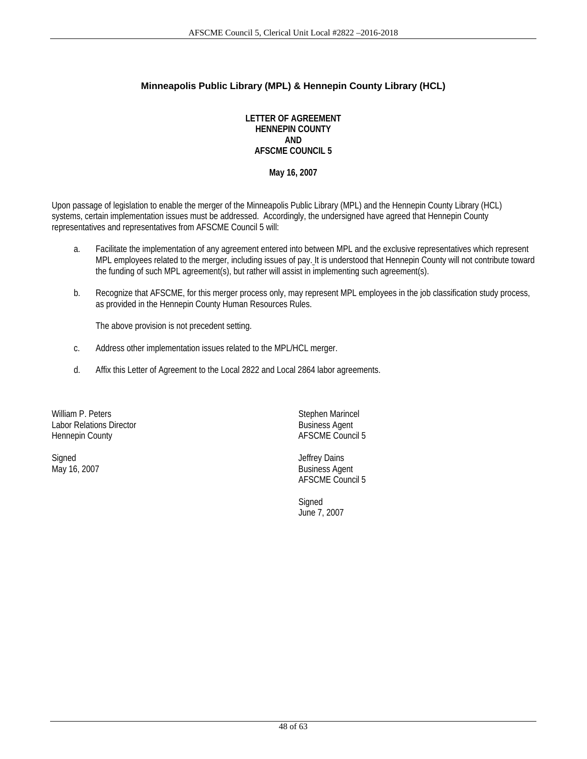## **Minneapolis Public Library (MPL) & Hennepin County Library (HCL)**

**LETTER OF AGREEMENT HENNEPIN COUNTY AND AFSCME COUNCIL 5** 

**May 16, 2007** 

Upon passage of legislation to enable the merger of the Minneapolis Public Library (MPL) and the Hennepin County Library (HCL) systems, certain implementation issues must be addressed. Accordingly, the undersigned have agreed that Hennepin County representatives and representatives from AFSCME Council 5 will:

- a. Facilitate the implementation of any agreement entered into between MPL and the exclusive representatives which represent MPL employees related to the merger, including issues of pay. It is understood that Hennepin County will not contribute toward the funding of such MPL agreement(s), but rather will assist in implementing such agreement(s).
- b. Recognize that AFSCME, for this merger process only, may represent MPL employees in the job classification study process, as provided in the Hennepin County Human Resources Rules.

The above provision is not precedent setting.

- c. Address other implementation issues related to the MPL/HCL merger.
- d. Affix this Letter of Agreement to the Local 2822 and Local 2864 labor agreements.

William P. Peters **Stephen Marincel** Labor Relations Director and Director and Director and Business Agent Hennepin County and Director and Director AFSCME Council

Signed Jeffrey Dains

AFSCME Council 5

May 16, 2007 Business Agent AFSCME Council 5

Signed in the contract of the contract of the Signed Signed Signed June 7, 2007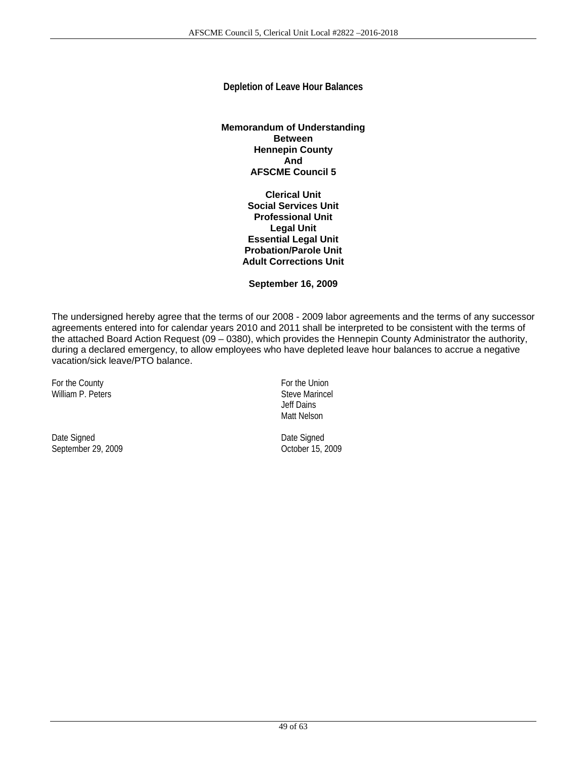## **Depletion of Leave Hour Balances**

#### **Memorandum of Understanding Between Hennepin County And AFSCME Council 5**

**Clerical Unit Social Services Unit Professional Unit Legal Unit Essential Legal Unit Probation/Parole Unit Adult Corrections Unit** 

**September 16, 2009** 

The undersigned hereby agree that the terms of our 2008 - 2009 labor agreements and the terms of any successor agreements entered into for calendar years 2010 and 2011 shall be interpreted to be consistent with the terms of the attached Board Action Request (09 – 0380), which provides the Hennepin County Administrator the authority, during a declared emergency, to allow employees who have depleted leave hour balances to accrue a negative vacation/sick leave/PTO balance.

For the County **For the Union** William P. Peters Steve Marincel

Date Signed<br>
Date Signed<br>
Date Signed<br>
Date Signed<br>
October 15, 2009 September 29, 2009

 Jeff Dains Matt Nelson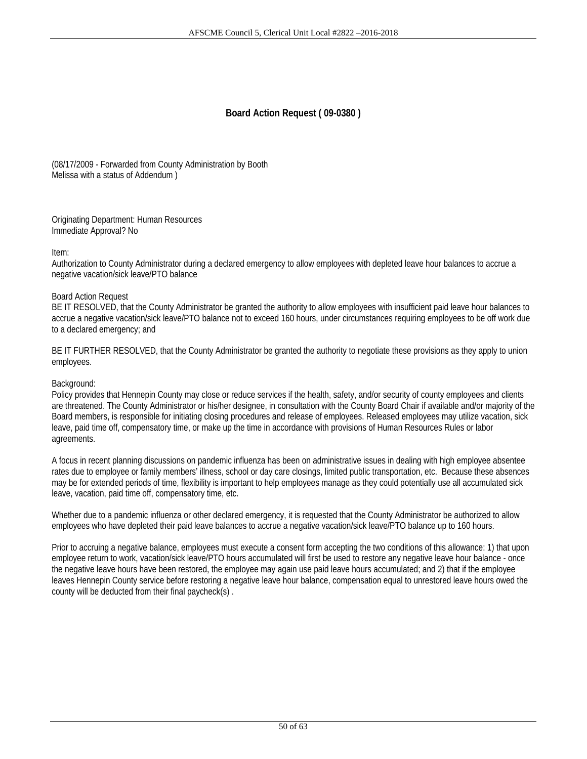## **Board Action Request ( 09-0380 )**

(08/17/2009 - Forwarded from County Administration by Booth Melissa with a status of Addendum )

Originating Department: Human Resources Immediate Approval? No

#### Item:

Authorization to County Administrator during a declared emergency to allow employees with depleted leave hour balances to accrue a negative vacation/sick leave/PTO balance

#### Board Action Request

BE IT RESOLVED, that the County Administrator be granted the authority to allow employees with insufficient paid leave hour balances to accrue a negative vacation/sick leave/PTO balance not to exceed 160 hours, under circumstances requiring employees to be off work due to a declared emergency; and

BE IT FURTHER RESOLVED, that the County Administrator be granted the authority to negotiate these provisions as they apply to union employees.

#### Background:

Policy provides that Hennepin County may close or reduce services if the health, safety, and/or security of county employees and clients are threatened. The County Administrator or his/her designee, in consultation with the County Board Chair if available and/or majority of the Board members, is responsible for initiating closing procedures and release of employees. Released employees may utilize vacation, sick leave, paid time off, compensatory time, or make up the time in accordance with provisions of Human Resources Rules or labor agreements.

A focus in recent planning discussions on pandemic influenza has been on administrative issues in dealing with high employee absentee rates due to employee or family members' illness, school or day care closings, limited public transportation, etc. Because these absences may be for extended periods of time, flexibility is important to help employees manage as they could potentially use all accumulated sick leave, vacation, paid time off, compensatory time, etc.

Whether due to a pandemic influenza or other declared emergency, it is requested that the County Administrator be authorized to allow employees who have depleted their paid leave balances to accrue a negative vacation/sick leave/PTO balance up to 160 hours.

Prior to accruing a negative balance, employees must execute a consent form accepting the two conditions of this allowance: 1) that upon employee return to work, vacation/sick leave/PTO hours accumulated will first be used to restore any negative leave hour balance - once the negative leave hours have been restored, the employee may again use paid leave hours accumulated; and 2) that if the employee leaves Hennepin County service before restoring a negative leave hour balance, compensation equal to unrestored leave hours owed the county will be deducted from their final paycheck(s) .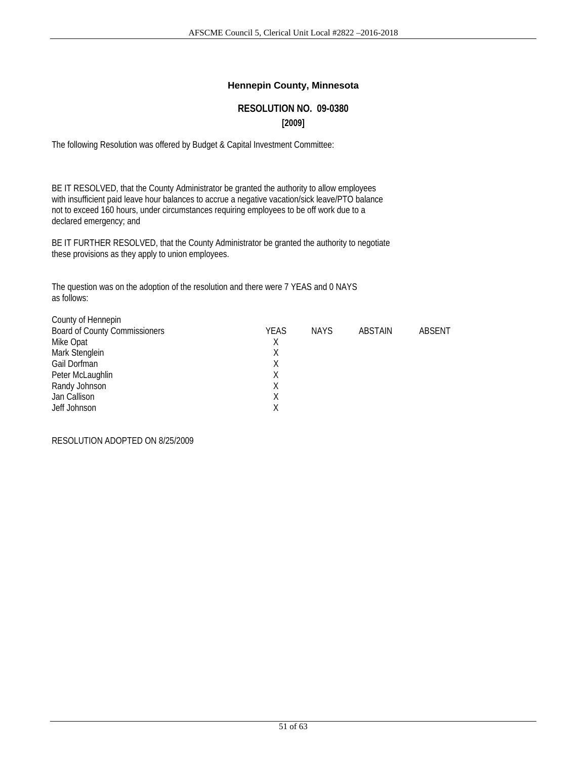## **Hennepin County, Minnesota**

## **RESOLUTION NO. 09-0380 [2009]**

The following Resolution was offered by Budget & Capital Investment Committee:

BE IT RESOLVED, that the County Administrator be granted the authority to allow employees with insufficient paid leave hour balances to accrue a negative vacation/sick leave/PTO balance not to exceed 160 hours, under circumstances requiring employees to be off work due to a declared emergency; and

BE IT FURTHER RESOLVED, that the County Administrator be granted the authority to negotiate these provisions as they apply to union employees.

The question was on the adoption of the resolution and there were 7 YEAS and 0 NAYS as follows:

| County of Hennepin                   |      |             |         |        |
|--------------------------------------|------|-------------|---------|--------|
| <b>Board of County Commissioners</b> | YEAS | <b>NAYS</b> | ABSTAIN | ABSENT |
| Mike Opat                            | X    |             |         |        |
| Mark Stenglein                       | Χ    |             |         |        |
| Gail Dorfman                         | Χ    |             |         |        |
| Peter McLaughlin                     | X    |             |         |        |
| Randy Johnson                        | Χ    |             |         |        |
| Jan Callison                         | X    |             |         |        |
| Jeff Johnson                         | Χ    |             |         |        |
|                                      |      |             |         |        |

#### RESOLUTION ADOPTED ON 8/25/2009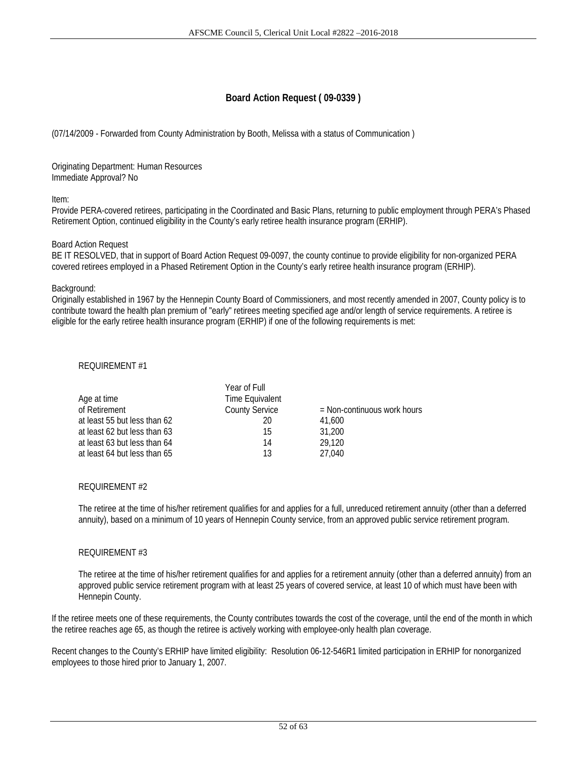## **Board Action Request ( 09-0339 )**

(07/14/2009 - Forwarded from County Administration by Booth, Melissa with a status of Communication )

Originating Department: Human Resources Immediate Approval? No

Item:

Provide PERA-covered retirees, participating in the Coordinated and Basic Plans, returning to public employment through PERA's Phased Retirement Option, continued eligibility in the County's early retiree health insurance program (ERHIP).

#### Board Action Request

BE IT RESOLVED, that in support of Board Action Request 09-0097, the county continue to provide eligibility for non-organized PERA covered retirees employed in a Phased Retirement Option in the County's early retiree health insurance program (ERHIP).

#### Background:

Originally established in 1967 by the Hennepin County Board of Commissioners, and most recently amended in 2007, County policy is to contribute toward the health plan premium of "early" retirees meeting specified age and/or length of service requirements. A retiree is eligible for the early retiree health insurance program (ERHIP) if one of the following requirements is met:

#### REQUIREMENT #1

|                              | Year of Full          |                               |
|------------------------------|-----------------------|-------------------------------|
| Age at time                  | Time Equivalent       |                               |
| of Retirement                | <b>County Service</b> | $=$ Non-continuous work hours |
| at least 55 but less than 62 | 20                    | 41.600                        |
| at least 62 but less than 63 | 15                    | 31,200                        |
| at least 63 but less than 64 | 14                    | 29,120                        |
| at least 64 but less than 65 | 13                    | 27.040                        |

#### REQUIREMENT #2

 The retiree at the time of his/her retirement qualifies for and applies for a full, unreduced retirement annuity (other than a deferred annuity), based on a minimum of 10 years of Hennepin County service, from an approved public service retirement program.

#### REQUIREMENT #3

 The retiree at the time of his/her retirement qualifies for and applies for a retirement annuity (other than a deferred annuity) from an approved public service retirement program with at least 25 years of covered service, at least 10 of which must have been with Hennepin County.

If the retiree meets one of these requirements, the County contributes towards the cost of the coverage, until the end of the month in which the retiree reaches age 65, as though the retiree is actively working with employee-only health plan coverage.

Recent changes to the County's ERHIP have limited eligibility: Resolution 06-12-546R1 limited participation in ERHIP for nonorganized employees to those hired prior to January 1, 2007.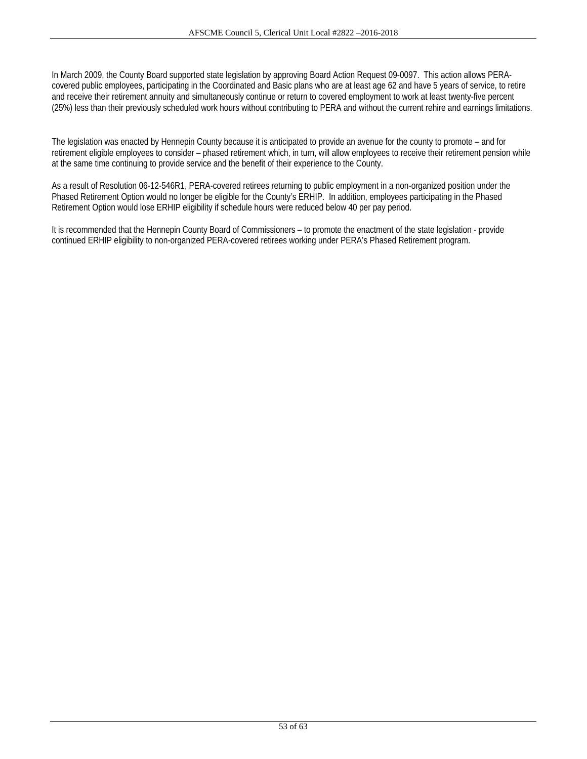In March 2009, the County Board supported state legislation by approving Board Action Request 09-0097. This action allows PERAcovered public employees, participating in the Coordinated and Basic plans who are at least age 62 and have 5 years of service, to retire and receive their retirement annuity and simultaneously continue or return to covered employment to work at least twenty-five percent (25%) less than their previously scheduled work hours without contributing to PERA and without the current rehire and earnings limitations.

The legislation was enacted by Hennepin County because it is anticipated to provide an avenue for the county to promote – and for retirement eligible employees to consider – phased retirement which, in turn, will allow employees to receive their retirement pension while at the same time continuing to provide service and the benefit of their experience to the County.

As a result of Resolution 06-12-546R1, PERA-covered retirees returning to public employment in a non-organized position under the Phased Retirement Option would no longer be eligible for the County's ERHIP. In addition, employees participating in the Phased Retirement Option would lose ERHIP eligibility if schedule hours were reduced below 40 per pay period.

It is recommended that the Hennepin County Board of Commissioners – to promote the enactment of the state legislation - provide continued ERHIP eligibility to non-organized PERA-covered retirees working under PERA's Phased Retirement program.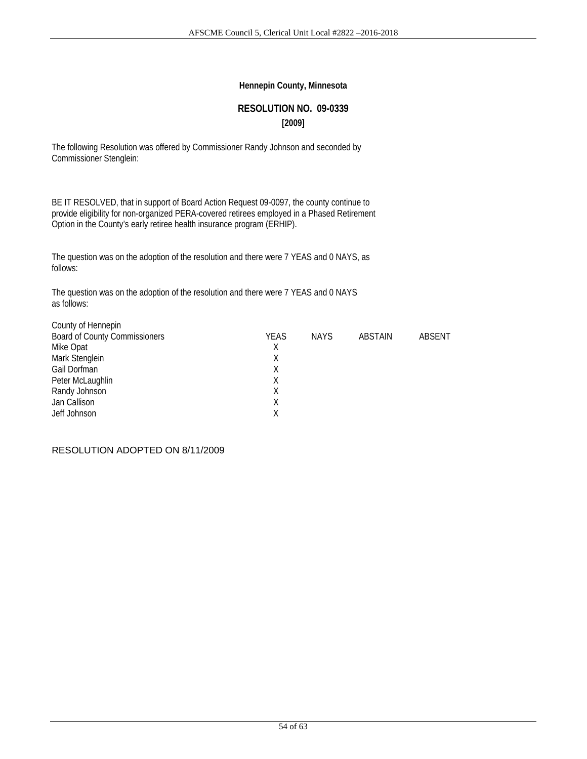#### **Hennepin County, Minnesota**

# **RESOLUTION NO. 09-0339 [2009]**

The following Resolution was offered by Commissioner Randy Johnson and seconded by Commissioner Stenglein:

BE IT RESOLVED, that in support of Board Action Request 09-0097, the county continue to provide eligibility for non-organized PERA-covered retirees employed in a Phased Retirement Option in the County's early retiree health insurance program (ERHIP).

The question was on the adoption of the resolution and there were 7 YEAS and 0 NAYS, as follows:

The question was on the adoption of the resolution and there were 7 YEAS and 0 NAYS as follows:

| County of Hennepin                   |             |             |         |        |
|--------------------------------------|-------------|-------------|---------|--------|
| <b>Board of County Commissioners</b> | <b>YEAS</b> | <b>NAYS</b> | ABSTAIN | ABSENT |
| Mike Opat                            | Χ           |             |         |        |
| Mark Stenglein                       | X           |             |         |        |
| Gail Dorfman                         | X           |             |         |        |
| Peter McLaughlin                     | Χ           |             |         |        |
| Randy Johnson                        | Χ           |             |         |        |
| Jan Callison                         | Χ           |             |         |        |
| Jeff Johnson                         |             |             |         |        |
|                                      |             |             |         |        |

RESOLUTION ADOPTED ON 8/11/2009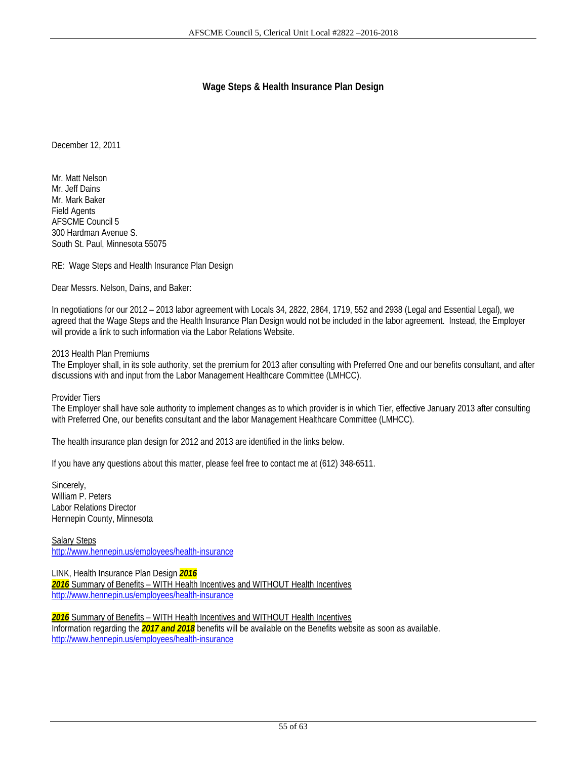## **Wage Steps & Health Insurance Plan Design**

December 12, 2011

Mr. Matt Nelson Mr. Jeff Dains Mr. Mark Baker Field Agents AFSCME Council 5 300 Hardman Avenue S. South St. Paul, Minnesota 55075

RE: Wage Steps and Health Insurance Plan Design

Dear Messrs. Nelson, Dains, and Baker:

In negotiations for our 2012 – 2013 labor agreement with Locals 34, 2822, 2864, 1719, 552 and 2938 (Legal and Essential Legal), we agreed that the Wage Steps and the Health Insurance Plan Design would not be included in the labor agreement. Instead, the Employer will provide a link to such information via the Labor Relations Website.

#### 2013 Health Plan Premiums

The Employer shall, in its sole authority, set the premium for 2013 after consulting with Preferred One and our benefits consultant, and after discussions with and input from the Labor Management Healthcare Committee (LMHCC).

Provider Tiers

The Employer shall have sole authority to implement changes as to which provider is in which Tier, effective January 2013 after consulting with Preferred One, our benefits consultant and the labor Management Healthcare Committee (LMHCC).

The health insurance plan design for 2012 and 2013 are identified in the links below.

If you have any questions about this matter, please feel free to contact me at (612) 348-6511.

Sincerely, William P. Peters Labor Relations Director Hennepin County, Minnesota

Salary Steps http://www.hennepin.us/employees/health-insurance

LINK, Health Insurance Plan Design *2016 2016* Summary of Benefits – WITH Health Incentives and WITHOUT Health Incentives http://www.hennepin.us/employees/health-insurance

*2016* Summary of Benefits – WITH Health Incentives and WITHOUT Health Incentives Information regarding the *2017 and 2018* benefits will be available on the Benefits website as soon as available. http://www.hennepin.us/employees/health-insurance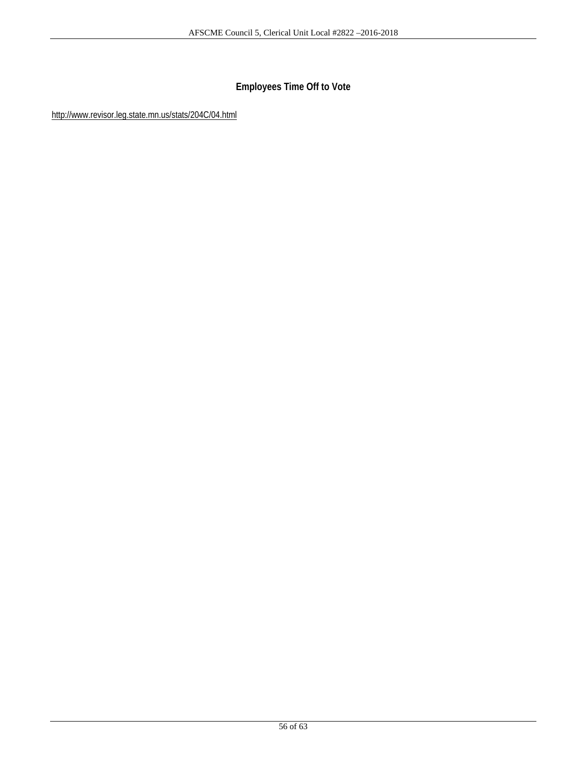# **Employees Time Off to Vote**

http://www.revisor.leg.state.mn.us/stats/204C/04.html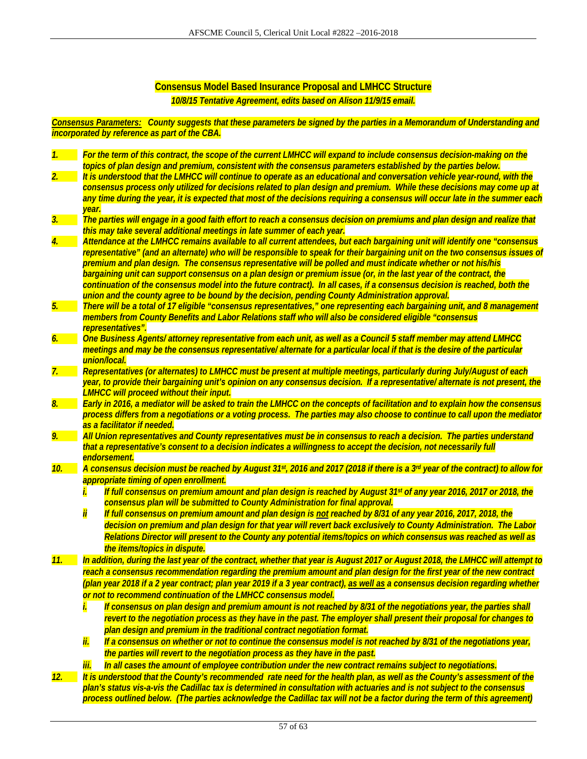# **Consensus Model Based Insurance Proposal and LMHCC Structure**

*10/8/15 Tentative Agreement, edits based on Alison 11/9/15 email.* 

*Consensus Parameters: County suggests that these parameters be signed by the parties in a Memorandum of Understanding and incorporated by reference as part of the CBA.* 

| $\overline{\mathcal{L}}$ | For the term of this contract, the scope of the current LMHCC will expand to include consensus decision-making on the         |
|--------------------------|-------------------------------------------------------------------------------------------------------------------------------|
|                          | topics of plan design and premium, consistent with the consensus parameters established by the parties below.                 |
|                          | It is understood that the LMHCC will continue to operate as an educational and conversation vehicle year-round, with the      |
|                          | consensus process only utilized for decisions related to plan design and premium. While these decisions may come up at        |
|                          | any time during the year, it is expected that most of the decisions requiring a consensus will occur late in the summer each  |
|                          | year.                                                                                                                         |
| 3 <sub>1</sub>           | The parties will engage in a good faith effort to reach a consensus decision on premiums and plan design and realize that     |
|                          | this may take several additional meetings in late summer of each year.                                                        |
| $\overline{4}$ .         | Attendance at the LMHCC remains available to all current attendees, but each bargaining unit will identify one "consensus     |
|                          | representative" (and an alternate) who will be responsible to speak for their bargaining unit on the two consensus issues of  |
|                          | premium and plan design. The consensus representative will be polled and must indicate whether or not his/his                 |
|                          | bargaining unit can support consensus on a plan design or premium issue (or, in the last year of the contract, the            |
|                          | continuation of the consensus model into the future contract). In all cases, if a consensus decision is reached, both the     |
|                          | union and the county agree to be bound by the decision, pending County Administration approval.                               |
| 5.                       | There will be a total of 17 eligible "consensus representatives," one representing each bargaining unit, and 8 management     |
|                          | members from County Benefits and Labor Relations staff who will also be considered eligible "consensus                        |
|                          | representatives".                                                                                                             |
| 6.                       | One Business Agents/attorney representative from each unit, as well as a Council 5 staff member may attend LMHCC              |
|                          | meetings and may be the consensus representative/ alternate for a particular local if that is the desire of the particular    |
|                          | union/local.                                                                                                                  |
| $Z_{\cdot}$              | Representatives (or alternates) to LMHCC must be present at multiple meetings, particularly during July/August of each        |
|                          | year, to provide their bargaining unit's opinion on any consensus decision. If a representative/alternate is not present, the |
|                          | <b>LMHCC will proceed without their input.</b>                                                                                |
| $\mathcal{B}.$           | Early in 2016, a mediator will be asked to train the LMHCC on the concepts of facilitation and to explain how the consensus   |
|                          | process differs from a negotiations or a voting process. The parties may also choose to continue to call upon the mediator    |
|                          | as a facilitator if needed.                                                                                                   |
| 9.                       | All Union representatives and County representatives must be in consensus to reach a decision. The parties understand         |
|                          | that a representative's consent to a decision indicates a willingness to accept the decision, not necessarily full            |
|                          | endorsement.                                                                                                                  |
| 10.                      | A consensus decision must be reached by August 31st, 2016 and 2017 (2018 if there is a 3rd year of the contract) to allow for |
|                          | appropriate timing of open enrollment.                                                                                        |
|                          | If full consensus on premium amount and plan design is reached by August 31 <sup>st</sup> of any year 2016, 2017 or 2018, the |
|                          | İ.                                                                                                                            |
|                          | consensus plan will be submitted to County Administration for final approval.                                                 |
|                          | ΪÏ<br>If full consensus on premium amount and plan design is not reached by 8/31 of any year 2016, 2017, 2018, the            |
|                          | decision on premium and plan design for that year will revert back exclusively to County Administration. The Labor            |
|                          | Relations Director will present to the County any potential items/topics on which consensus was reached as well as            |
|                          | the items/topics in dispute.                                                                                                  |
| 11.                      | In addition, during the last year of the contract, whether that year is August 2017 or August 2018, the LMHCC will attempt to |
|                          | reach a consensus recommendation regarding the premium amount and plan design for the first year of the new contract          |
|                          | (plan year 2018 if a 2 year contract; plan year 2019 if a 3 year contract), as well as a consensus decision regarding whether |
|                          | or not to recommend continuation of the LMHCC consensus model.                                                                |
|                          | If consensus on plan design and premium amount is not reached by 8/31 of the negotiations year, the parties shall<br>İ.       |
|                          | revert to the negotiation process as they have in the past. The employer shall present their proposal for changes to          |
|                          | plan design and premium in the traditional contract negotiation format.                                                       |
|                          | Ϊİ.<br>If a consensus on whether or not to continue the consensus model is not reached by 8/31 of the negotiations year,      |
|                          |                                                                                                                               |
|                          | the parties will revert to the negotiation process as they have in the past.                                                  |
|                          | In all cases the amount of employee contribution under the new contract remains subject to negotiations.<br><mark>iii.</mark> |
| 12.                      | It is understood that the County's recommended rate need for the health plan, as well as the County's assessment of the       |
|                          | plan's status vis-a-vis the Cadillac tax is determined in consultation with actuaries and is not subject to the consensus     |
|                          | process outlined below. (The parties acknowledge the Cadillac tax will not be a factor during the term of this agreement)     |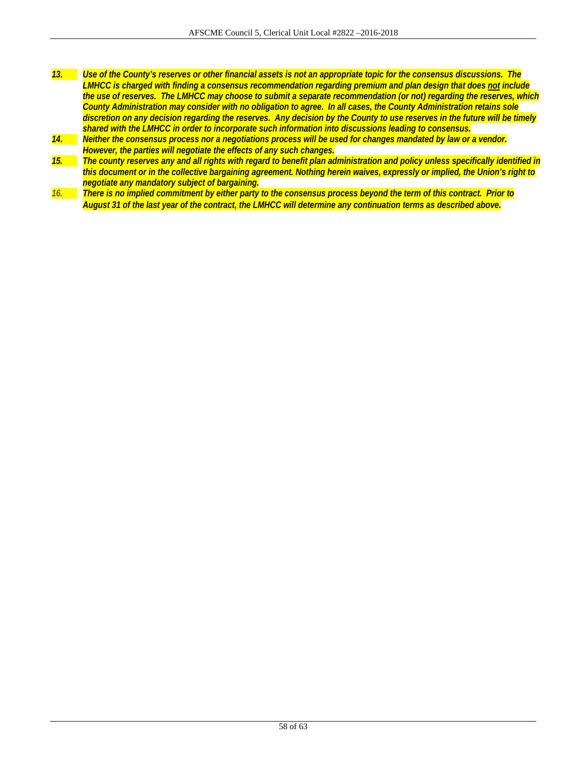- *13. Use of the County's reserves or other financial assets is not an appropriate topic for the consensus discussions. The LMHCC is charged with finding a consensus recommendation regarding premium and plan design that does not include the use of reserves. The LMHCC may choose to submit a separate recommendation (or not) regarding the reserves, which County Administration may consider with no obligation to agree. In all cases, the County Administration retains sole discretion on any decision regarding the reserves. Any decision by the County to use reserves in the future will be timely shared with the LMHCC in order to incorporate such information into discussions leading to consensus.*
- *14. Neither the consensus process nor a negotiations process will be used for changes mandated by law or a vendor. However, the parties will negotiate the effects of any such changes.*
- *15. The county reserves any and all rights with regard to benefit plan administration and policy unless specifically identified in this document or in the collective bargaining agreement. Nothing herein waives, expressly or implied, the Union's right to negotiate any mandatory subject of bargaining.*
- *16. There is no implied commitment by either party to the consensus process beyond the term of this contract. Prior to August 31 of the last year of the contract, the LMHCC will determine any continuation terms as described above.*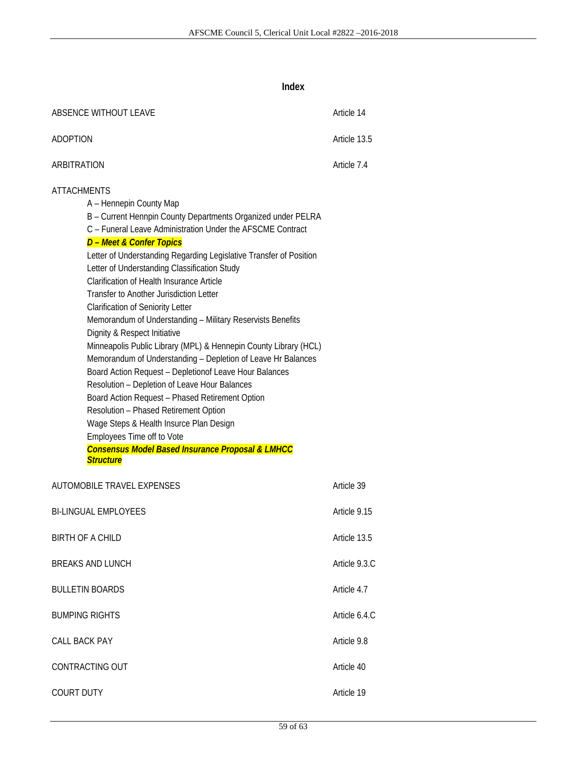**Index** 

| ABSENCE WITHOUT LEAVE                                                                                                                                                                                                                                                                                                                                                                                                                                                                                                                                                                                                                                                                                                                                                                                                                                                                                                                                                                                                                                                         | Article 14    |
|-------------------------------------------------------------------------------------------------------------------------------------------------------------------------------------------------------------------------------------------------------------------------------------------------------------------------------------------------------------------------------------------------------------------------------------------------------------------------------------------------------------------------------------------------------------------------------------------------------------------------------------------------------------------------------------------------------------------------------------------------------------------------------------------------------------------------------------------------------------------------------------------------------------------------------------------------------------------------------------------------------------------------------------------------------------------------------|---------------|
| <b>ADOPTION</b>                                                                                                                                                                                                                                                                                                                                                                                                                                                                                                                                                                                                                                                                                                                                                                                                                                                                                                                                                                                                                                                               | Article 13.5  |
| ARBITRATION                                                                                                                                                                                                                                                                                                                                                                                                                                                                                                                                                                                                                                                                                                                                                                                                                                                                                                                                                                                                                                                                   | Article 7.4   |
| <b>ATTACHMENTS</b><br>A - Hennepin County Map<br>B - Current Hennpin County Departments Organized under PELRA<br>C - Funeral Leave Administration Under the AFSCME Contract<br>D - Meet & Confer Topics<br>Letter of Understanding Regarding Legislative Transfer of Position<br>Letter of Understanding Classification Study<br><b>Clarification of Health Insurance Article</b><br>Transfer to Another Jurisdiction Letter<br><b>Clarification of Seniority Letter</b><br>Memorandum of Understanding - Military Reservists Benefits<br>Dignity & Respect Initiative<br>Minneapolis Public Library (MPL) & Hennepin County Library (HCL)<br>Memorandum of Understanding - Depletion of Leave Hr Balances<br>Board Action Request - Depletionof Leave Hour Balances<br>Resolution - Depletion of Leave Hour Balances<br>Board Action Request - Phased Retirement Option<br>Resolution - Phased Retirement Option<br>Wage Steps & Health Insurce Plan Design<br>Employees Time off to Vote<br><b>Consensus Model Based Insurance Proposal &amp; LMHCC</b><br><b>Structure</b> |               |
| AUTOMOBILE TRAVEL EXPENSES                                                                                                                                                                                                                                                                                                                                                                                                                                                                                                                                                                                                                                                                                                                                                                                                                                                                                                                                                                                                                                                    | Article 39    |
| <b>BI-LINGUAL EMPLOYEES</b>                                                                                                                                                                                                                                                                                                                                                                                                                                                                                                                                                                                                                                                                                                                                                                                                                                                                                                                                                                                                                                                   | Article 9.15  |
| <b>BIRTH OF A CHILD</b>                                                                                                                                                                                                                                                                                                                                                                                                                                                                                                                                                                                                                                                                                                                                                                                                                                                                                                                                                                                                                                                       | Article 13.5  |
| <b>BREAKS AND LUNCH</b>                                                                                                                                                                                                                                                                                                                                                                                                                                                                                                                                                                                                                                                                                                                                                                                                                                                                                                                                                                                                                                                       | Article 9.3.C |
| <b>BULLETIN BOARDS</b>                                                                                                                                                                                                                                                                                                                                                                                                                                                                                                                                                                                                                                                                                                                                                                                                                                                                                                                                                                                                                                                        | Article 4.7   |
| <b>BUMPING RIGHTS</b>                                                                                                                                                                                                                                                                                                                                                                                                                                                                                                                                                                                                                                                                                                                                                                                                                                                                                                                                                                                                                                                         | Article 6.4.C |
| CALL BACK PAY                                                                                                                                                                                                                                                                                                                                                                                                                                                                                                                                                                                                                                                                                                                                                                                                                                                                                                                                                                                                                                                                 | Article 9.8   |
| CONTRACTING OUT                                                                                                                                                                                                                                                                                                                                                                                                                                                                                                                                                                                                                                                                                                                                                                                                                                                                                                                                                                                                                                                               | Article 40    |
| <b>COURT DUTY</b>                                                                                                                                                                                                                                                                                                                                                                                                                                                                                                                                                                                                                                                                                                                                                                                                                                                                                                                                                                                                                                                             | Article 19    |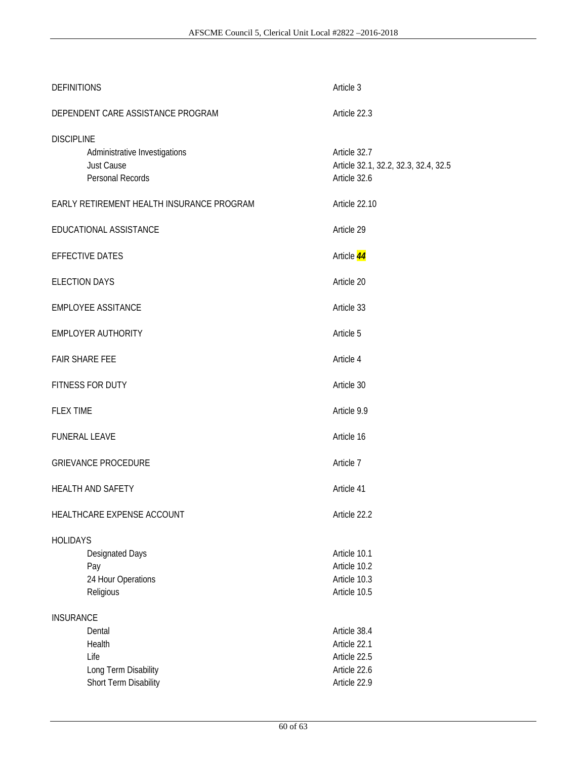| <b>DEFINITIONS</b>                                                                          | Article 3                                                            |
|---------------------------------------------------------------------------------------------|----------------------------------------------------------------------|
| DEPENDENT CARE ASSISTANCE PROGRAM                                                           | Article 22.3                                                         |
| <b>DISCIPLINE</b><br>Administrative Investigations<br><b>Just Cause</b><br>Personal Records | Article 32.7<br>Article 32.1, 32.2, 32.3, 32.4, 32.5<br>Article 32.6 |
| EARLY RETIREMENT HEALTH INSURANCE PROGRAM                                                   | Article 22.10                                                        |
| EDUCATIONAL ASSISTANCE                                                                      | Article 29                                                           |
| <b>EFFECTIVE DATES</b>                                                                      | Article 44                                                           |
| <b>ELECTION DAYS</b>                                                                        | Article 20                                                           |
| <b>EMPLOYEE ASSITANCE</b>                                                                   | Article 33                                                           |
| <b>EMPLOYER AUTHORITY</b>                                                                   | Article 5                                                            |
| <b>FAIR SHARE FEE</b>                                                                       | Article 4                                                            |
| FITNESS FOR DUTY                                                                            | Article 30                                                           |
| <b>FLEX TIME</b>                                                                            | Article 9.9                                                          |
| <b>FUNERAL LEAVE</b>                                                                        | Article 16                                                           |
| <b>GRIEVANCE PROCEDURE</b>                                                                  | Article 7                                                            |
| <b>HEALTH AND SAFETY</b>                                                                    | Article 41                                                           |
| HEALTHCARE EXPENSE ACCOUNT                                                                  | Article 22.2                                                         |
| <b>HOLIDAYS</b><br><b>Designated Days</b><br>Pay<br>24 Hour Operations<br>Religious         | Article 10.1<br>Article 10.2<br>Article 10.3<br>Article 10.5         |
| <b>INSURANCE</b>                                                                            |                                                                      |
| Dental<br>Health                                                                            | Article 38.4<br>Article 22.1                                         |
| Life                                                                                        | Article 22.5                                                         |
| Long Term Disability                                                                        | Article 22.6                                                         |
| Short Term Disability                                                                       | Article 22.9                                                         |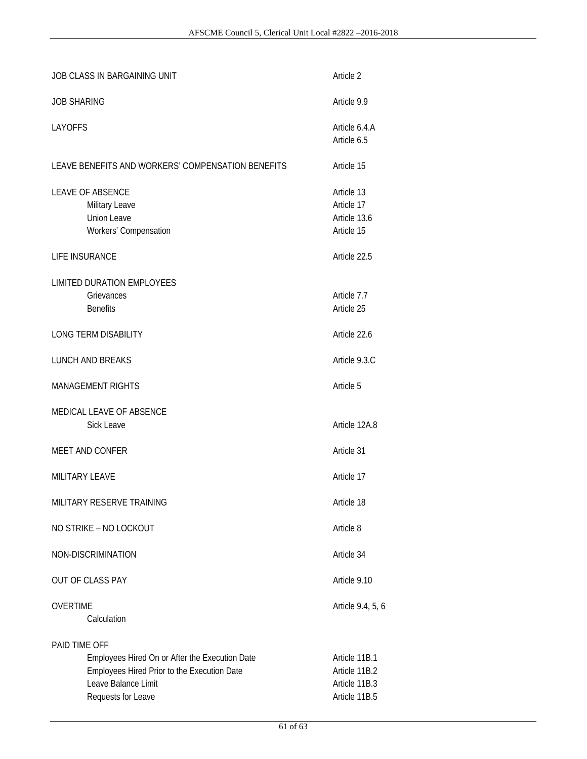| JOB CLASS IN BARGAINING UNIT                                                                                                                                | Article 2                                                        |
|-------------------------------------------------------------------------------------------------------------------------------------------------------------|------------------------------------------------------------------|
| <b>JOB SHARING</b>                                                                                                                                          | Article 9.9                                                      |
| <b>LAYOFFS</b>                                                                                                                                              | Article 6.4.A<br>Article 6.5                                     |
| LEAVE BENEFITS AND WORKERS' COMPENSATION BENEFITS                                                                                                           | Article 15                                                       |
| <b>LEAVE OF ABSENCE</b><br>Military Leave<br><b>Union Leave</b><br>Workers' Compensation                                                                    | Article 13<br>Article 17<br>Article 13.6<br>Article 15           |
| LIFE INSURANCE                                                                                                                                              | Article 22.5                                                     |
| <b>LIMITED DURATION EMPLOYEES</b><br>Grievances<br><b>Benefits</b>                                                                                          | Article 7.7<br>Article 25                                        |
| <b>LONG TERM DISABILITY</b>                                                                                                                                 | Article 22.6                                                     |
| <b>LUNCH AND BREAKS</b>                                                                                                                                     | Article 9.3.C                                                    |
| <b>MANAGEMENT RIGHTS</b>                                                                                                                                    | Article 5                                                        |
| MEDICAL LEAVE OF ABSENCE<br><b>Sick Leave</b>                                                                                                               | Article 12A.8                                                    |
| MEET AND CONFER                                                                                                                                             | Article 31                                                       |
| <b>MILITARY LEAVE</b>                                                                                                                                       | Article 17                                                       |
| MILITARY RESERVE TRAINING                                                                                                                                   | Article 18                                                       |
| NO STRIKE - NO LOCKOUT                                                                                                                                      | Article 8                                                        |
| NON-DISCRIMINATION                                                                                                                                          | Article 34                                                       |
| OUT OF CLASS PAY                                                                                                                                            | Article 9.10                                                     |
| <b>OVERTIME</b><br>Calculation                                                                                                                              | Article 9.4, 5, 6                                                |
| PAID TIME OFF<br>Employees Hired On or After the Execution Date<br>Employees Hired Prior to the Execution Date<br>Leave Balance Limit<br>Requests for Leave | Article 11B.1<br>Article 11B.2<br>Article 11B.3<br>Article 11B.5 |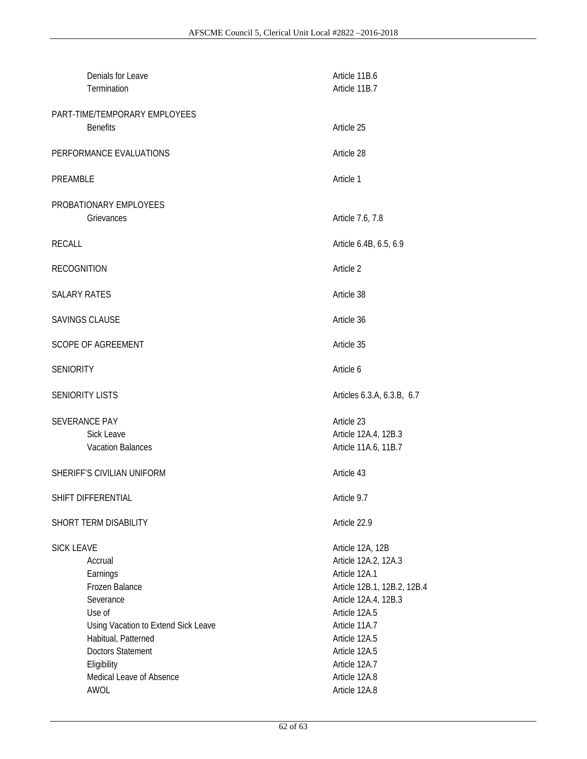|                            | Denials for Leave<br>Termination    | Article 11B.6<br>Article 11B.7 |
|----------------------------|-------------------------------------|--------------------------------|
|                            | PART-TIME/TEMPORARY EMPLOYEES       |                                |
|                            | <b>Benefits</b>                     | Article 25                     |
| PERFORMANCE EVALUATIONS    |                                     | Article 28                     |
| PREAMBLE                   |                                     | Article 1                      |
|                            | PROBATIONARY EMPLOYEES              |                                |
|                            | Grievances                          | Article 7.6, 7.8               |
| <b>RECALL</b>              |                                     | Article 6.4B, 6.5, 6.9         |
| <b>RECOGNITION</b>         |                                     | Article 2                      |
| <b>SALARY RATES</b>        |                                     | Article 38                     |
|                            | <b>SAVINGS CLAUSE</b>               | Article 36                     |
|                            | <b>SCOPE OF AGREEMENT</b>           | Article 35                     |
| <b>SENIORITY</b>           |                                     | Article 6                      |
|                            | <b>SENIORITY LISTS</b>              | Articles 6.3.A, 6.3.B, 6.7     |
|                            | <b>SEVERANCE PAY</b>                | Article 23                     |
|                            | Sick Leave                          | Article 12A.4, 12B.3           |
|                            | <b>Vacation Balances</b>            | Article 11A.6, 11B.7           |
| SHERIFF'S CIVILIAN UNIFORM |                                     | Article 43                     |
| SHIFT DIFFERENTIAL         |                                     | Article 9.7                    |
|                            | SHORT TERM DISABILITY               | Article 22.9                   |
| <b>SICK LEAVE</b>          |                                     | Article 12A, 12B               |
|                            | Accrual                             | Article 12A.2, 12A.3           |
|                            | Earnings                            | Article 12A.1                  |
|                            | Frozen Balance                      | Article 12B.1, 12B.2, 12B.4    |
|                            | Severance                           | Article 12A.4, 12B.3           |
|                            | Use of                              | Article 12A.5                  |
|                            | Using Vacation to Extend Sick Leave | Article 11A.7                  |
|                            | Habitual, Patterned                 | Article 12A.5                  |
|                            | <b>Doctors Statement</b>            | Article 12A.5                  |
|                            | Eligibility                         | Article 12A.7                  |
|                            | Medical Leave of Absence            | Article 12A.8                  |
|                            | AWOL                                | Article 12A.8                  |
|                            |                                     |                                |